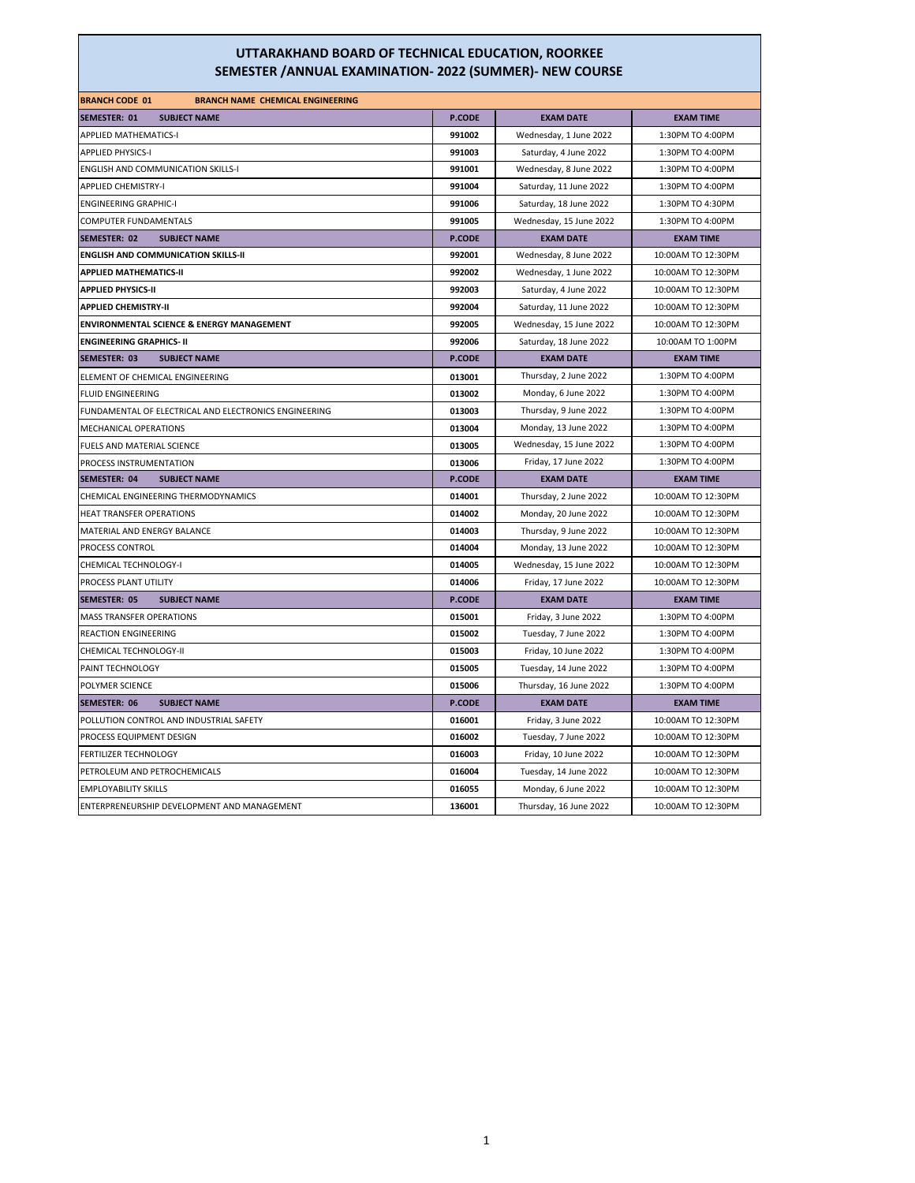| <b>BRANCH CODE 01</b><br><b>BRANCH NAME CHEMICAL ENGINEERING</b> |               |                         |                    |
|------------------------------------------------------------------|---------------|-------------------------|--------------------|
| <b>SEMESTER: 01</b><br><b>SUBJECT NAME</b>                       | P.CODE        | <b>EXAM DATE</b>        | <b>EXAM TIME</b>   |
| <b>APPLIED MATHEMATICS-I</b>                                     | 991002        | Wednesday, 1 June 2022  | 1:30PM TO 4:00PM   |
| <b>APPLIED PHYSICS-I</b>                                         | 991003        | Saturday, 4 June 2022   | 1:30PM TO 4:00PM   |
| <b>ENGLISH AND COMMUNICATION SKILLS-I</b>                        | 991001        | Wednesday, 8 June 2022  | 1:30PM TO 4:00PM   |
| <b>APPLIED CHEMISTRY-I</b>                                       | 991004        | Saturday, 11 June 2022  | 1:30PM TO 4:00PM   |
| <b>ENGINEERING GRAPHIC-I</b>                                     | 991006        | Saturday, 18 June 2022  | 1:30PM TO 4:30PM   |
| COMPUTER FUNDAMENTALS                                            | 991005        | Wednesday, 15 June 2022 | 1:30PM TO 4:00PM   |
| <b>SEMESTER: 02</b><br><b>SUBJECT NAME</b>                       | P.CODE        | <b>EXAM DATE</b>        | <b>EXAM TIME</b>   |
| <b>ENGLISH AND COMMUNICATION SKILLS-II</b>                       | 992001        | Wednesday, 8 June 2022  | 10:00AM TO 12:30PM |
| <b>APPLIED MATHEMATICS-II</b>                                    | 992002        | Wednesday, 1 June 2022  | 10:00AM TO 12:30PM |
| <b>APPLIED PHYSICS-II</b>                                        | 992003        | Saturday, 4 June 2022   | 10:00AM TO 12:30PM |
| <b>APPLIED CHEMISTRY-II</b>                                      | 992004        | Saturday, 11 June 2022  | 10:00AM TO 12:30PM |
| <b>ENVIRONMENTAL SCIENCE &amp; ENERGY MANAGEMENT</b>             | 992005        | Wednesday, 15 June 2022 | 10:00AM TO 12:30PM |
| <b>ENGINEERING GRAPHICS- II</b>                                  | 992006        | Saturday, 18 June 2022  | 10:00AM TO 1:00PM  |
| <b>SUBJECT NAME</b><br>SEMESTER: 03                              | <b>P.CODE</b> | <b>EXAM DATE</b>        | <b>EXAM TIME</b>   |
| ELEMENT OF CHEMICAL ENGINEERING                                  | 013001        | Thursday, 2 June 2022   | 1:30PM TO 4:00PM   |
| <b>FLUID ENGINEERING</b>                                         | 013002        | Monday, 6 June 2022     | 1:30PM TO 4:00PM   |
| FUNDAMENTAL OF ELECTRICAL AND ELECTRONICS ENGINEERING            | 013003        | Thursday, 9 June 2022   | 1:30PM TO 4:00PM   |
| MECHANICAL OPERATIONS                                            | 013004        | Monday, 13 June 2022    | 1:30PM TO 4:00PM   |
| FUELS AND MATERIAL SCIENCE                                       | 013005        | Wednesday, 15 June 2022 | 1:30PM TO 4:00PM   |
| PROCESS INSTRUMENTATION                                          | 013006        | Friday, 17 June 2022    | 1:30PM TO 4:00PM   |
| <b>SEMESTER: 04</b><br><b>SUBJECT NAME</b>                       | <b>P.CODE</b> | <b>EXAM DATE</b>        | <b>EXAM TIME</b>   |
| CHEMICAL ENGINEERING THERMODYNAMICS                              | 014001        | Thursday, 2 June 2022   | 10:00AM TO 12:30PM |
| HEAT TRANSFER OPERATIONS                                         | 014002        | Monday, 20 June 2022    | 10:00AM TO 12:30PM |
| MATERIAL AND ENERGY BALANCE                                      | 014003        | Thursday, 9 June 2022   | 10:00AM TO 12:30PM |
| PROCESS CONTROL                                                  | 014004        | Monday, 13 June 2022    | 10:00AM TO 12:30PM |
| CHEMICAL TECHNOLOGY-I                                            | 014005        | Wednesday, 15 June 2022 | 10:00AM TO 12:30PM |
| PROCESS PLANT UTILITY                                            | 014006        | Friday, 17 June 2022    | 10:00AM TO 12:30PM |
| <b>SEMESTER: 05</b><br><b>SUBJECT NAME</b>                       | <b>P.CODE</b> | <b>EXAM DATE</b>        | <b>EXAM TIME</b>   |
| <b>MASS TRANSFER OPERATIONS</b>                                  | 015001        | Friday, 3 June 2022     | 1:30PM TO 4:00PM   |
| <b>REACTION ENGINEERING</b>                                      | 015002        | Tuesday, 7 June 2022    | 1:30PM TO 4:00PM   |
| CHEMICAL TECHNOLOGY-II                                           | 015003        | Friday, 10 June 2022    | 1:30PM TO 4:00PM   |
| PAINT TECHNOLOGY                                                 | 015005        | Tuesday, 14 June 2022   | 1:30PM TO 4:00PM   |
| POLYMER SCIENCE                                                  | 015006        | Thursday, 16 June 2022  | 1:30PM TO 4:00PM   |
| <b>SEMESTER: 06</b><br><b>SUBJECT NAME</b>                       | <b>P.CODE</b> | <b>EXAM DATE</b>        | <b>EXAM TIME</b>   |
| POLLUTION CONTROL AND INDUSTRIAL SAFETY                          | 016001        | Friday, 3 June 2022     | 10:00AM TO 12:30PM |
| PROCESS EQUIPMENT DESIGN                                         | 016002        | Tuesday, 7 June 2022    | 10:00AM TO 12:30PM |
| FERTILIZER TECHNOLOGY                                            | 016003        | Friday, 10 June 2022    | 10:00AM TO 12:30PM |
| PETROLEUM AND PETROCHEMICALS                                     | 016004        | Tuesday, 14 June 2022   | 10:00AM TO 12:30PM |
| <b>EMPLOYABILITY SKILLS</b>                                      | 016055        | Monday, 6 June 2022     | 10:00AM TO 12:30PM |
| ENTERPRENEURSHIP DEVELOPMENT AND MANAGEMENT                      | 136001        | Thursday, 16 June 2022  | 10:00AM TO 12:30PM |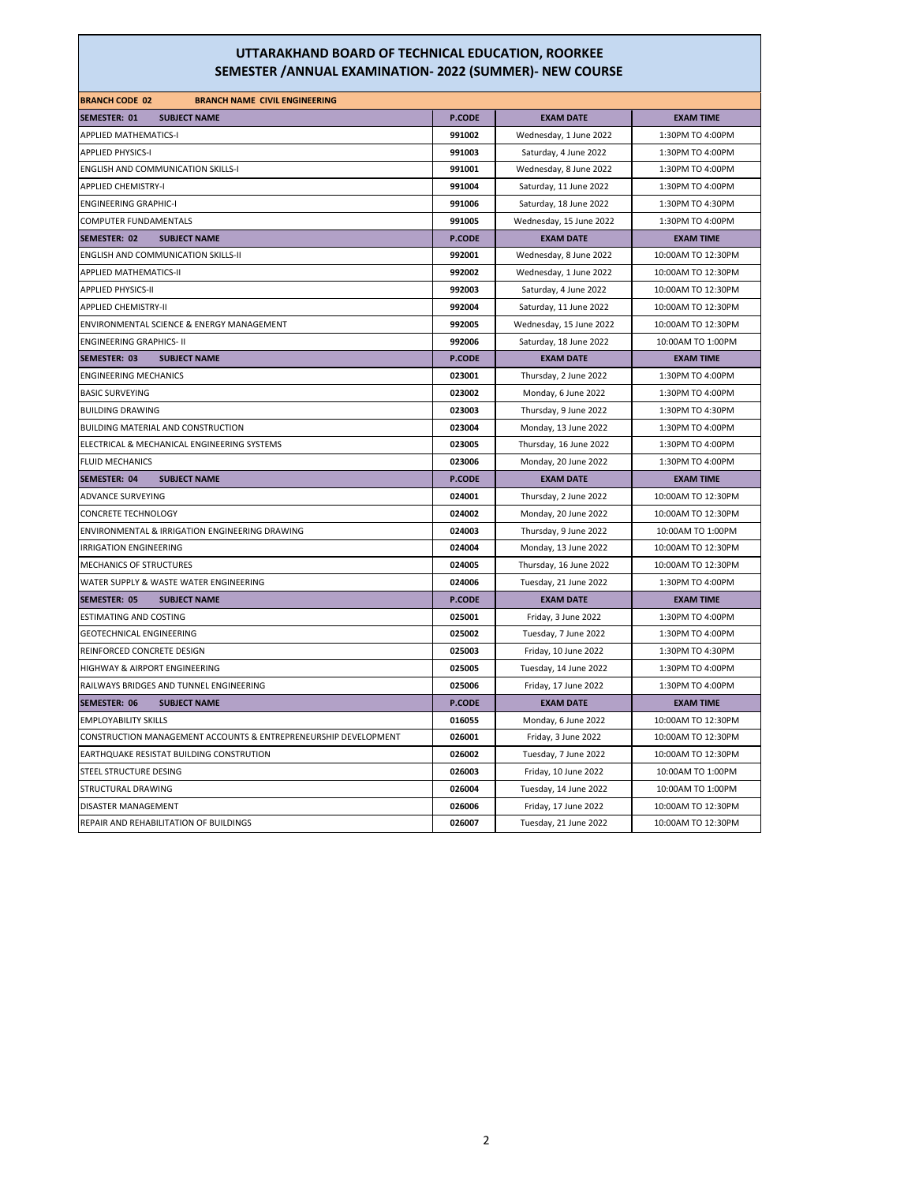| <b>BRANCH CODE 02</b><br><b>BRANCH NAME CIVIL ENGINEERING</b>   |               |                         |                    |
|-----------------------------------------------------------------|---------------|-------------------------|--------------------|
| SEMESTER: 01<br><b>SUBJECT NAME</b>                             | <b>P.CODE</b> | <b>EXAM DATE</b>        | <b>EXAM TIME</b>   |
| <b>APPLIED MATHEMATICS-I</b>                                    | 991002        | Wednesday, 1 June 2022  | 1:30PM TO 4:00PM   |
| <b>APPLIED PHYSICS-I</b>                                        | 991003        | Saturday, 4 June 2022   | 1:30PM TO 4:00PM   |
| <b>ENGLISH AND COMMUNICATION SKILLS-I</b>                       | 991001        | Wednesday, 8 June 2022  | 1:30PM TO 4:00PM   |
| <b>APPLIED CHEMISTRY-I</b>                                      | 991004        | Saturday, 11 June 2022  | 1:30PM TO 4:00PM   |
| <b>ENGINEERING GRAPHIC-I</b>                                    | 991006        | Saturday, 18 June 2022  | 1:30PM TO 4:30PM   |
| COMPUTER FUNDAMENTALS                                           | 991005        | Wednesday, 15 June 2022 | 1:30PM TO 4:00PM   |
| SEMESTER: 02<br><b>SUBJECT NAME</b>                             | P.CODE        | <b>EXAM DATE</b>        | <b>EXAM TIME</b>   |
| <b>ENGLISH AND COMMUNICATION SKILLS-II</b>                      | 992001        | Wednesday, 8 June 2022  | 10:00AM TO 12:30PM |
| <b>APPLIED MATHEMATICS-II</b>                                   | 992002        | Wednesday, 1 June 2022  | 10:00AM TO 12:30PM |
| <b>APPLIED PHYSICS-II</b>                                       | 992003        | Saturday, 4 June 2022   | 10:00AM TO 12:30PM |
| <b>APPLIED CHEMISTRY-II</b>                                     | 992004        | Saturday, 11 June 2022  | 10:00AM TO 12:30PM |
| ENVIRONMENTAL SCIENCE & ENERGY MANAGEMENT                       | 992005        | Wednesday, 15 June 2022 | 10:00AM TO 12:30PM |
| <b>ENGINEERING GRAPHICS- II</b>                                 | 992006        | Saturday, 18 June 2022  | 10:00AM TO 1:00PM  |
| SEMESTER: 03<br><b>SUBJECT NAME</b>                             | <b>P.CODE</b> | <b>EXAM DATE</b>        | <b>EXAM TIME</b>   |
| <b>ENGINEERING MECHANICS</b>                                    | 023001        | Thursday, 2 June 2022   | 1:30PM TO 4:00PM   |
| <b>BASIC SURVEYING</b>                                          | 023002        | Monday, 6 June 2022     | 1:30PM TO 4:00PM   |
| <b>BUILDING DRAWING</b>                                         | 023003        | Thursday, 9 June 2022   | 1:30PM TO 4:30PM   |
| BUILDING MATERIAL AND CONSTRUCTION                              | 023004        | Monday, 13 June 2022    | 1:30PM TO 4:00PM   |
| ELECTRICAL & MECHANICAL ENGINEERING SYSTEMS                     | 023005        | Thursday, 16 June 2022  | 1:30PM TO 4:00PM   |
| <b>FLUID MECHANICS</b>                                          | 023006        | Monday, 20 June 2022    | 1:30PM TO 4:00PM   |
| <b>SUBJECT NAME</b><br>SEMESTER: 04                             | <b>P.CODE</b> | <b>EXAM DATE</b>        | <b>EXAM TIME</b>   |
| ADVANCE SURVEYING                                               | 024001        | Thursday, 2 June 2022   | 10:00AM TO 12:30PM |
| <b>CONCRETE TECHNOLOGY</b>                                      | 024002        | Monday, 20 June 2022    | 10:00AM TO 12:30PM |
| ENVIRONMENTAL & IRRIGATION ENGINEERING DRAWING                  | 024003        | Thursday, 9 June 2022   | 10:00AM TO 1:00PM  |
| <b>IRRIGATION ENGINEERING</b>                                   | 024004        | Monday, 13 June 2022    | 10:00AM TO 12:30PM |
| MECHANICS OF STRUCTURES                                         | 024005        | Thursday, 16 June 2022  | 10:00AM TO 12:30PM |
| WATER SUPPLY & WASTE WATER ENGINEERING                          | 024006        | Tuesday, 21 June 2022   | 1:30PM TO 4:00PM   |
| <b>SEMESTER: 05</b><br><b>SUBJECT NAME</b>                      | P.CODE        | <b>EXAM DATE</b>        | <b>EXAM TIME</b>   |
| <b>ESTIMATING AND COSTING</b>                                   | 025001        | Friday, 3 June 2022     | 1:30PM TO 4:00PM   |
| <b>GEOTECHNICAL ENGINEERING</b>                                 | 025002        | Tuesday, 7 June 2022    | 1:30PM TO 4:00PM   |
| REINFORCED CONCRETE DESIGN                                      | 025003        | Friday, 10 June 2022    | 1:30PM TO 4:30PM   |
| HIGHWAY & AIRPORT ENGINEERING                                   | 025005        | Tuesday, 14 June 2022   | 1:30PM TO 4:00PM   |
| RAILWAYS BRIDGES AND TUNNEL ENGINEERING                         | 025006        | Friday, 17 June 2022    | 1:30PM TO 4:00PM   |
| <b>SEMESTER: 06</b><br><b>SUBJECT NAME</b>                      | <b>P.CODE</b> | <b>EXAM DATE</b>        | <b>EXAM TIME</b>   |
| <b>EMPLOYABILITY SKILLS</b>                                     | 016055        | Monday, 6 June 2022     | 10:00AM TO 12:30PM |
| CONSTRUCTION MANAGEMENT ACCOUNTS & ENTREPRENEURSHIP DEVELOPMENT | 026001        | Friday, 3 June 2022     | 10:00AM TO 12:30PM |
| EARTHQUAKE RESISTAT BUILDING CONSTRUTION                        | 026002        | Tuesday, 7 June 2022    | 10:00AM TO 12:30PM |
| STEEL STRUCTURE DESING                                          | 026003        | Friday, 10 June 2022    | 10:00AM TO 1:00PM  |
| STRUCTURAL DRAWING                                              | 026004        | Tuesday, 14 June 2022   | 10:00AM TO 1:00PM  |
| DISASTER MANAGEMENT                                             | 026006        | Friday, 17 June 2022    | 10:00AM TO 12:30PM |
| REPAIR AND REHABILITATION OF BUILDINGS                          | 026007        | Tuesday, 21 June 2022   | 10:00AM TO 12:30PM |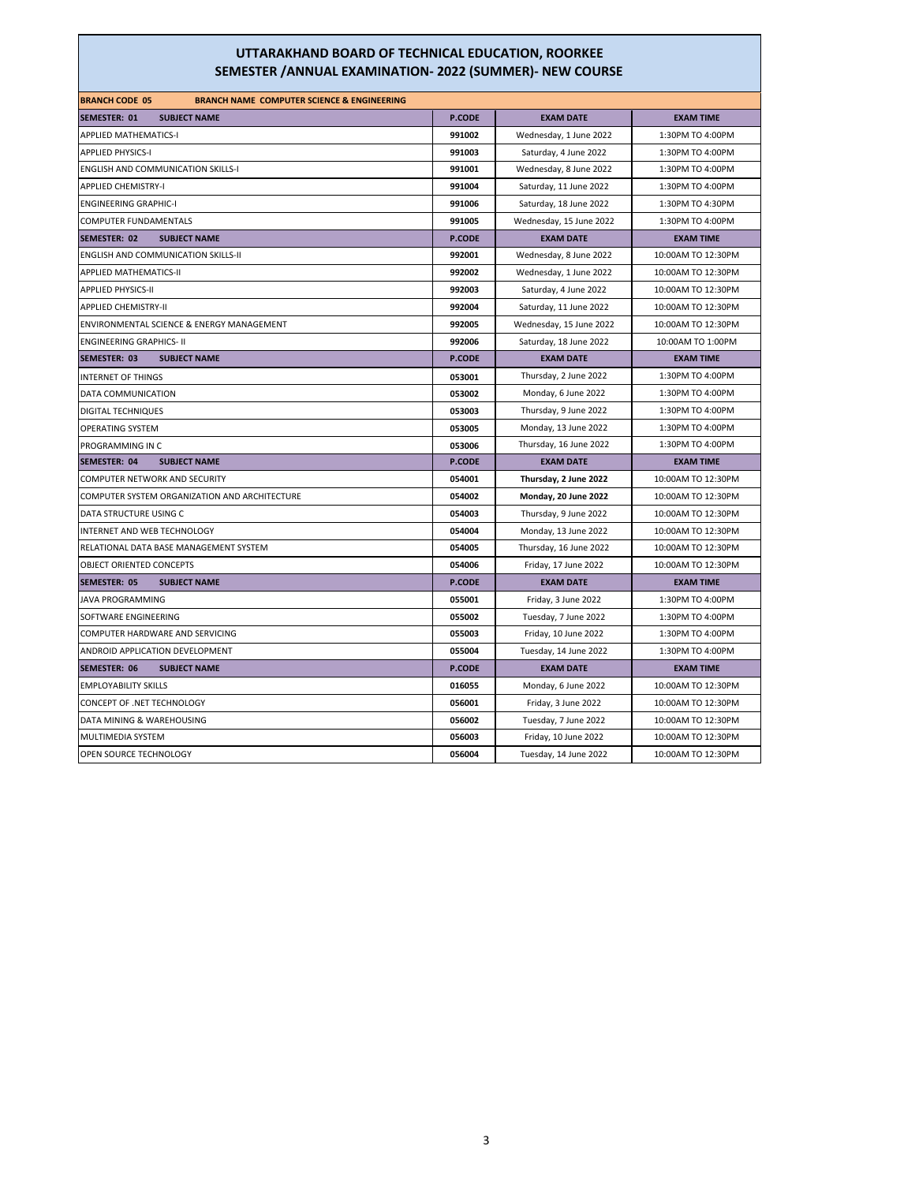| <b>BRANCH CODE 05</b><br><b>BRANCH NAME COMPUTER SCIENCE &amp; ENGINEERING</b> |               |                         |                    |
|--------------------------------------------------------------------------------|---------------|-------------------------|--------------------|
| SEMESTER: 01<br><b>SUBJECT NAME</b>                                            | <b>P.CODE</b> | <b>EXAM DATE</b>        | <b>EXAM TIME</b>   |
| <b>APPLIED MATHEMATICS-I</b>                                                   | 991002        | Wednesday, 1 June 2022  | 1:30PM TO 4:00PM   |
| <b>APPLIED PHYSICS-I</b>                                                       | 991003        | Saturday, 4 June 2022   | 1:30PM TO 4:00PM   |
| <b>ENGLISH AND COMMUNICATION SKILLS-I</b>                                      | 991001        | Wednesday, 8 June 2022  | 1:30PM TO 4:00PM   |
| <b>APPLIED CHEMISTRY-I</b>                                                     | 991004        | Saturday, 11 June 2022  | 1:30PM TO 4:00PM   |
| <b>ENGINEERING GRAPHIC-I</b>                                                   | 991006        | Saturday, 18 June 2022  | 1:30PM TO 4:30PM   |
| COMPUTER FUNDAMENTALS                                                          | 991005        | Wednesday, 15 June 2022 | 1:30PM TO 4:00PM   |
| SEMESTER: 02<br><b>SUBJECT NAME</b>                                            | <b>P.CODE</b> | <b>EXAM DATE</b>        | <b>EXAM TIME</b>   |
| ENGLISH AND COMMUNICATION SKILLS-II                                            | 992001        | Wednesday, 8 June 2022  | 10:00AM TO 12:30PM |
| <b>APPLIED MATHEMATICS-II</b>                                                  | 992002        | Wednesday, 1 June 2022  | 10:00AM TO 12:30PM |
| <b>APPLIED PHYSICS-II</b>                                                      | 992003        | Saturday, 4 June 2022   | 10:00AM TO 12:30PM |
| <b>APPLIED CHEMISTRY-II</b>                                                    | 992004        | Saturday, 11 June 2022  | 10:00AM TO 12:30PM |
| ENVIRONMENTAL SCIENCE & ENERGY MANAGEMENT                                      | 992005        | Wednesday, 15 June 2022 | 10:00AM TO 12:30PM |
| <b>ENGINEERING GRAPHICS- II</b>                                                | 992006        | Saturday, 18 June 2022  | 10:00AM TO 1:00PM  |
| SEMESTER: 03<br><b>SUBJECT NAME</b>                                            | <b>P.CODE</b> | <b>EXAM DATE</b>        | <b>EXAM TIME</b>   |
| <b>INTERNET OF THINGS</b>                                                      | 053001        | Thursday, 2 June 2022   | 1:30PM TO 4:00PM   |
| DATA COMMUNICATION                                                             | 053002        | Monday, 6 June 2022     | 1:30PM TO 4:00PM   |
| DIGITAL TECHNIQUES                                                             | 053003        | Thursday, 9 June 2022   | 1:30PM TO 4:00PM   |
| <b>OPERATING SYSTEM</b>                                                        | 053005        | Monday, 13 June 2022    | 1:30PM TO 4:00PM   |
| PROGRAMMING IN C                                                               | 053006        | Thursday, 16 June 2022  | 1:30PM TO 4:00PM   |
| <b>SEMESTER: 04</b><br><b>SUBJECT NAME</b>                                     | P.CODE        | <b>EXAM DATE</b>        | <b>EXAM TIME</b>   |
| COMPUTER NETWORK AND SECURITY                                                  | 054001        | Thursday, 2 June 2022   | 10:00AM TO 12:30PM |
| COMPUTER SYSTEM ORGANIZATION AND ARCHITECTURE                                  | 054002        | Monday, 20 June 2022    | 10:00AM TO 12:30PM |
| DATA STRUCTURE USING C                                                         | 054003        | Thursday, 9 June 2022   | 10:00AM TO 12:30PM |
| INTERNET AND WEB TECHNOLOGY                                                    | 054004        | Monday, 13 June 2022    | 10:00AM TO 12:30PM |
| RELATIONAL DATA BASE MANAGEMENT SYSTEM                                         | 054005        | Thursday, 16 June 2022  | 10:00AM TO 12:30PM |
| OBJECT ORIENTED CONCEPTS                                                       | 054006        | Friday, 17 June 2022    | 10:00AM TO 12:30PM |
| SEMESTER: 05<br><b>SUBJECT NAME</b>                                            | <b>P.CODE</b> | <b>EXAM DATE</b>        | <b>EXAM TIME</b>   |
| <b>JAVA PROGRAMMING</b>                                                        | 055001        | Friday, 3 June 2022     | 1:30PM TO 4:00PM   |
| SOFTWARE ENGINEERING                                                           | 055002        | Tuesday, 7 June 2022    | 1:30PM TO 4:00PM   |
| COMPUTER HARDWARE AND SERVICING                                                | 055003        | Friday, 10 June 2022    | 1:30PM TO 4:00PM   |
| ANDROID APPLICATION DEVELOPMENT                                                | 055004        | Tuesday, 14 June 2022   | 1:30PM TO 4:00PM   |
| SEMESTER: 06<br><b>SUBJECT NAME</b>                                            | <b>P.CODE</b> | <b>EXAM DATE</b>        | <b>EXAM TIME</b>   |
| <b>EMPLOYABILITY SKILLS</b>                                                    | 016055        | Monday, 6 June 2022     | 10:00AM TO 12:30PM |
| CONCEPT OF .NET TECHNOLOGY                                                     | 056001        | Friday, 3 June 2022     | 10:00AM TO 12:30PM |
| DATA MINING & WAREHOUSING                                                      | 056002        | Tuesday, 7 June 2022    | 10:00AM TO 12:30PM |
| MULTIMEDIA SYSTEM                                                              | 056003        | Friday, 10 June 2022    | 10:00AM TO 12:30PM |
| OPEN SOURCE TECHNOLOGY                                                         | 056004        | Tuesday, 14 June 2022   | 10:00AM TO 12:30PM |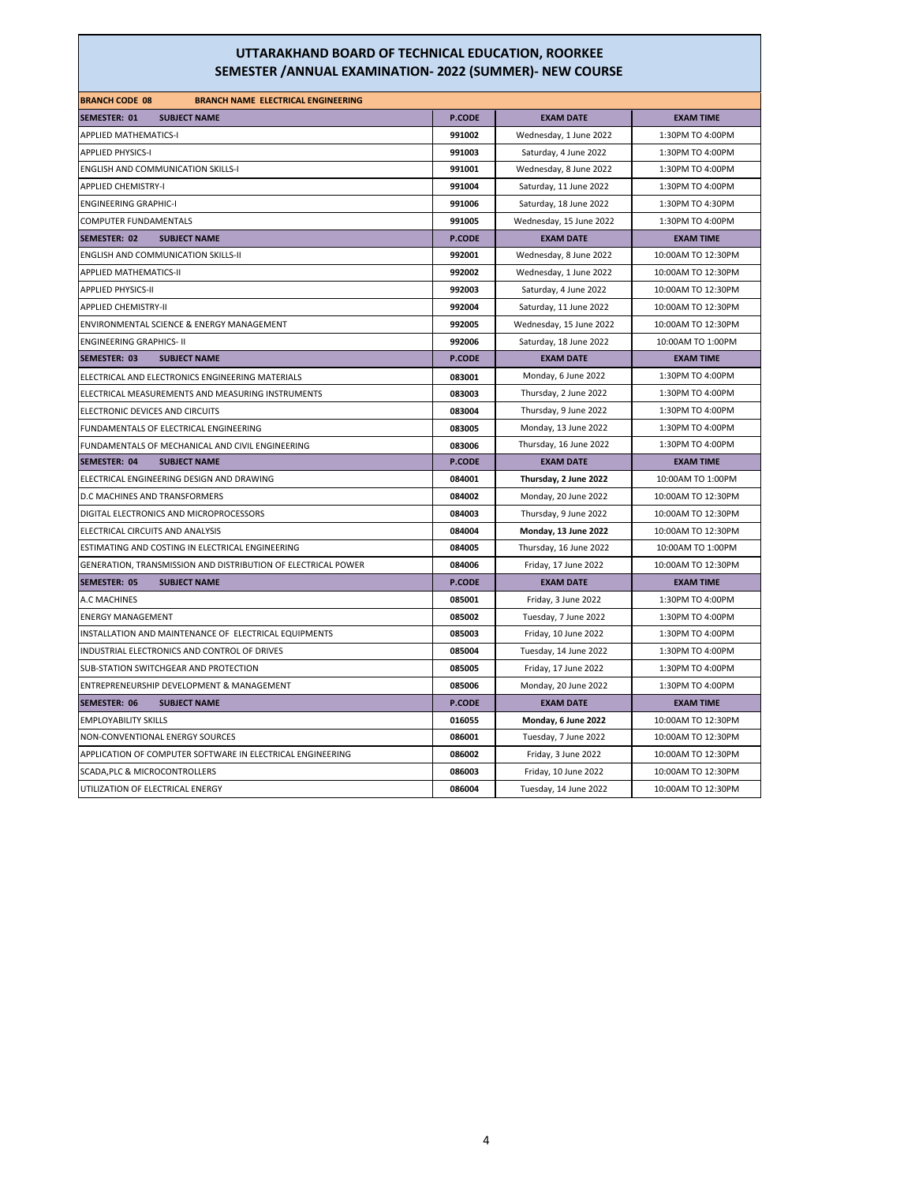| <b>BRANCH CODE 08</b><br><b>BRANCH NAME ELECTRICAL ENGINEERING</b> |               |                         |                    |
|--------------------------------------------------------------------|---------------|-------------------------|--------------------|
| <b>SEMESTER: 01</b><br><b>SUBJECT NAME</b>                         | P.CODE        | <b>EXAM DATE</b>        | <b>EXAM TIME</b>   |
| <b>APPLIED MATHEMATICS-I</b>                                       | 991002        | Wednesday, 1 June 2022  | 1:30PM TO 4:00PM   |
| <b>APPLIED PHYSICS-I</b>                                           | 991003        | Saturday, 4 June 2022   | 1:30PM TO 4:00PM   |
| <b>ENGLISH AND COMMUNICATION SKILLS-I</b>                          | 991001        | Wednesday, 8 June 2022  | 1:30PM TO 4:00PM   |
| <b>APPLIED CHEMISTRY-I</b>                                         | 991004        | Saturday, 11 June 2022  | 1:30PM TO 4:00PM   |
| <b>ENGINEERING GRAPHIC-I</b>                                       | 991006        | Saturday, 18 June 2022  | 1:30PM TO 4:30PM   |
| COMPUTER FUNDAMENTALS                                              | 991005        | Wednesday, 15 June 2022 | 1:30PM TO 4:00PM   |
| <b>SEMESTER: 02</b><br><b>SUBJECT NAME</b>                         | <b>P.CODE</b> | <b>EXAM DATE</b>        | <b>EXAM TIME</b>   |
| <b>ENGLISH AND COMMUNICATION SKILLS-II</b>                         | 992001        | Wednesday, 8 June 2022  | 10:00AM TO 12:30PM |
| APPLIED MATHEMATICS-II                                             | 992002        | Wednesday, 1 June 2022  | 10:00AM TO 12:30PM |
| <b>APPLIED PHYSICS-II</b>                                          | 992003        | Saturday, 4 June 2022   | 10:00AM TO 12:30PM |
| <b>APPLIED CHEMISTRY-II</b>                                        | 992004        | Saturday, 11 June 2022  | 10:00AM TO 12:30PM |
| ENVIRONMENTAL SCIENCE & ENERGY MANAGEMENT                          | 992005        | Wednesday, 15 June 2022 | 10:00AM TO 12:30PM |
| <b>ENGINEERING GRAPHICS- II</b>                                    | 992006        | Saturday, 18 June 2022  | 10:00AM TO 1:00PM  |
| SEMESTER: 03<br><b>SUBJECT NAME</b>                                | <b>P.CODE</b> | <b>EXAM DATE</b>        | <b>EXAM TIME</b>   |
| ELECTRICAL AND ELECTRONICS ENGINEERING MATERIALS                   | 083001        | Monday, 6 June 2022     | 1:30PM TO 4:00PM   |
| ELECTRICAL MEASUREMENTS AND MEASURING INSTRUMENTS                  | 083003        | Thursday, 2 June 2022   | 1:30PM TO 4:00PM   |
| ELECTRONIC DEVICES AND CIRCUITS                                    | 083004        | Thursday, 9 June 2022   | 1:30PM TO 4:00PM   |
| FUNDAMENTALS OF ELECTRICAL ENGINEERING                             | 083005        | Monday, 13 June 2022    | 1:30PM TO 4:00PM   |
| FUNDAMENTALS OF MECHANICAL AND CIVIL ENGINEERING                   | 083006        | Thursday, 16 June 2022  | 1:30PM TO 4:00PM   |
| SEMESTER: 04<br><b>SUBJECT NAME</b>                                | <b>P.CODE</b> | <b>EXAM DATE</b>        | <b>EXAM TIME</b>   |
| ELECTRICAL ENGINEERING DESIGN AND DRAWING                          | 084001        | Thursday, 2 June 2022   | 10:00AM TO 1:00PM  |
| D.C MACHINES AND TRANSFORMERS                                      | 084002        | Monday, 20 June 2022    | 10:00AM TO 12:30PM |
| DIGITAL ELECTRONICS AND MICROPROCESSORS                            | 084003        | Thursday, 9 June 2022   | 10:00AM TO 12:30PM |
| ELECTRICAL CIRCUITS AND ANALYSIS                                   | 084004        | Monday, 13 June 2022    | 10:00AM TO 12:30PM |
| ESTIMATING AND COSTING IN ELECTRICAL ENGINEERING                   | 084005        | Thursday, 16 June 2022  | 10:00AM TO 1:00PM  |
| GENERATION, TRANSMISSION AND DISTRIBUTION OF ELECTRICAL POWER      | 084006        | Friday, 17 June 2022    | 10:00AM TO 12:30PM |
| <b>SEMESTER: 05</b><br><b>SUBJECT NAME</b>                         | <b>P.CODE</b> | <b>EXAM DATE</b>        | <b>EXAM TIME</b>   |
| A.C MACHINES                                                       | 085001        | Friday, 3 June 2022     | 1:30PM TO 4:00PM   |
| <b>ENERGY MANAGEMENT</b>                                           | 085002        | Tuesday, 7 June 2022    | 1:30PM TO 4:00PM   |
| INSTALLATION AND MAINTENANCE OF ELECTRICAL EQUIPMENTS              | 085003        | Friday, 10 June 2022    | 1:30PM TO 4:00PM   |
| INDUSTRIAL ELECTRONICS AND CONTROL OF DRIVES                       | 085004        | Tuesday, 14 June 2022   | 1:30PM TO 4:00PM   |
| SUB-STATION SWITCHGEAR AND PROTECTION                              | 085005        | Friday, 17 June 2022    | 1:30PM TO 4:00PM   |
| ENTREPRENEURSHIP DEVELOPMENT & MANAGEMENT                          | 085006        | Monday, 20 June 2022    | 1:30PM TO 4:00PM   |
| <b>SEMESTER: 06</b><br><b>SUBJECT NAME</b>                         | <b>P.CODE</b> | <b>EXAM DATE</b>        | <b>EXAM TIME</b>   |
| <b>EMPLOYABILITY SKILLS</b>                                        | 016055        | Monday, 6 June 2022     | 10:00AM TO 12:30PM |
| NON-CONVENTIONAL ENERGY SOURCES                                    | 086001        | Tuesday, 7 June 2022    | 10:00AM TO 12:30PM |
| APPLICATION OF COMPUTER SOFTWARE IN ELECTRICAL ENGINEERING         | 086002        | Friday, 3 June 2022     | 10:00AM TO 12:30PM |
| SCADA, PLC & MICROCONTROLLERS                                      | 086003        | Friday, 10 June 2022    | 10:00AM TO 12:30PM |
| UTILIZATION OF ELECTRICAL ENERGY                                   | 086004        | Tuesday, 14 June 2022   | 10:00AM TO 12:30PM |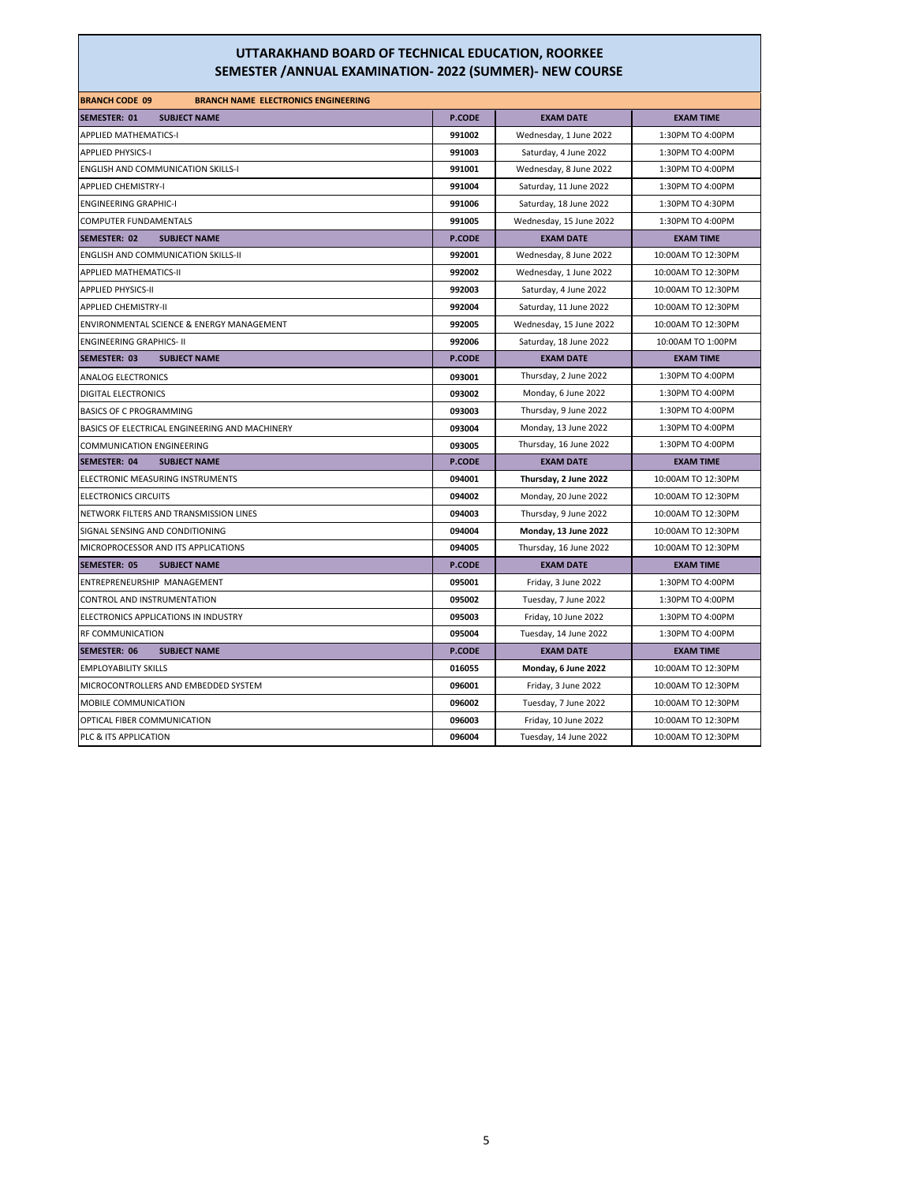| <b>BRANCH CODE 09</b><br><b>BRANCH NAME ELECTRONICS ENGINEERING</b> |               |                         |                    |
|---------------------------------------------------------------------|---------------|-------------------------|--------------------|
| <b>SEMESTER: 01</b><br><b>SUBJECT NAME</b>                          | P.CODE        | <b>EXAM DATE</b>        | <b>EXAM TIME</b>   |
| <b>APPLIED MATHEMATICS-I</b>                                        | 991002        | Wednesday, 1 June 2022  | 1:30PM TO 4:00PM   |
| <b>APPLIED PHYSICS-I</b>                                            | 991003        | Saturday, 4 June 2022   | 1:30PM TO 4:00PM   |
| <b>ENGLISH AND COMMUNICATION SKILLS-I</b>                           | 991001        | Wednesday, 8 June 2022  | 1:30PM TO 4:00PM   |
| <b>APPLIED CHEMISTRY-I</b>                                          | 991004        | Saturday, 11 June 2022  | 1:30PM TO 4:00PM   |
| <b>ENGINEERING GRAPHIC-I</b>                                        | 991006        | Saturday, 18 June 2022  | 1:30PM TO 4:30PM   |
| <b>COMPUTER FUNDAMENTALS</b>                                        | 991005        | Wednesday, 15 June 2022 | 1:30PM TO 4:00PM   |
| SEMESTER: 02<br><b>SUBJECT NAME</b>                                 | <b>P.CODE</b> | <b>EXAM DATE</b>        | <b>EXAM TIME</b>   |
| ENGLISH AND COMMUNICATION SKILLS-II                                 | 992001        | Wednesday, 8 June 2022  | 10:00AM TO 12:30PM |
| <b>APPLIED MATHEMATICS-II</b>                                       | 992002        | Wednesday, 1 June 2022  | 10:00AM TO 12:30PM |
| <b>APPLIED PHYSICS-II</b>                                           | 992003        | Saturday, 4 June 2022   | 10:00AM TO 12:30PM |
| <b>APPLIED CHEMISTRY-II</b>                                         | 992004        | Saturday, 11 June 2022  | 10:00AM TO 12:30PM |
| ENVIRONMENTAL SCIENCE & ENERGY MANAGEMENT                           | 992005        | Wednesday, 15 June 2022 | 10:00AM TO 12:30PM |
| <b>ENGINEERING GRAPHICS- II</b>                                     | 992006        | Saturday, 18 June 2022  | 10:00AM TO 1:00PM  |
| <b>SEMESTER: 03</b><br><b>SUBJECT NAME</b>                          | <b>P.CODE</b> | <b>EXAM DATE</b>        | <b>EXAM TIME</b>   |
| <b>ANALOG ELECTRONICS</b>                                           | 093001        | Thursday, 2 June 2022   | 1:30PM TO 4:00PM   |
| <b>DIGITAL ELECTRONICS</b>                                          | 093002        | Monday, 6 June 2022     | 1:30PM TO 4:00PM   |
| <b>BASICS OF C PROGRAMMING</b>                                      | 093003        | Thursday, 9 June 2022   | 1:30PM TO 4:00PM   |
| BASICS OF ELECTRICAL ENGINEERING AND MACHINERY                      | 093004        | Monday, 13 June 2022    | 1:30PM TO 4:00PM   |
| <b>COMMUNICATION ENGINEERING</b>                                    | 093005        | Thursday, 16 June 2022  | 1:30PM TO 4:00PM   |
| <b>SEMESTER: 04</b><br><b>SUBJECT NAME</b>                          | <b>P.CODE</b> | <b>EXAM DATE</b>        | <b>EXAM TIME</b>   |
| ELECTRONIC MEASURING INSTRUMENTS                                    | 094001        | Thursday, 2 June 2022   | 10:00AM TO 12:30PM |
| <b>ELECTRONICS CIRCUITS</b>                                         | 094002        | Monday, 20 June 2022    | 10:00AM TO 12:30PM |
| NETWORK FILTERS AND TRANSMISSION LINES                              | 094003        | Thursday, 9 June 2022   | 10:00AM TO 12:30PM |
| SIGNAL SENSING AND CONDITIONING                                     | 094004        | Monday, 13 June 2022    | 10:00AM TO 12:30PM |
| MICROPROCESSOR AND ITS APPLICATIONS                                 | 094005        | Thursday, 16 June 2022  | 10:00AM TO 12:30PM |
| SEMESTER: 05<br><b>SUBJECT NAME</b>                                 | <b>P.CODE</b> | <b>EXAM DATE</b>        | <b>EXAM TIME</b>   |
| ENTREPRENEURSHIP MANAGEMENT                                         | 095001        | Friday, 3 June 2022     | 1:30PM TO 4:00PM   |
| CONTROL AND INSTRUMENTATION                                         | 095002        | Tuesday, 7 June 2022    | 1:30PM TO 4:00PM   |
| ELECTRONICS APPLICATIONS IN INDUSTRY                                | 095003        | Friday, 10 June 2022    | 1:30PM TO 4:00PM   |
| RF COMMUNICATION                                                    | 095004        | Tuesday, 14 June 2022   | 1:30PM TO 4:00PM   |
| SEMESTER: 06<br><b>SUBJECT NAME</b>                                 | <b>P.CODE</b> | <b>EXAM DATE</b>        | <b>EXAM TIME</b>   |
| <b>EMPLOYABILITY SKILLS</b>                                         | 016055        | Monday, 6 June 2022     | 10:00AM TO 12:30PM |
| MICROCONTROLLERS AND EMBEDDED SYSTEM                                | 096001        | Friday, 3 June 2022     | 10:00AM TO 12:30PM |
| MOBILE COMMUNICATION                                                | 096002        | Tuesday, 7 June 2022    | 10:00AM TO 12:30PM |
| OPTICAL FIBER COMMUNICATION                                         | 096003        | Friday, 10 June 2022    | 10:00AM TO 12:30PM |
| PLC & ITS APPLICATION                                               | 096004        | Tuesday, 14 June 2022   | 10:00AM TO 12:30PM |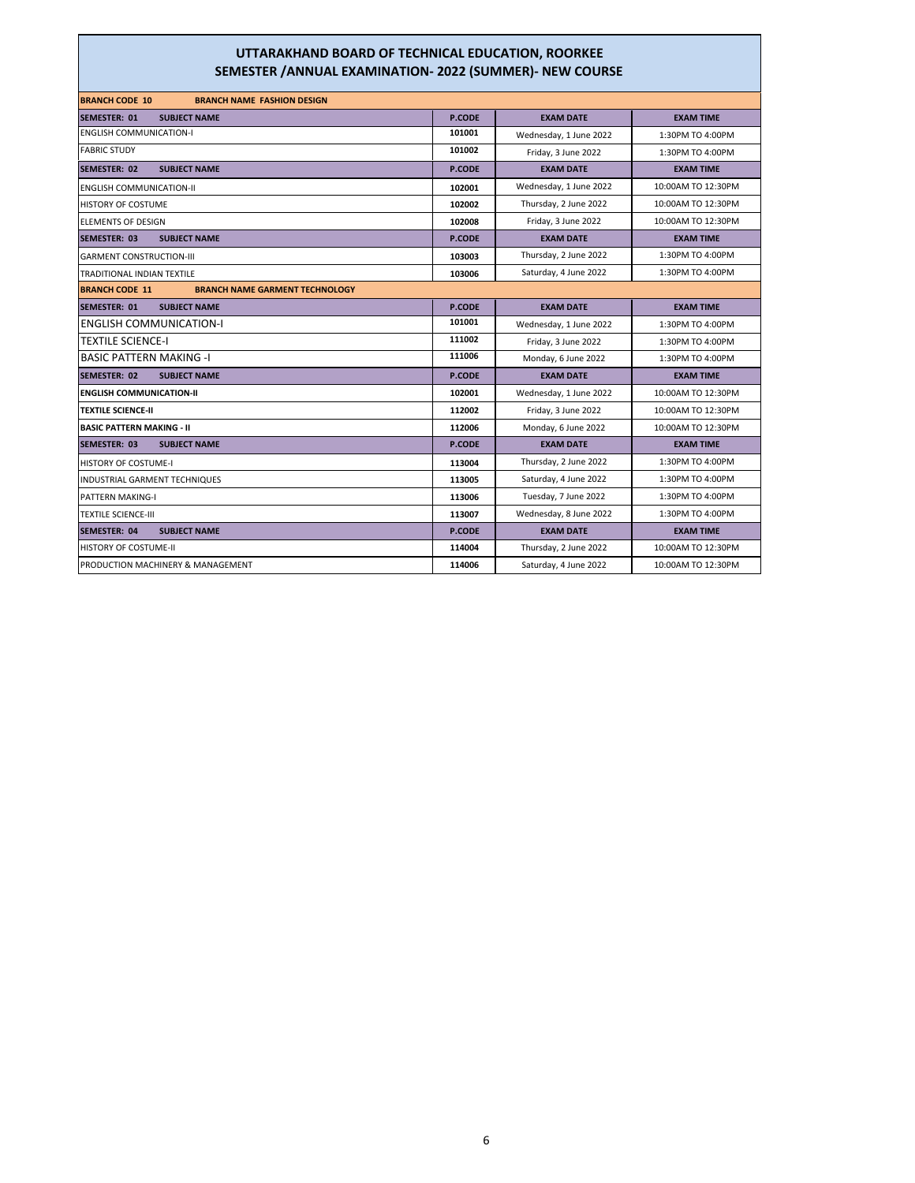| <b>BRANCH CODE 10</b><br><b>BRANCH NAME FASHION DESIGN</b>     |               |                        |                    |
|----------------------------------------------------------------|---------------|------------------------|--------------------|
| <b>SEMESTER: 01</b><br><b>SUBJECT NAME</b>                     | <b>P.CODE</b> | <b>EXAM DATE</b>       | <b>EXAM TIME</b>   |
| <b>ENGLISH COMMUNICATION-I</b>                                 | 101001        | Wednesday, 1 June 2022 | 1:30PM TO 4:00PM   |
| <b>FABRIC STUDY</b>                                            | 101002        | Friday, 3 June 2022    | 1:30PM TO 4:00PM   |
| <b>SEMESTER: 02</b><br><b>SUBJECT NAME</b>                     | <b>P.CODE</b> | <b>EXAM DATE</b>       | <b>EXAM TIME</b>   |
| <b>ENGLISH COMMUNICATION-II</b>                                | 102001        | Wednesday, 1 June 2022 | 10:00AM TO 12:30PM |
| <b>HISTORY OF COSTUME</b>                                      | 102002        | Thursday, 2 June 2022  | 10:00AM TO 12:30PM |
| <b>ELEMENTS OF DESIGN</b>                                      | 102008        | Friday, 3 June 2022    | 10:00AM TO 12:30PM |
| <b>SEMESTER: 03</b><br><b>SUBJECT NAME</b>                     | <b>P.CODE</b> | <b>EXAM DATE</b>       | <b>EXAM TIME</b>   |
| <b>GARMENT CONSTRUCTION-III</b>                                | 103003        | Thursday, 2 June 2022  | 1:30PM TO 4:00PM   |
| <b>TRADITIONAL INDIAN TEXTILE</b>                              | 103006        | Saturday, 4 June 2022  | 1:30PM TO 4:00PM   |
| <b>BRANCH CODE 11</b><br><b>BRANCH NAME GARMENT TECHNOLOGY</b> |               |                        |                    |
| <b>SUBJECT NAME</b><br><b>SEMESTER: 01</b>                     | P.CODE        | <b>EXAM DATE</b>       | <b>EXAM TIME</b>   |
| <b>ENGLISH COMMUNICATION-I</b>                                 | 101001        | Wednesday, 1 June 2022 | 1:30PM TO 4:00PM   |
| <b>TEXTILE SCIENCE-I</b>                                       | 111002        | Friday, 3 June 2022    | 1:30PM TO 4:00PM   |
| <b>BASIC PATTERN MAKING -I</b>                                 | 111006        | Monday, 6 June 2022    | 1:30PM TO 4:00PM   |
| <b>SEMESTER: 02</b><br><b>SUBJECT NAME</b>                     | <b>P.CODE</b> | <b>EXAM DATE</b>       | <b>EXAM TIME</b>   |
| <b>ENGLISH COMMUNICATION-II</b>                                | 102001        | Wednesday, 1 June 2022 | 10:00AM TO 12:30PM |
| <b>TEXTILE SCIENCE-II</b>                                      | 112002        | Friday, 3 June 2022    | 10:00AM TO 12:30PM |
| <b>BASIC PATTERN MAKING - II</b>                               | 112006        | Monday, 6 June 2022    | 10:00AM TO 12:30PM |
| <b>SEMESTER: 03</b><br><b>SUBJECT NAME</b>                     | <b>P.CODE</b> | <b>EXAM DATE</b>       | <b>EXAM TIME</b>   |
| HISTORY OF COSTUME-I                                           | 113004        | Thursday, 2 June 2022  | 1:30PM TO 4:00PM   |
| <b>INDUSTRIAL GARMENT TECHNIQUES</b>                           | 113005        | Saturday, 4 June 2022  | 1:30PM TO 4:00PM   |
| <b>PATTERN MAKING-I</b>                                        | 113006        | Tuesday, 7 June 2022   | 1:30PM TO 4:00PM   |
| <b>TEXTILE SCIENCE-III</b>                                     | 113007        | Wednesday, 8 June 2022 | 1:30PM TO 4:00PM   |
| SEMESTER: 04<br><b>SUBJECT NAME</b>                            | P.CODE        | <b>EXAM DATE</b>       | <b>EXAM TIME</b>   |
| HISTORY OF COSTUME-II                                          | 114004        | Thursday, 2 June 2022  | 10:00AM TO 12:30PM |
| <b>PRODUCTION MACHINERY &amp; MANAGEMENT</b>                   | 114006        | Saturday, 4 June 2022  | 10:00AM TO 12:30PM |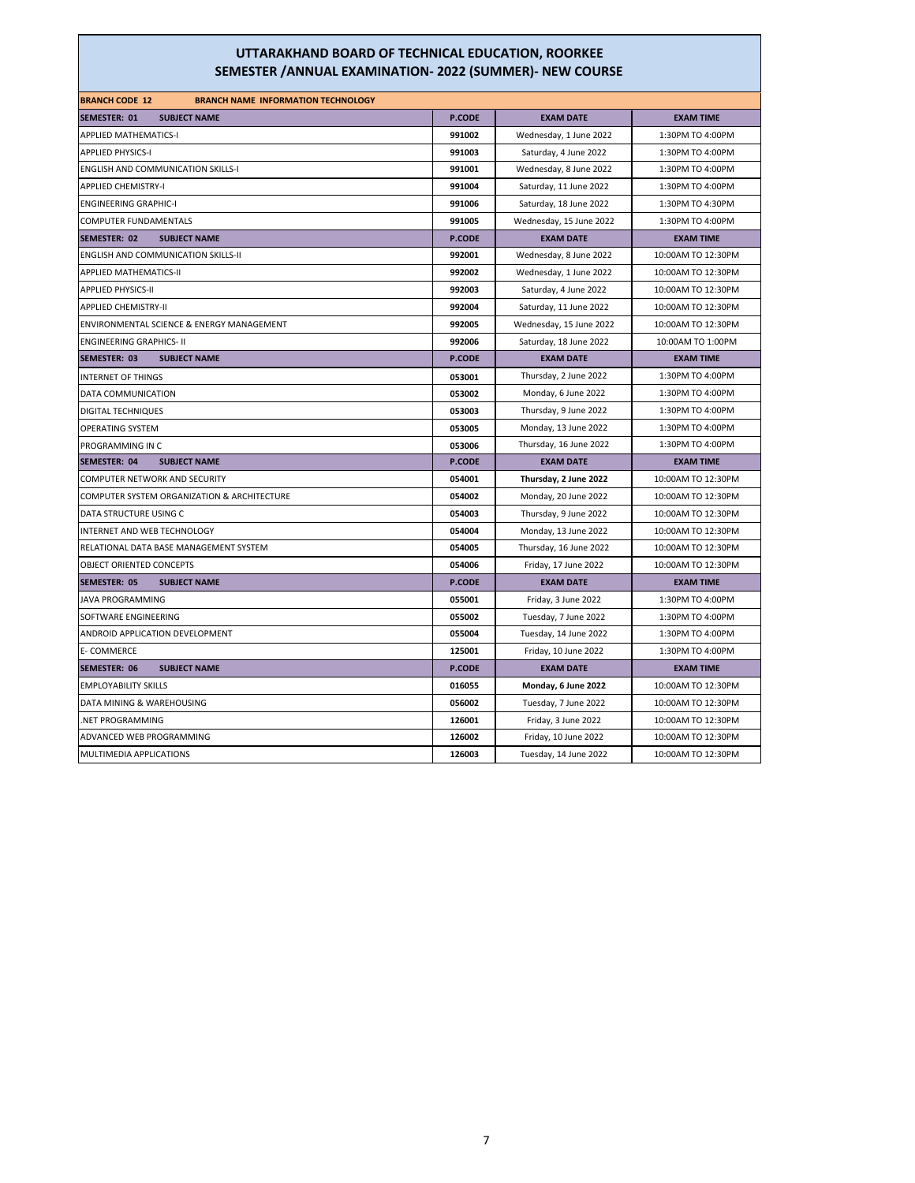| <b>BRANCH CODE 12</b><br><b>BRANCH NAME INFORMATION TECHNOLOGY</b> |               |                         |                    |
|--------------------------------------------------------------------|---------------|-------------------------|--------------------|
| SEMESTER: 01<br><b>SUBJECT NAME</b>                                | <b>P.CODE</b> | <b>EXAM DATE</b>        | <b>EXAM TIME</b>   |
| APPLIED MATHEMATICS-I                                              | 991002        | Wednesday, 1 June 2022  | 1:30PM TO 4:00PM   |
| <b>APPLIED PHYSICS-I</b>                                           | 991003        | Saturday, 4 June 2022   | 1:30PM TO 4:00PM   |
| <b>ENGLISH AND COMMUNICATION SKILLS-I</b>                          | 991001        | Wednesday, 8 June 2022  | 1:30PM TO 4:00PM   |
| <b>APPLIED CHEMISTRY-I</b>                                         | 991004        | Saturday, 11 June 2022  | 1:30PM TO 4:00PM   |
| <b>ENGINEERING GRAPHIC-I</b>                                       | 991006        | Saturday, 18 June 2022  | 1:30PM TO 4:30PM   |
| COMPUTER FUNDAMENTALS                                              | 991005        | Wednesday, 15 June 2022 | 1:30PM TO 4:00PM   |
| SEMESTER: 02<br><b>SUBJECT NAME</b>                                | <b>P.CODE</b> | <b>EXAM DATE</b>        | <b>EXAM TIME</b>   |
| ENGLISH AND COMMUNICATION SKILLS-II                                | 992001        | Wednesday, 8 June 2022  | 10:00AM TO 12:30PM |
| APPLIED MATHEMATICS-II                                             | 992002        | Wednesday, 1 June 2022  | 10:00AM TO 12:30PM |
| APPLIED PHYSICS-II                                                 | 992003        | Saturday, 4 June 2022   | 10:00AM TO 12:30PM |
| <b>APPLIED CHEMISTRY-II</b>                                        | 992004        | Saturday, 11 June 2022  | 10:00AM TO 12:30PM |
| ENVIRONMENTAL SCIENCE & ENERGY MANAGEMENT                          | 992005        | Wednesday, 15 June 2022 | 10:00AM TO 12:30PM |
| <b>ENGINEERING GRAPHICS- II</b>                                    | 992006        | Saturday, 18 June 2022  | 10:00AM TO 1:00PM  |
| SEMESTER: 03<br><b>SUBJECT NAME</b>                                | <b>P.CODE</b> | <b>EXAM DATE</b>        | <b>EXAM TIME</b>   |
| <b>INTERNET OF THINGS</b>                                          | 053001        | Thursday, 2 June 2022   | 1:30PM TO 4:00PM   |
| DATA COMMUNICATION                                                 | 053002        | Monday, 6 June 2022     | 1:30PM TO 4:00PM   |
| <b>DIGITAL TECHNIQUES</b>                                          | 053003        | Thursday, 9 June 2022   | 1:30PM TO 4:00PM   |
| OPERATING SYSTEM                                                   | 053005        | Monday, 13 June 2022    | 1:30PM TO 4:00PM   |
| PROGRAMMING IN C                                                   | 053006        | Thursday, 16 June 2022  | 1:30PM TO 4:00PM   |
| SEMESTER: 04<br><b>SUBJECT NAME</b>                                | <b>P.CODE</b> | <b>EXAM DATE</b>        | <b>EXAM TIME</b>   |
| COMPUTER NETWORK AND SECURITY                                      | 054001        | Thursday, 2 June 2022   | 10:00AM TO 12:30PM |
| COMPUTER SYSTEM ORGANIZATION & ARCHITECTURE                        | 054002        | Monday, 20 June 2022    | 10:00AM TO 12:30PM |
| DATA STRUCTURE USING C                                             | 054003        | Thursday, 9 June 2022   | 10:00AM TO 12:30PM |
| INTERNET AND WEB TECHNOLOGY                                        | 054004        | Monday, 13 June 2022    | 10:00AM TO 12:30PM |
| RELATIONAL DATA BASE MANAGEMENT SYSTEM                             | 054005        | Thursday, 16 June 2022  | 10:00AM TO 12:30PM |
| OBJECT ORIENTED CONCEPTS                                           | 054006        | Friday, 17 June 2022    | 10:00AM TO 12:30PM |
| <b>SUBJECT NAME</b><br>SEMESTER: 05                                | <b>P.CODE</b> | <b>EXAM DATE</b>        | <b>EXAM TIME</b>   |
| JAVA PROGRAMMING                                                   | 055001        | Friday, 3 June 2022     | 1:30PM TO 4:00PM   |
| SOFTWARE ENGINEERING                                               | 055002        | Tuesday, 7 June 2022    | 1:30PM TO 4:00PM   |
| ANDROID APPLICATION DEVELOPMENT                                    | 055004        | Tuesday, 14 June 2022   | 1:30PM TO 4:00PM   |
| E-COMMERCE                                                         | 125001        | Friday, 10 June 2022    | 1:30PM TO 4:00PM   |
| SEMESTER: 06<br><b>SUBJECT NAME</b>                                | <b>P.CODE</b> | <b>EXAM DATE</b>        | <b>EXAM TIME</b>   |
| <b>EMPLOYABILITY SKILLS</b>                                        | 016055        | Monday, 6 June 2022     | 10:00AM TO 12:30PM |
| DATA MINING & WAREHOUSING                                          | 056002        | Tuesday, 7 June 2022    | 10:00AM TO 12:30PM |
| .NET PROGRAMMING                                                   | 126001        | Friday, 3 June 2022     | 10:00AM TO 12:30PM |
| ADVANCED WEB PROGRAMMING                                           | 126002        | Friday, 10 June 2022    | 10:00AM TO 12:30PM |
| MULTIMEDIA APPLICATIONS                                            | 126003        | Tuesday, 14 June 2022   | 10:00AM TO 12:30PM |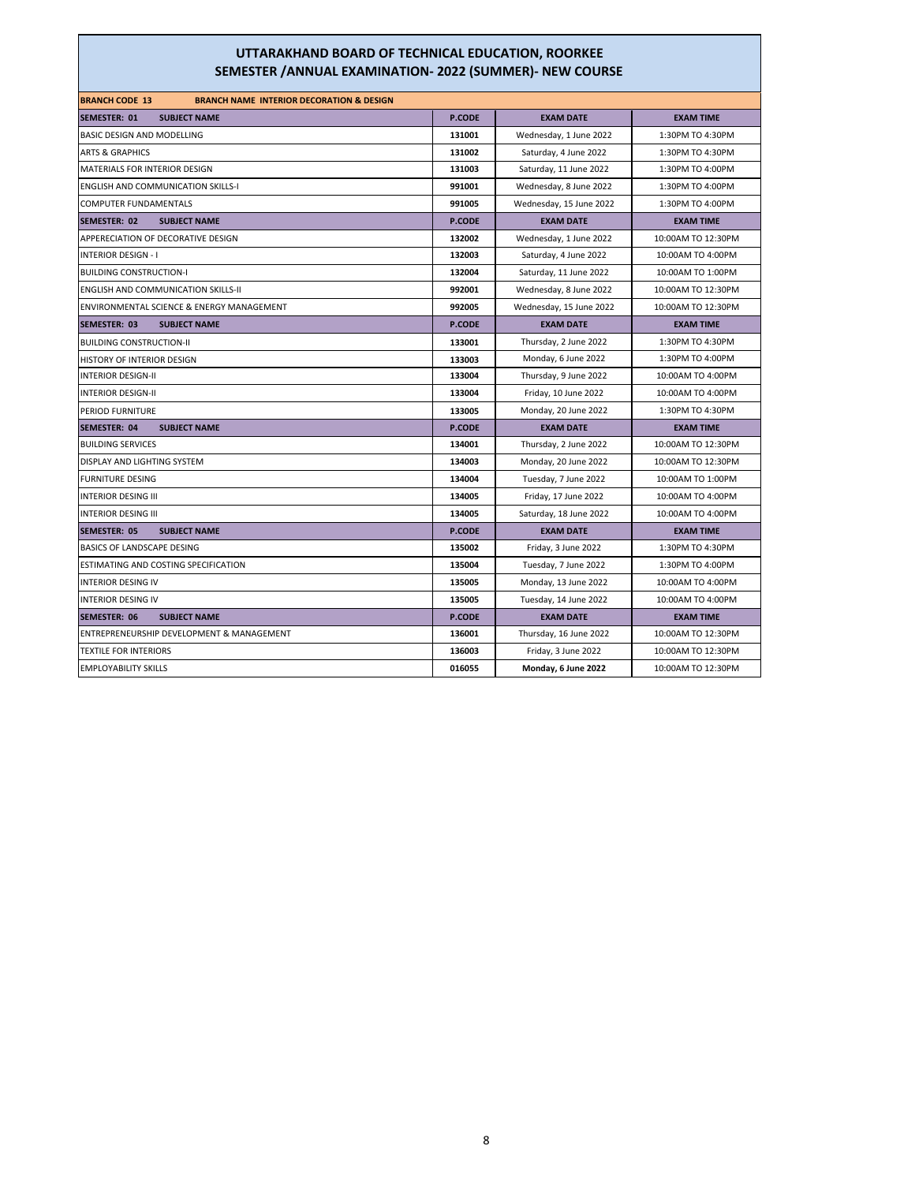| <b>BRANCH CODE 13</b><br><b>BRANCH NAME INTERIOR DECORATION &amp; DESIGN</b> |               |                         |                    |
|------------------------------------------------------------------------------|---------------|-------------------------|--------------------|
| <b>SEMESTER: 01</b><br><b>SUBJECT NAME</b>                                   | P.CODE        | <b>EXAM DATE</b>        | <b>EXAM TIME</b>   |
| BASIC DESIGN AND MODELLING                                                   | 131001        | Wednesday, 1 June 2022  | 1:30PM TO 4:30PM   |
| <b>ARTS &amp; GRAPHICS</b>                                                   | 131002        | Saturday, 4 June 2022   | 1:30PM TO 4:30PM   |
| <b>MATERIALS FOR INTERIOR DESIGN</b>                                         | 131003        | Saturday, 11 June 2022  | 1:30PM TO 4:00PM   |
| <b>ENGLISH AND COMMUNICATION SKILLS-I</b>                                    | 991001        | Wednesday, 8 June 2022  | 1:30PM TO 4:00PM   |
| <b>COMPUTER FUNDAMENTALS</b>                                                 | 991005        | Wednesday, 15 June 2022 | 1:30PM TO 4:00PM   |
| SEMESTER: 02<br><b>SUBJECT NAME</b>                                          | P.CODE        | <b>EXAM DATE</b>        | <b>EXAM TIME</b>   |
| APPERECIATION OF DECORATIVE DESIGN                                           | 132002        | Wednesday, 1 June 2022  | 10:00AM TO 12:30PM |
| <b>INTERIOR DESIGN - I</b>                                                   | 132003        | Saturday, 4 June 2022   | 10:00AM TO 4:00PM  |
| <b>BUILDING CONSTRUCTION-I</b>                                               | 132004        | Saturday, 11 June 2022  | 10:00AM TO 1:00PM  |
| <b>ENGLISH AND COMMUNICATION SKILLS-II</b>                                   | 992001        | Wednesday, 8 June 2022  | 10:00AM TO 12:30PM |
| ENVIRONMENTAL SCIENCE & ENERGY MANAGEMENT                                    | 992005        | Wednesday, 15 June 2022 | 10:00AM TO 12:30PM |
| <b>SEMESTER: 03</b><br><b>SUBJECT NAME</b>                                   | <b>P.CODE</b> | <b>EXAM DATE</b>        | <b>EXAM TIME</b>   |
| <b>BUILDING CONSTRUCTION-II</b>                                              | 133001        | Thursday, 2 June 2022   | 1:30PM TO 4:30PM   |
| HISTORY OF INTERIOR DESIGN                                                   | 133003        | Monday, 6 June 2022     | 1:30PM TO 4:00PM   |
| <b>INTERIOR DESIGN-II</b>                                                    | 133004        | Thursday, 9 June 2022   | 10:00AM TO 4:00PM  |
| <b>INTERIOR DESIGN-II</b>                                                    | 133004        | Friday, 10 June 2022    | 10:00AM TO 4:00PM  |
| PERIOD FURNITURE                                                             | 133005        | Monday, 20 June 2022    | 1:30PM TO 4:30PM   |
| <b>SEMESTER: 04</b><br><b>SUBJECT NAME</b>                                   | P.CODE        | <b>EXAM DATE</b>        | <b>EXAM TIME</b>   |
| <b>BUILDING SERVICES</b>                                                     | 134001        | Thursday, 2 June 2022   | 10:00AM TO 12:30PM |
| DISPLAY AND LIGHTING SYSTEM                                                  | 134003        | Monday, 20 June 2022    | 10:00AM TO 12:30PM |
| <b>FURNITURE DESING</b>                                                      | 134004        | Tuesday, 7 June 2022    | 10:00AM TO 1:00PM  |
| <b>INTERIOR DESING III</b>                                                   | 134005        | Friday, 17 June 2022    | 10:00AM TO 4:00PM  |
| <b>INTERIOR DESING III</b>                                                   | 134005        | Saturday, 18 June 2022  | 10:00AM TO 4:00PM  |
| <b>SEMESTER: 05</b><br><b>SUBJECT NAME</b>                                   | <b>P.CODE</b> | <b>EXAM DATE</b>        | <b>EXAM TIME</b>   |
| BASICS OF LANDSCAPE DESING                                                   | 135002        | Friday, 3 June 2022     | 1:30PM TO 4:30PM   |
| ESTIMATING AND COSTING SPECIFICATION                                         | 135004        | Tuesday, 7 June 2022    | 1:30PM TO 4:00PM   |
| <b>INTERIOR DESING IV</b>                                                    | 135005        | Monday, 13 June 2022    | 10:00AM TO 4:00PM  |
| <b>INTERIOR DESING IV</b>                                                    | 135005        | Tuesday, 14 June 2022   | 10:00AM TO 4:00PM  |
| <b>SEMESTER: 06</b><br><b>SUBJECT NAME</b>                                   | <b>P.CODE</b> | <b>EXAM DATE</b>        | <b>EXAM TIME</b>   |
| ENTREPRENEURSHIP DEVELOPMENT & MANAGEMENT                                    | 136001        | Thursday, 16 June 2022  | 10:00AM TO 12:30PM |
| <b>TEXTILE FOR INTERIORS</b>                                                 | 136003        | Friday, 3 June 2022     | 10:00AM TO 12:30PM |
| <b>EMPLOYABILITY SKILLS</b>                                                  | 016055        | Monday, 6 June 2022     | 10:00AM TO 12:30PM |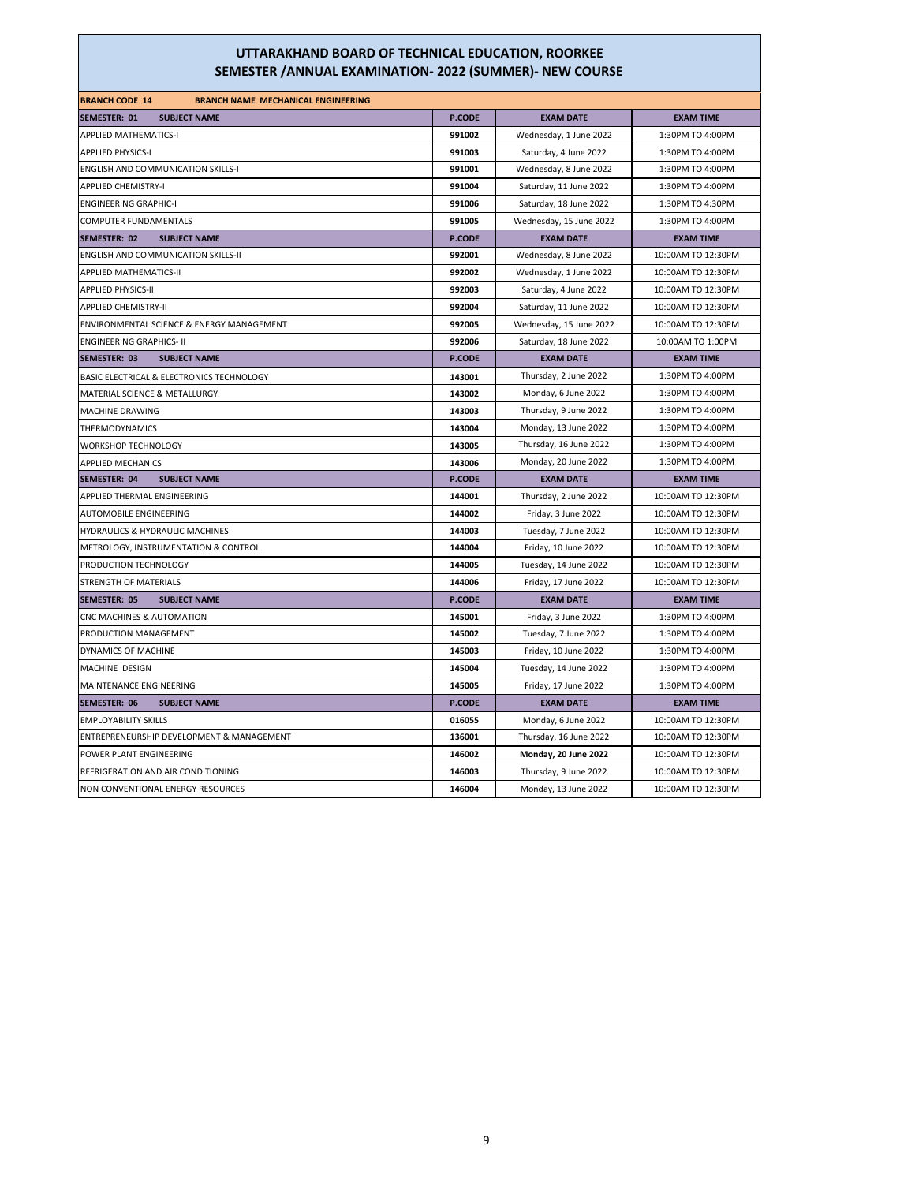| <b>BRANCH CODE 14</b><br><b>BRANCH NAME MECHANICAL ENGINEERING</b> |               |                         |                    |
|--------------------------------------------------------------------|---------------|-------------------------|--------------------|
| SEMESTER: 01<br><b>SUBJECT NAME</b>                                | <b>P.CODE</b> | <b>EXAM DATE</b>        | <b>EXAM TIME</b>   |
| <b>APPLIED MATHEMATICS-I</b>                                       | 991002        | Wednesday, 1 June 2022  | 1:30PM TO 4:00PM   |
| <b>APPLIED PHYSICS-I</b>                                           | 991003        | Saturday, 4 June 2022   | 1:30PM TO 4:00PM   |
| <b>ENGLISH AND COMMUNICATION SKILLS-I</b>                          | 991001        | Wednesday, 8 June 2022  | 1:30PM TO 4:00PM   |
| <b>APPLIED CHEMISTRY-I</b>                                         | 991004        | Saturday, 11 June 2022  | 1:30PM TO 4:00PM   |
| <b>ENGINEERING GRAPHIC-I</b>                                       | 991006        | Saturday, 18 June 2022  | 1:30PM TO 4:30PM   |
| COMPUTER FUNDAMENTALS                                              | 991005        | Wednesday, 15 June 2022 | 1:30PM TO 4:00PM   |
| SEMESTER: 02<br><b>SUBJECT NAME</b>                                | <b>P.CODE</b> | <b>EXAM DATE</b>        | <b>EXAM TIME</b>   |
| <b>ENGLISH AND COMMUNICATION SKILLS-II</b>                         | 992001        | Wednesday, 8 June 2022  | 10:00AM TO 12:30PM |
| APPLIED MATHEMATICS-II                                             | 992002        | Wednesday, 1 June 2022  | 10:00AM TO 12:30PM |
| <b>APPLIED PHYSICS-II</b>                                          | 992003        | Saturday, 4 June 2022   | 10:00AM TO 12:30PM |
| <b>APPLIED CHEMISTRY-II</b>                                        | 992004        | Saturday, 11 June 2022  | 10:00AM TO 12:30PM |
| ENVIRONMENTAL SCIENCE & ENERGY MANAGEMENT                          | 992005        | Wednesday, 15 June 2022 | 10:00AM TO 12:30PM |
| <b>ENGINEERING GRAPHICS- II</b>                                    | 992006        | Saturday, 18 June 2022  | 10:00AM TO 1:00PM  |
| SEMESTER: 03<br><b>SUBJECT NAME</b>                                | <b>P.CODE</b> | <b>EXAM DATE</b>        | <b>EXAM TIME</b>   |
| BASIC ELECTRICAL & ELECTRONICS TECHNOLOGY                          | 143001        | Thursday, 2 June 2022   | 1:30PM TO 4:00PM   |
| MATERIAL SCIENCE & METALLURGY                                      | 143002        | Monday, 6 June 2022     | 1:30PM TO 4:00PM   |
| MACHINE DRAWING                                                    | 143003        | Thursday, 9 June 2022   | 1:30PM TO 4:00PM   |
| THERMODYNAMICS                                                     | 143004        | Monday, 13 June 2022    | 1:30PM TO 4:00PM   |
| <b>WORKSHOP TECHNOLOGY</b>                                         | 143005        | Thursday, 16 June 2022  | 1:30PM TO 4:00PM   |
| <b>APPLIED MECHANICS</b>                                           | 143006        | Monday, 20 June 2022    | 1:30PM TO 4:00PM   |
| SEMESTER: 04<br><b>SUBJECT NAME</b>                                | <b>P.CODE</b> | <b>EXAM DATE</b>        | <b>EXAM TIME</b>   |
| APPLIED THERMAL ENGINEERING                                        | 144001        | Thursday, 2 June 2022   | 10:00AM TO 12:30PM |
| AUTOMOBILE ENGINEERING                                             | 144002        | Friday, 3 June 2022     | 10:00AM TO 12:30PM |
| HYDRAULICS & HYDRAULIC MACHINES                                    | 144003        | Tuesday, 7 June 2022    | 10:00AM TO 12:30PM |
| METROLOGY, INSTRUMENTATION & CONTROL                               | 144004        | Friday, 10 June 2022    | 10:00AM TO 12:30PM |
| PRODUCTION TECHNOLOGY                                              | 144005        | Tuesday, 14 June 2022   | 10:00AM TO 12:30PM |
| STRENGTH OF MATERIALS                                              | 144006        | Friday, 17 June 2022    | 10:00AM TO 12:30PM |
| <b>SEMESTER: 05</b><br><b>SUBJECT NAME</b>                         | <b>P.CODE</b> | <b>EXAM DATE</b>        | <b>EXAM TIME</b>   |
| CNC MACHINES & AUTOMATION                                          | 145001        | Friday, 3 June 2022     | 1:30PM TO 4:00PM   |
| PRODUCTION MANAGEMENT                                              | 145002        | Tuesday, 7 June 2022    | 1:30PM TO 4:00PM   |
| DYNAMICS OF MACHINE                                                | 145003        | Friday, 10 June 2022    | 1:30PM TO 4:00PM   |
| MACHINE DESIGN                                                     | 145004        | Tuesday, 14 June 2022   | 1:30PM TO 4:00PM   |
| MAINTENANCE ENGINEERING                                            | 145005        | Friday, 17 June 2022    | 1:30PM TO 4:00PM   |
| <b>SUBJECT NAME</b><br>SEMESTER: 06                                | <b>P.CODE</b> | <b>EXAM DATE</b>        | <b>EXAM TIME</b>   |
| <b>EMPLOYABILITY SKILLS</b>                                        | 016055        | Monday, 6 June 2022     | 10:00AM TO 12:30PM |
| ENTREPRENEURSHIP DEVELOPMENT & MANAGEMENT                          | 136001        | Thursday, 16 June 2022  | 10:00AM TO 12:30PM |
| POWER PLANT ENGINEERING                                            | 146002        | Monday, 20 June 2022    | 10:00AM TO 12:30PM |
| REFRIGERATION AND AIR CONDITIONING                                 | 146003        | Thursday, 9 June 2022   | 10:00AM TO 12:30PM |
| NON CONVENTIONAL ENERGY RESOURCES                                  | 146004        | Monday, 13 June 2022    | 10:00AM TO 12:30PM |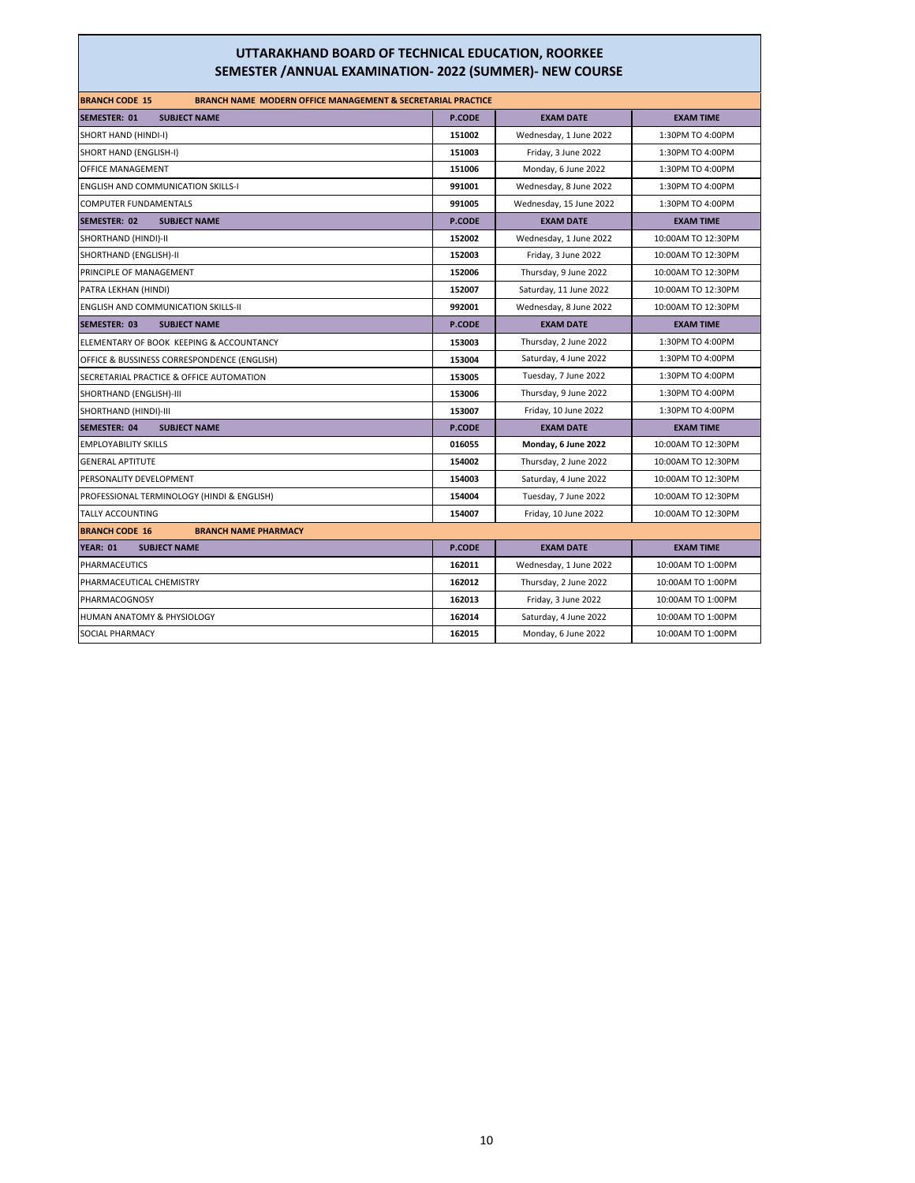| <b>BRANCH CODE 15</b><br><b>BRANCH NAME MODERN OFFICE MANAGEMENT &amp; SECRETARIAL PRACTICE</b> |               |                         |                    |
|-------------------------------------------------------------------------------------------------|---------------|-------------------------|--------------------|
| <b>SEMESTER: 01</b><br><b>SUBJECT NAME</b>                                                      | P.CODE        | <b>EXAM DATE</b>        | <b>EXAM TIME</b>   |
| SHORT HAND (HINDI-I)                                                                            | 151002        | Wednesday, 1 June 2022  | 1:30PM TO 4:00PM   |
| SHORT HAND (ENGLISH-I)                                                                          | 151003        | Friday, 3 June 2022     | 1:30PM TO 4:00PM   |
| OFFICE MANAGEMENT                                                                               | 151006        | Monday, 6 June 2022     | 1:30PM TO 4:00PM   |
| <b>ENGLISH AND COMMUNICATION SKILLS-I</b>                                                       | 991001        | Wednesday, 8 June 2022  | 1:30PM TO 4:00PM   |
| COMPUTER FUNDAMENTALS                                                                           | 991005        | Wednesday, 15 June 2022 | 1:30PM TO 4:00PM   |
| <b>SEMESTER: 02</b><br><b>SUBJECT NAME</b>                                                      | <b>P.CODE</b> | <b>EXAM DATE</b>        | <b>EXAM TIME</b>   |
| SHORTHAND (HINDI)-II                                                                            | 152002        | Wednesday, 1 June 2022  | 10:00AM TO 12:30PM |
| SHORTHAND (ENGLISH)-II                                                                          | 152003        | Friday, 3 June 2022     | 10:00AM TO 12:30PM |
| PRINCIPLE OF MANAGEMENT                                                                         | 152006        | Thursday, 9 June 2022   | 10:00AM TO 12:30PM |
| PATRA LEKHAN (HINDI)                                                                            | 152007        | Saturday, 11 June 2022  | 10:00AM TO 12:30PM |
| <b>ENGLISH AND COMMUNICATION SKILLS-II</b>                                                      | 992001        | Wednesday, 8 June 2022  | 10:00AM TO 12:30PM |
| <b>SEMESTER: 03</b><br><b>SUBJECT NAME</b>                                                      | <b>P.CODE</b> | <b>EXAM DATE</b>        | <b>EXAM TIME</b>   |
| ELEMENTARY OF BOOK KEEPING & ACCOUNTANCY                                                        | 153003        | Thursday, 2 June 2022   | 1:30PM TO 4:00PM   |
| OFFICE & BUSSINESS CORRESPONDENCE (ENGLISH)                                                     | 153004        | Saturday, 4 June 2022   | 1:30PM TO 4:00PM   |
| SECRETARIAL PRACTICE & OFFICE AUTOMATION                                                        | 153005        | Tuesday, 7 June 2022    | 1:30PM TO 4:00PM   |
| SHORTHAND (ENGLISH)-III                                                                         | 153006        | Thursday, 9 June 2022   | 1:30PM TO 4:00PM   |
| SHORTHAND (HINDI)-III                                                                           | 153007        | Friday, 10 June 2022    | 1:30PM TO 4:00PM   |
| <b>SEMESTER: 04</b><br><b>SUBJECT NAME</b>                                                      | P.CODE        | <b>EXAM DATE</b>        | <b>EXAM TIME</b>   |
| <b>EMPLOYABILITY SKILLS</b>                                                                     | 016055        | Monday, 6 June 2022     | 10:00AM TO 12:30PM |
| <b>GENERAL APTITUTE</b>                                                                         | 154002        | Thursday, 2 June 2022   | 10:00AM TO 12:30PM |
| PERSONALITY DEVELOPMENT                                                                         | 154003        | Saturday, 4 June 2022   | 10:00AM TO 12:30PM |
| PROFESSIONAL TERMINOLOGY (HINDI & ENGLISH)                                                      | 154004        | Tuesday, 7 June 2022    | 10:00AM TO 12:30PM |
| <b>TALLY ACCOUNTING</b>                                                                         | 154007        | Friday, 10 June 2022    | 10:00AM TO 12:30PM |
| <b>BRANCH CODE 16</b><br><b>BRANCH NAME PHARMACY</b>                                            |               |                         |                    |
| <b>YEAR: 01</b><br><b>SUBJECT NAME</b>                                                          | <b>P.CODE</b> | <b>EXAM DATE</b>        | <b>EXAM TIME</b>   |
| PHARMACEUTICS                                                                                   | 162011        | Wednesday, 1 June 2022  | 10:00AM TO 1:00PM  |
| PHARMACEUTICAL CHEMISTRY                                                                        | 162012        | Thursday, 2 June 2022   | 10:00AM TO 1:00PM  |
| PHARMACOGNOSY                                                                                   | 162013        | Friday, 3 June 2022     | 10:00AM TO 1:00PM  |
| HUMAN ANATOMY & PHYSIOLOGY                                                                      | 162014        | Saturday, 4 June 2022   | 10:00AM TO 1:00PM  |
| <b>SOCIAL PHARMACY</b>                                                                          | 162015        | Monday, 6 June 2022     | 10:00AM TO 1:00PM  |
|                                                                                                 |               |                         |                    |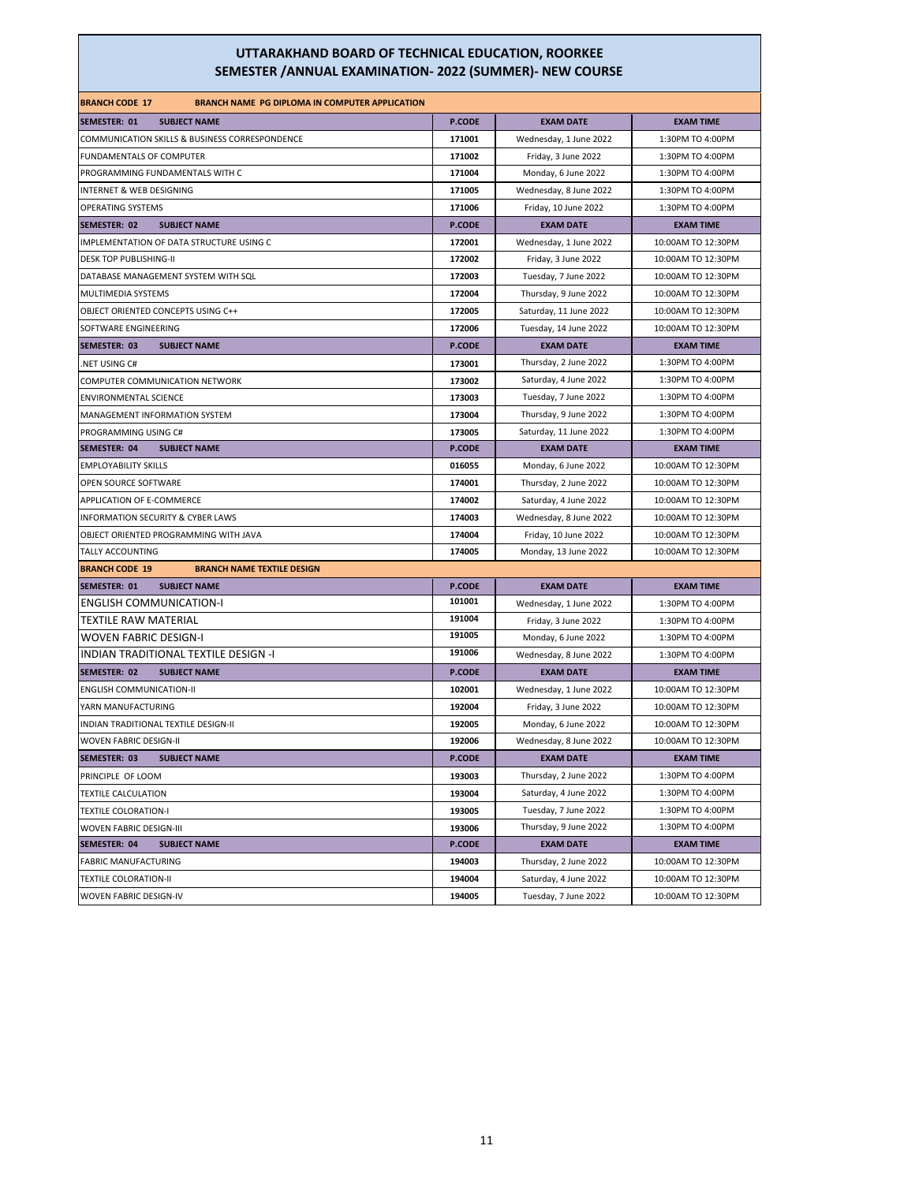| <b>BRANCH CODE 17</b><br><b>BRANCH NAME PG DIPLOMA IN COMPUTER APPLICATION</b> |               |                        |                    |
|--------------------------------------------------------------------------------|---------------|------------------------|--------------------|
| <b>SEMESTER: 01</b><br><b>SUBJECT NAME</b>                                     | P.CODE        | <b>EXAM DATE</b>       | <b>EXAM TIME</b>   |
| COMMUNICATION SKILLS & BUSINESS CORRESPONDENCE                                 | 171001        | Wednesday, 1 June 2022 | 1:30PM TO 4:00PM   |
| FUNDAMENTALS OF COMPUTER                                                       | 171002        | Friday, 3 June 2022    | 1:30PM TO 4:00PM   |
| PROGRAMMING FUNDAMENTALS WITH C                                                | 171004        | Monday, 6 June 2022    | 1:30PM TO 4:00PM   |
| INTERNET & WEB DESIGNING                                                       | 171005        | Wednesday, 8 June 2022 | 1:30PM TO 4:00PM   |
| OPERATING SYSTEMS                                                              | 171006        | Friday, 10 June 2022   | 1:30PM TO 4:00PM   |
| <b>SEMESTER: 02</b><br><b>SUBJECT NAME</b>                                     | <b>P.CODE</b> | <b>EXAM DATE</b>       | <b>EXAM TIME</b>   |
| IMPLEMENTATION OF DATA STRUCTURE USING C                                       | 172001        | Wednesday, 1 June 2022 | 10:00AM TO 12:30PM |
| <b>DESK TOP PUBLISHING-II</b>                                                  | 172002        | Friday, 3 June 2022    | 10:00AM TO 12:30PM |
| DATABASE MANAGEMENT SYSTEM WITH SQL                                            | 172003        | Tuesday, 7 June 2022   | 10:00AM TO 12:30PM |
| MULTIMEDIA SYSTEMS                                                             | 172004        | Thursday, 9 June 2022  | 10:00AM TO 12:30PM |
| OBJECT ORIENTED CONCEPTS USING C++                                             | 172005        | Saturday, 11 June 2022 | 10:00AM TO 12:30PM |
| SOFTWARE ENGINEERING                                                           | 172006        | Tuesday, 14 June 2022  | 10:00AM TO 12:30PM |
| <b>SUBJECT NAME</b><br>SEMESTER: 03                                            | <b>P.CODE</b> | <b>EXAM DATE</b>       | <b>EXAM TIME</b>   |
| .NET USING C#                                                                  | 173001        | Thursday, 2 June 2022  | 1:30PM TO 4:00PM   |
| COMPUTER COMMUNICATION NETWORK                                                 | 173002        | Saturday, 4 June 2022  | 1:30PM TO 4:00PM   |
| <b>ENVIRONMENTAL SCIENCE</b>                                                   | 173003        | Tuesday, 7 June 2022   | 1:30PM TO 4:00PM   |
| MANAGEMENT INFORMATION SYSTEM                                                  | 173004        | Thursday, 9 June 2022  | 1:30PM TO 4:00PM   |
| PROGRAMMING USING C#                                                           | 173005        | Saturday, 11 June 2022 | 1:30PM TO 4:00PM   |
| SEMESTER: 04<br><b>SUBJECT NAME</b>                                            | <b>P.CODE</b> | <b>EXAM DATE</b>       | <b>EXAM TIME</b>   |
| <b>EMPLOYABILITY SKILLS</b>                                                    | 016055        | Monday, 6 June 2022    | 10:00AM TO 12:30PM |
| OPEN SOURCE SOFTWARE                                                           | 174001        | Thursday, 2 June 2022  | 10:00AM TO 12:30PM |
| APPLICATION OF E-COMMERCE                                                      | 174002        | Saturday, 4 June 2022  | 10:00AM TO 12:30PM |
| INFORMATION SECURITY & CYBER LAWS                                              | 174003        | Wednesday, 8 June 2022 | 10:00AM TO 12:30PM |
| OBJECT ORIENTED PROGRAMMING WITH JAVA                                          | 174004        | Friday, 10 June 2022   | 10:00AM TO 12:30PM |
| TALLY ACCOUNTING                                                               | 174005        | Monday, 13 June 2022   | 10:00AM TO 12:30PM |
| <b>BRANCH CODE 19</b><br><b>BRANCH NAME TEXTILE DESIGN</b>                     |               |                        |                    |
| <b>SUBJECT NAME</b><br><b>SEMESTER: 01</b>                                     | <b>P.CODE</b> | <b>EXAM DATE</b>       | <b>EXAM TIME</b>   |
| <b>ENGLISH COMMUNICATION-I</b>                                                 | 101001        | Wednesday, 1 June 2022 | 1:30PM TO 4:00PM   |
| <b>TEXTILE RAW MATERIAL</b>                                                    | 191004        | Friday, 3 June 2022    | 1:30PM TO 4:00PM   |
| <b>WOVEN FABRIC DESIGN-I</b>                                                   | 191005        | Monday, 6 June 2022    | 1:30PM TO 4:00PM   |
| INDIAN TRADITIONAL TEXTILE DESIGN -I                                           | 191006        | Wednesday, 8 June 2022 | 1:30PM TO 4:00PM   |
| SEMESTER: 02<br><b>SUBJECT NAME</b>                                            | P.CODE        | <b>EXAM DATE</b>       | <b>EXAM TIME</b>   |
| <b>ENGLISH COMMUNICATION-II</b>                                                | 102001        | Wednesday, 1 June 2022 | 10:00AM TO 12:30PM |
| YARN MANUFACTURING                                                             | 192004        | Friday, 3 June 2022    | 10:00AM TO 12:30PM |
| INDIAN TRADITIONAL TEXTILE DESIGN-II                                           | 192005        | Monday, 6 June 2022    | 10:00AM TO 12:30PM |
| <b>WOVEN FABRIC DESIGN-II</b>                                                  | 192006        | Wednesday, 8 June 2022 | 10:00AM TO 12:30PM |
| SEMESTER: 03<br><b>SUBJECT NAME</b>                                            | <b>P.CODE</b> | <b>EXAM DATE</b>       | <b>EXAM TIME</b>   |
| PRINCIPLE OF LOOM                                                              | 193003        | Thursday, 2 June 2022  | 1:30PM TO 4:00PM   |
| <b>TEXTILE CALCULATION</b>                                                     | 193004        | Saturday, 4 June 2022  | 1:30PM TO 4:00PM   |
| <b>TEXTILE COLORATION-I</b>                                                    | 193005        | Tuesday, 7 June 2022   | 1:30PM TO 4:00PM   |
| <b>WOVEN FABRIC DESIGN-III</b>                                                 | 193006        | Thursday, 9 June 2022  | 1:30PM TO 4:00PM   |
| <b>SEMESTER: 04</b><br><b>SUBJECT NAME</b>                                     | P.CODE        | <b>EXAM DATE</b>       | <b>EXAM TIME</b>   |
| <b>FABRIC MANUFACTURING</b>                                                    | 194003        | Thursday, 2 June 2022  | 10:00AM TO 12:30PM |
| <b>TEXTILE COLORATION-II</b>                                                   | 194004        | Saturday, 4 June 2022  | 10:00AM TO 12:30PM |
| <b>WOVEN FABRIC DESIGN-IV</b>                                                  | 194005        | Tuesday, 7 June 2022   | 10:00AM TO 12:30PM |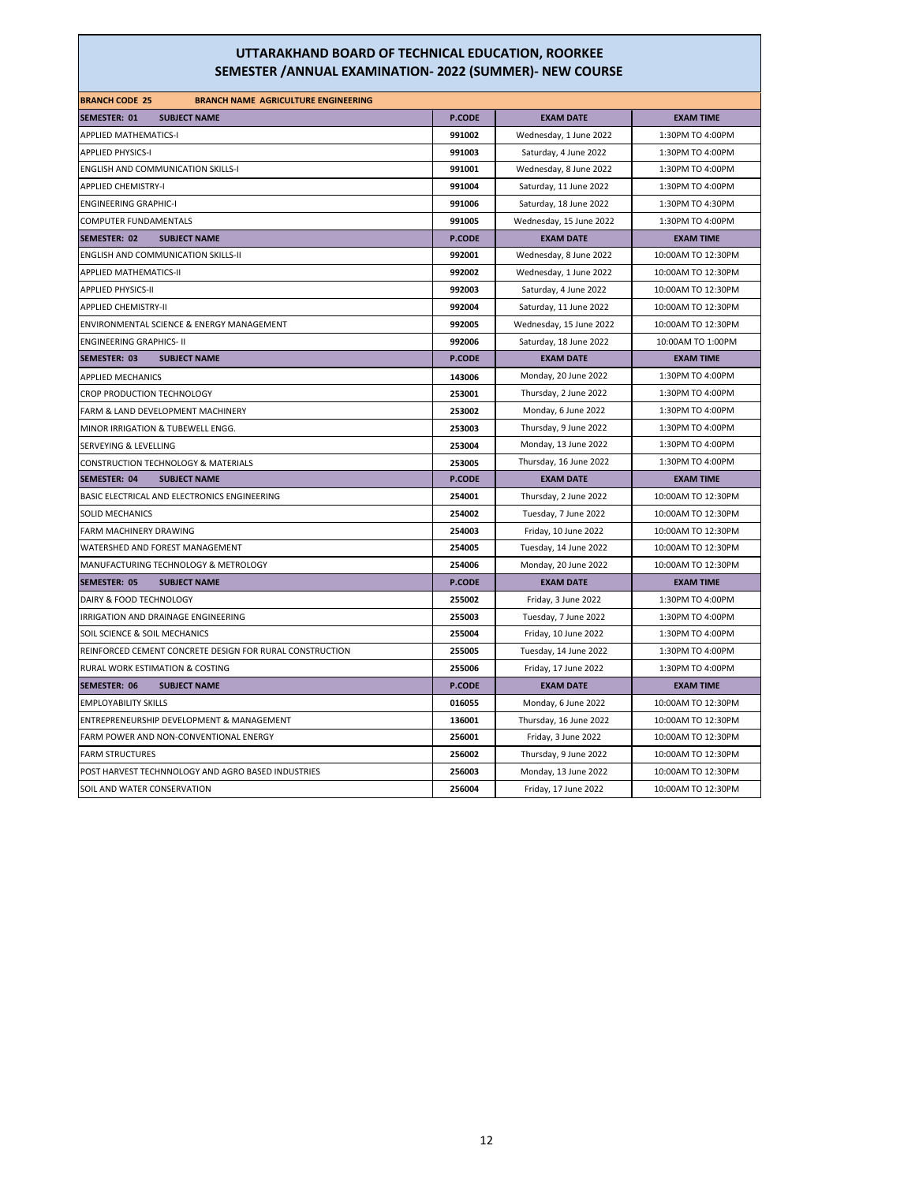| <b>BRANCH CODE 25</b><br><b>BRANCH NAME AGRICULTURE ENGINEERING</b> |               |                         |                    |
|---------------------------------------------------------------------|---------------|-------------------------|--------------------|
| SEMESTER: 01<br><b>SUBJECT NAME</b>                                 | <b>P.CODE</b> | <b>EXAM DATE</b>        | <b>EXAM TIME</b>   |
| <b>APPLIED MATHEMATICS-I</b>                                        | 991002        | Wednesday, 1 June 2022  | 1:30PM TO 4:00PM   |
| <b>APPLIED PHYSICS-I</b>                                            | 991003        | Saturday, 4 June 2022   | 1:30PM TO 4:00PM   |
| <b>ENGLISH AND COMMUNICATION SKILLS-I</b>                           | 991001        | Wednesday, 8 June 2022  | 1:30PM TO 4:00PM   |
| <b>APPLIED CHEMISTRY-I</b>                                          | 991004        | Saturday, 11 June 2022  | 1:30PM TO 4:00PM   |
| <b>ENGINEERING GRAPHIC-I</b>                                        | 991006        | Saturday, 18 June 2022  | 1:30PM TO 4:30PM   |
| COMPUTER FUNDAMENTALS                                               | 991005        | Wednesday, 15 June 2022 | 1:30PM TO 4:00PM   |
| SEMESTER: 02<br><b>SUBJECT NAME</b>                                 | <b>P.CODE</b> | <b>EXAM DATE</b>        | <b>EXAM TIME</b>   |
| <b>ENGLISH AND COMMUNICATION SKILLS-II</b>                          | 992001        | Wednesday, 8 June 2022  | 10:00AM TO 12:30PM |
| APPLIED MATHEMATICS-II                                              | 992002        | Wednesday, 1 June 2022  | 10:00AM TO 12:30PM |
| <b>APPLIED PHYSICS-II</b>                                           | 992003        | Saturday, 4 June 2022   | 10:00AM TO 12:30PM |
| <b>APPLIED CHEMISTRY-II</b>                                         | 992004        | Saturday, 11 June 2022  | 10:00AM TO 12:30PM |
| ENVIRONMENTAL SCIENCE & ENERGY MANAGEMENT                           | 992005        | Wednesday, 15 June 2022 | 10:00AM TO 12:30PM |
| <b>ENGINEERING GRAPHICS- II</b>                                     | 992006        | Saturday, 18 June 2022  | 10:00AM TO 1:00PM  |
| SEMESTER: 03<br><b>SUBJECT NAME</b>                                 | <b>P.CODE</b> | <b>EXAM DATE</b>        | <b>EXAM TIME</b>   |
| <b>APPLIED MECHANICS</b>                                            | 143006        | Monday, 20 June 2022    | 1:30PM TO 4:00PM   |
| CROP PRODUCTION TECHNOLOGY                                          | 253001        | Thursday, 2 June 2022   | 1:30PM TO 4:00PM   |
| FARM & LAND DEVELOPMENT MACHINERY                                   | 253002        | Monday, 6 June 2022     | 1:30PM TO 4:00PM   |
| MINOR IRRIGATION & TUBEWELL ENGG.                                   | 253003        | Thursday, 9 June 2022   | 1:30PM TO 4:00PM   |
| SERVEYING & LEVELLING                                               | 253004        | Monday, 13 June 2022    | 1:30PM TO 4:00PM   |
| CONSTRUCTION TECHNOLOGY & MATERIALS                                 | 253005        | Thursday, 16 June 2022  | 1:30PM TO 4:00PM   |
| SEMESTER: 04<br><b>SUBJECT NAME</b>                                 | <b>P.CODE</b> | <b>EXAM DATE</b>        | <b>EXAM TIME</b>   |
| BASIC ELECTRICAL AND ELECTRONICS ENGINEERING                        | 254001        | Thursday, 2 June 2022   | 10:00AM TO 12:30PM |
| <b>SOLID MECHANICS</b>                                              | 254002        | Tuesday, 7 June 2022    | 10:00AM TO 12:30PM |
| FARM MACHINERY DRAWING                                              | 254003        | Friday, 10 June 2022    | 10:00AM TO 12:30PM |
| WATERSHED AND FOREST MANAGEMENT                                     | 254005        | Tuesday, 14 June 2022   | 10:00AM TO 12:30PM |
| MANUFACTURING TECHNOLOGY & METROLOGY                                | 254006        | Monday, 20 June 2022    | 10:00AM TO 12:30PM |
| SEMESTER: 05<br><b>SUBJECT NAME</b>                                 | <b>P.CODE</b> | <b>EXAM DATE</b>        | <b>EXAM TIME</b>   |
| DAIRY & FOOD TECHNOLOGY                                             | 255002        | Friday, 3 June 2022     | 1:30PM TO 4:00PM   |
| IRRIGATION AND DRAINAGE ENGINEERING                                 | 255003        | Tuesday, 7 June 2022    | 1:30PM TO 4:00PM   |
| SOIL SCIENCE & SOIL MECHANICS                                       | 255004        | Friday, 10 June 2022    | 1:30PM TO 4:00PM   |
| REINFORCED CEMENT CONCRETE DESIGN FOR RURAL CONSTRUCTION            | 255005        | Tuesday, 14 June 2022   | 1:30PM TO 4:00PM   |
| RURAL WORK ESTIMATION & COSTING                                     | 255006        | Friday, 17 June 2022    | 1:30PM TO 4:00PM   |
| SEMESTER: 06<br><b>SUBJECT NAME</b>                                 | <b>P.CODE</b> | <b>EXAM DATE</b>        | <b>EXAM TIME</b>   |
| <b>EMPLOYABILITY SKILLS</b>                                         | 016055        | Monday, 6 June 2022     | 10:00AM TO 12:30PM |
| ENTREPRENEURSHIP DEVELOPMENT & MANAGEMENT                           | 136001        | Thursday, 16 June 2022  | 10:00AM TO 12:30PM |
| FARM POWER AND NON-CONVENTIONAL ENERGY                              | 256001        | Friday, 3 June 2022     | 10:00AM TO 12:30PM |
| <b>FARM STRUCTURES</b>                                              | 256002        | Thursday, 9 June 2022   | 10:00AM TO 12:30PM |
| POST HARVEST TECHNNOLOGY AND AGRO BASED INDUSTRIES                  | 256003        | Monday, 13 June 2022    | 10:00AM TO 12:30PM |
| SOIL AND WATER CONSERVATION                                         | 256004        | Friday, 17 June 2022    | 10:00AM TO 12:30PM |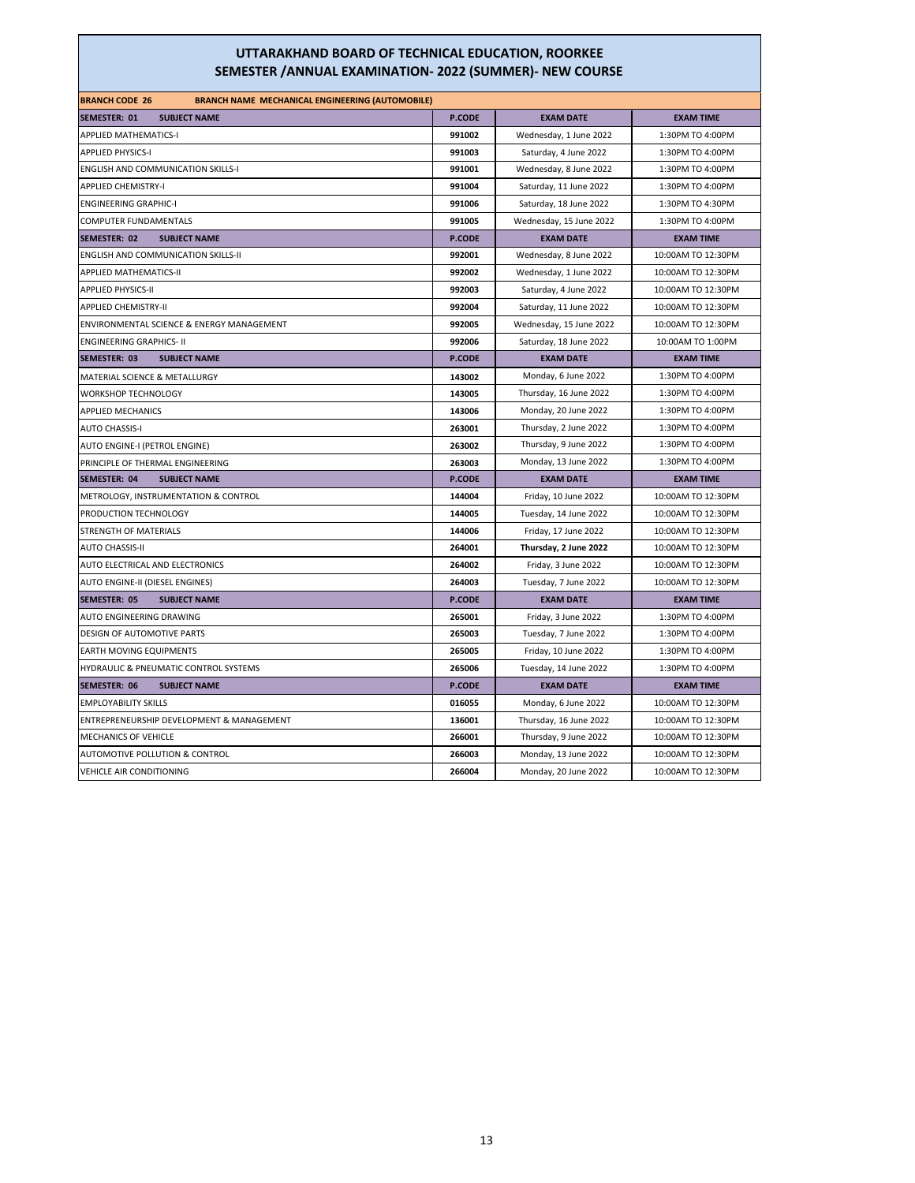| <b>BRANCH CODE 26</b><br><b>BRANCH NAME MECHANICAL ENGINEERING (AUTOMOBILE)</b> |               |                         |                    |
|---------------------------------------------------------------------------------|---------------|-------------------------|--------------------|
| <b>SEMESTER: 01</b><br><b>SUBJECT NAME</b>                                      | <b>P.CODE</b> | <b>EXAM DATE</b>        | <b>EXAM TIME</b>   |
| <b>APPLIED MATHEMATICS-I</b>                                                    | 991002        | Wednesday, 1 June 2022  | 1:30PM TO 4:00PM   |
| <b>APPLIED PHYSICS-I</b>                                                        | 991003        | Saturday, 4 June 2022   | 1:30PM TO 4:00PM   |
| <b>ENGLISH AND COMMUNICATION SKILLS-I</b>                                       | 991001        | Wednesday, 8 June 2022  | 1:30PM TO 4:00PM   |
| <b>APPLIED CHEMISTRY-I</b>                                                      | 991004        | Saturday, 11 June 2022  | 1:30PM TO 4:00PM   |
| <b>ENGINEERING GRAPHIC-I</b>                                                    | 991006        | Saturday, 18 June 2022  | 1:30PM TO 4:30PM   |
| <b>COMPUTER FUNDAMENTALS</b>                                                    | 991005        | Wednesday, 15 June 2022 | 1:30PM TO 4:00PM   |
| <b>SEMESTER: 02</b><br><b>SUBJECT NAME</b>                                      | <b>P.CODE</b> | <b>EXAM DATE</b>        | <b>EXAM TIME</b>   |
| <b>ENGLISH AND COMMUNICATION SKILLS-II</b>                                      | 992001        | Wednesday, 8 June 2022  | 10:00AM TO 12:30PM |
| <b>APPLIED MATHEMATICS-II</b>                                                   | 992002        | Wednesday, 1 June 2022  | 10:00AM TO 12:30PM |
| <b>APPLIED PHYSICS-II</b>                                                       | 992003        | Saturday, 4 June 2022   | 10:00AM TO 12:30PM |
| <b>APPLIED CHEMISTRY-II</b>                                                     | 992004        | Saturday, 11 June 2022  | 10:00AM TO 12:30PM |
| ENVIRONMENTAL SCIENCE & ENERGY MANAGEMENT                                       | 992005        | Wednesday, 15 June 2022 | 10:00AM TO 12:30PM |
| <b>ENGINEERING GRAPHICS- II</b>                                                 | 992006        | Saturday, 18 June 2022  | 10:00AM TO 1:00PM  |
| <b>SEMESTER: 03</b><br><b>SUBJECT NAME</b>                                      | <b>P.CODE</b> | <b>EXAM DATE</b>        | <b>EXAM TIME</b>   |
| MATERIAL SCIENCE & METALLURGY                                                   | 143002        | Monday, 6 June 2022     | 1:30PM TO 4:00PM   |
| WORKSHOP TECHNOLOGY                                                             | 143005        | Thursday, 16 June 2022  | 1:30PM TO 4:00PM   |
| APPLIED MECHANICS                                                               | 143006        | Monday, 20 June 2022    | 1:30PM TO 4:00PM   |
| <b>AUTO CHASSIS-I</b>                                                           | 263001        | Thursday, 2 June 2022   | 1:30PM TO 4:00PM   |
| AUTO ENGINE-I (PETROL ENGINE)                                                   | 263002        | Thursday, 9 June 2022   | 1:30PM TO 4:00PM   |
| PRINCIPLE OF THERMAL ENGINEERING                                                | 263003        | Monday, 13 June 2022    | 1:30PM TO 4:00PM   |
| <b>SEMESTER: 04</b><br><b>SUBJECT NAME</b>                                      | <b>P.CODE</b> | <b>EXAM DATE</b>        | <b>EXAM TIME</b>   |
| METROLOGY, INSTRUMENTATION & CONTROL                                            | 144004        | Friday, 10 June 2022    | 10:00AM TO 12:30PM |
| PRODUCTION TECHNOLOGY                                                           | 144005        | Tuesday, 14 June 2022   | 10:00AM TO 12:30PM |
| STRENGTH OF MATERIALS                                                           | 144006        | Friday, 17 June 2022    | 10:00AM TO 12:30PM |
| <b>AUTO CHASSIS-II</b>                                                          | 264001        | Thursday, 2 June 2022   | 10:00AM TO 12:30PM |
| AUTO ELECTRICAL AND ELECTRONICS                                                 | 264002        | Friday, 3 June 2022     | 10:00AM TO 12:30PM |
| AUTO ENGINE-II (DIESEL ENGINES)                                                 | 264003        | Tuesday, 7 June 2022    | 10:00AM TO 12:30PM |
| <b>SEMESTER: 05</b><br><b>SUBJECT NAME</b>                                      | <b>P.CODE</b> | <b>EXAM DATE</b>        | <b>EXAM TIME</b>   |
| AUTO ENGINEERING DRAWING                                                        | 265001        | Friday, 3 June 2022     | 1:30PM TO 4:00PM   |
| DESIGN OF AUTOMOTIVE PARTS                                                      | 265003        | Tuesday, 7 June 2022    | 1:30PM TO 4:00PM   |
| <b>EARTH MOVING EQUIPMENTS</b>                                                  | 265005        | Friday, 10 June 2022    | 1:30PM TO 4:00PM   |
| HYDRAULIC & PNEUMATIC CONTROL SYSTEMS                                           | 265006        | Tuesday, 14 June 2022   | 1:30PM TO 4:00PM   |
| <b>SEMESTER: 06</b><br><b>SUBJECT NAME</b>                                      | <b>P.CODE</b> | <b>EXAM DATE</b>        | <b>EXAM TIME</b>   |
| <b>EMPLOYABILITY SKILLS</b>                                                     | 016055        | Monday, 6 June 2022     | 10:00AM TO 12:30PM |
| ENTREPRENEURSHIP DEVELOPMENT & MANAGEMENT                                       | 136001        | Thursday, 16 June 2022  | 10:00AM TO 12:30PM |
| MECHANICS OF VEHICLE                                                            | 266001        | Thursday, 9 June 2022   | 10:00AM TO 12:30PM |
| AUTOMOTIVE POLLUTION & CONTROL                                                  | 266003        | Monday, 13 June 2022    | 10:00AM TO 12:30PM |
| VEHICLE AIR CONDITIONING                                                        | 266004        | Monday, 20 June 2022    | 10:00AM TO 12:30PM |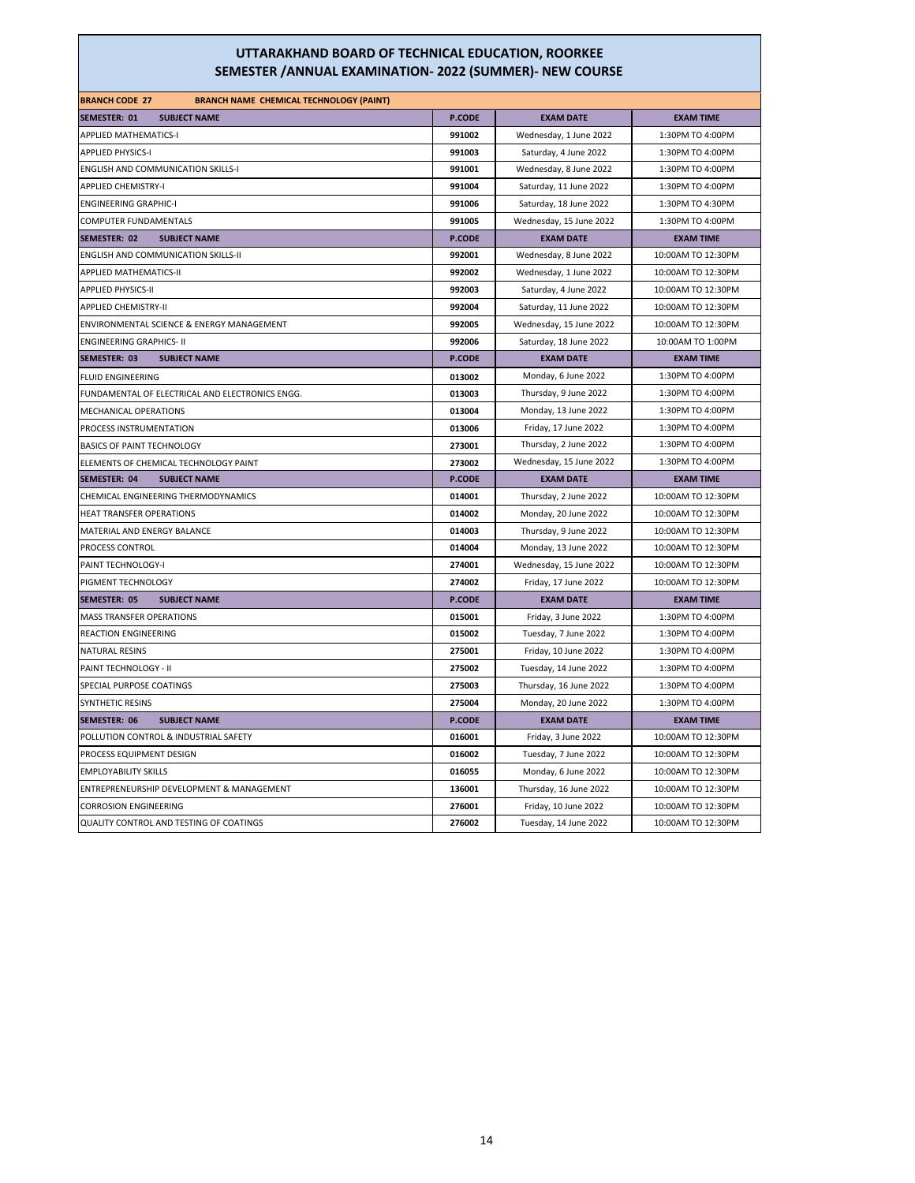| <b>BRANCH CODE 27</b><br><b>BRANCH NAME CHEMICAL TECHNOLOGY (PAINT)</b> |               |                         |                    |
|-------------------------------------------------------------------------|---------------|-------------------------|--------------------|
| <b>SEMESTER: 01</b><br><b>SUBJECT NAME</b>                              | <b>P.CODE</b> | <b>EXAM DATE</b>        | <b>EXAM TIME</b>   |
| <b>APPLIED MATHEMATICS-I</b>                                            | 991002        | Wednesday, 1 June 2022  | 1:30PM TO 4:00PM   |
| <b>APPLIED PHYSICS-I</b>                                                | 991003        | Saturday, 4 June 2022   | 1:30PM TO 4:00PM   |
| <b>ENGLISH AND COMMUNICATION SKILLS-I</b>                               | 991001        | Wednesday, 8 June 2022  | 1:30PM TO 4:00PM   |
| <b>APPLIED CHEMISTRY-I</b>                                              | 991004        | Saturday, 11 June 2022  | 1:30PM TO 4:00PM   |
| <b>ENGINEERING GRAPHIC-I</b>                                            | 991006        | Saturday, 18 June 2022  | 1:30PM TO 4:30PM   |
| <b>COMPUTER FUNDAMENTALS</b>                                            | 991005        | Wednesday, 15 June 2022 | 1:30PM TO 4:00PM   |
| <b>SEMESTER: 02</b><br><b>SUBJECT NAME</b>                              | P.CODE        | <b>EXAM DATE</b>        | <b>EXAM TIME</b>   |
| <b>ENGLISH AND COMMUNICATION SKILLS-II</b>                              | 992001        | Wednesday, 8 June 2022  | 10:00AM TO 12:30PM |
| <b>APPLIED MATHEMATICS-II</b>                                           | 992002        | Wednesday, 1 June 2022  | 10:00AM TO 12:30PM |
| <b>APPLIED PHYSICS-II</b>                                               | 992003        | Saturday, 4 June 2022   | 10:00AM TO 12:30PM |
| <b>APPLIED CHEMISTRY-II</b>                                             | 992004        | Saturday, 11 June 2022  | 10:00AM TO 12:30PM |
| ENVIRONMENTAL SCIENCE & ENERGY MANAGEMENT                               | 992005        | Wednesday, 15 June 2022 | 10:00AM TO 12:30PM |
| <b>ENGINEERING GRAPHICS- II</b>                                         | 992006        | Saturday, 18 June 2022  | 10:00AM TO 1:00PM  |
| <b>SEMESTER: 03</b><br><b>SUBJECT NAME</b>                              | <b>P.CODE</b> | <b>EXAM DATE</b>        | <b>EXAM TIME</b>   |
| <b>FLUID ENGINEERING</b>                                                | 013002        | Monday, 6 June 2022     | 1:30PM TO 4:00PM   |
| FUNDAMENTAL OF ELECTRICAL AND ELECTRONICS ENGG.                         | 013003        | Thursday, 9 June 2022   | 1:30PM TO 4:00PM   |
| <b>MECHANICAL OPERATIONS</b>                                            | 013004        | Monday, 13 June 2022    | 1:30PM TO 4:00PM   |
| PROCESS INSTRUMENTATION                                                 | 013006        | Friday, 17 June 2022    | 1:30PM TO 4:00PM   |
| <b>BASICS OF PAINT TECHNOLOGY</b>                                       | 273001        | Thursday, 2 June 2022   | 1:30PM TO 4:00PM   |
| ELEMENTS OF CHEMICAL TECHNOLOGY PAINT                                   | 273002        | Wednesday, 15 June 2022 | 1:30PM TO 4:00PM   |
| <b>SUBJECT NAME</b><br>SEMESTER: 04                                     | <b>P.CODE</b> | <b>EXAM DATE</b>        | <b>EXAM TIME</b>   |
| CHEMICAL ENGINEERING THERMODYNAMICS                                     | 014001        | Thursday, 2 June 2022   | 10:00AM TO 12:30PM |
| HEAT TRANSFER OPERATIONS                                                | 014002        | Monday, 20 June 2022    | 10:00AM TO 12:30PM |
| MATERIAL AND ENERGY BALANCE                                             | 014003        | Thursday, 9 June 2022   | 10:00AM TO 12:30PM |
| PROCESS CONTROL                                                         | 014004        | Monday, 13 June 2022    | 10:00AM TO 12:30PM |
| PAINT TECHNOLOGY-I                                                      | 274001        | Wednesday, 15 June 2022 | 10:00AM TO 12:30PM |
| PIGMENT TECHNOLOGY                                                      | 274002        | Friday, 17 June 2022    | 10:00AM TO 12:30PM |
| <b>SEMESTER: 05</b><br><b>SUBJECT NAME</b>                              | P.CODE        | <b>EXAM DATE</b>        | <b>EXAM TIME</b>   |
| <b>MASS TRANSFER OPERATIONS</b>                                         | 015001        | Friday, 3 June 2022     | 1:30PM TO 4:00PM   |
| <b>REACTION ENGINEERING</b>                                             | 015002        | Tuesday, 7 June 2022    | 1:30PM TO 4:00PM   |
| <b>NATURAL RESINS</b>                                                   | 275001        | Friday, 10 June 2022    | 1:30PM TO 4:00PM   |
| PAINT TECHNOLOGY - II                                                   | 275002        | Tuesday, 14 June 2022   | 1:30PM TO 4:00PM   |
| SPECIAL PURPOSE COATINGS                                                | 275003        | Thursday, 16 June 2022  | 1:30PM TO 4:00PM   |
| <b>SYNTHETIC RESINS</b>                                                 | 275004        | Monday, 20 June 2022    | 1:30PM TO 4:00PM   |
| <b>SEMESTER: 06</b><br><b>SUBJECT NAME</b>                              | <b>P.CODE</b> | <b>EXAM DATE</b>        | <b>EXAM TIME</b>   |
| POLLUTION CONTROL & INDUSTRIAL SAFETY                                   | 016001        | Friday, 3 June 2022     | 10:00AM TO 12:30PM |
| PROCESS EQUIPMENT DESIGN                                                | 016002        | Tuesday, 7 June 2022    | 10:00AM TO 12:30PM |
| <b>EMPLOYABILITY SKILLS</b>                                             | 016055        | Monday, 6 June 2022     | 10:00AM TO 12:30PM |
| ENTREPRENEURSHIP DEVELOPMENT & MANAGEMENT                               | 136001        | Thursday, 16 June 2022  | 10:00AM TO 12:30PM |
| <b>CORROSION ENGINEERING</b>                                            | 276001        | Friday, 10 June 2022    | 10:00AM TO 12:30PM |
| QUALITY CONTROL AND TESTING OF COATINGS                                 | 276002        | Tuesday, 14 June 2022   | 10:00AM TO 12:30PM |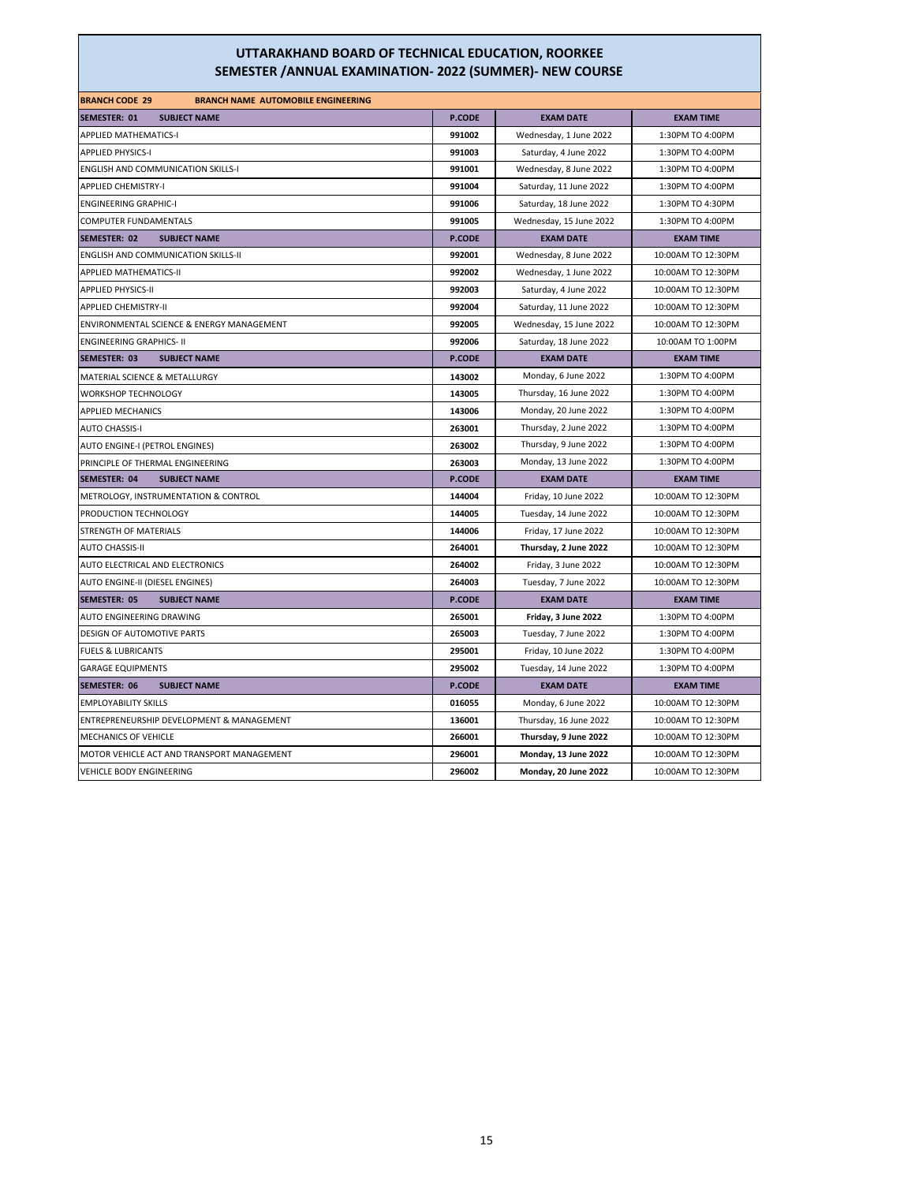| <b>BRANCH CODE 29</b><br><b>BRANCH NAME AUTOMOBILE ENGINEERING</b> |               |                         |                    |
|--------------------------------------------------------------------|---------------|-------------------------|--------------------|
| <b>SUBJECT NAME</b><br>SEMESTER: 01                                | <b>P.CODE</b> | <b>EXAM DATE</b>        | <b>EXAM TIME</b>   |
| <b>APPLIED MATHEMATICS-I</b>                                       | 991002        | Wednesday, 1 June 2022  | 1:30PM TO 4:00PM   |
| <b>APPLIED PHYSICS-I</b>                                           | 991003        | Saturday, 4 June 2022   | 1:30PM TO 4:00PM   |
| <b>ENGLISH AND COMMUNICATION SKILLS-I</b>                          | 991001        | Wednesday, 8 June 2022  | 1:30PM TO 4:00PM   |
| <b>APPLIED CHEMISTRY-I</b>                                         | 991004        | Saturday, 11 June 2022  | 1:30PM TO 4:00PM   |
| <b>ENGINEERING GRAPHIC-I</b>                                       | 991006        | Saturday, 18 June 2022  | 1:30PM TO 4:30PM   |
| COMPUTER FUNDAMENTALS                                              | 991005        | Wednesday, 15 June 2022 | 1:30PM TO 4:00PM   |
| SEMESTER: 02<br><b>SUBJECT NAME</b>                                | <b>P.CODE</b> | <b>EXAM DATE</b>        | <b>EXAM TIME</b>   |
| <b>ENGLISH AND COMMUNICATION SKILLS-II</b>                         | 992001        | Wednesday, 8 June 2022  | 10:00AM TO 12:30PM |
| APPLIED MATHEMATICS-II                                             | 992002        | Wednesday, 1 June 2022  | 10:00AM TO 12:30PM |
| <b>APPLIED PHYSICS-II</b>                                          | 992003        | Saturday, 4 June 2022   | 10:00AM TO 12:30PM |
| <b>APPLIED CHEMISTRY-II</b>                                        | 992004        | Saturday, 11 June 2022  | 10:00AM TO 12:30PM |
| ENVIRONMENTAL SCIENCE & ENERGY MANAGEMENT                          | 992005        | Wednesday, 15 June 2022 | 10:00AM TO 12:30PM |
| <b>ENGINEERING GRAPHICS- II</b>                                    | 992006        | Saturday, 18 June 2022  | 10:00AM TO 1:00PM  |
| SEMESTER: 03<br><b>SUBJECT NAME</b>                                | <b>P.CODE</b> | <b>EXAM DATE</b>        | <b>EXAM TIME</b>   |
| MATERIAL SCIENCE & METALLURGY                                      | 143002        | Monday, 6 June 2022     | 1:30PM TO 4:00PM   |
| <b>WORKSHOP TECHNOLOGY</b>                                         | 143005        | Thursday, 16 June 2022  | 1:30PM TO 4:00PM   |
| <b>APPLIED MECHANICS</b>                                           | 143006        | Monday, 20 June 2022    | 1:30PM TO 4:00PM   |
| <b>AUTO CHASSIS-I</b>                                              | 263001        | Thursday, 2 June 2022   | 1:30PM TO 4:00PM   |
| AUTO ENGINE-I (PETROL ENGINES)                                     | 263002        | Thursday, 9 June 2022   | 1:30PM TO 4:00PM   |
| PRINCIPLE OF THERMAL ENGINEERING                                   | 263003        | Monday, 13 June 2022    | 1:30PM TO 4:00PM   |
| SEMESTER: 04<br><b>SUBJECT NAME</b>                                | <b>P.CODE</b> | <b>EXAM DATE</b>        | <b>EXAM TIME</b>   |
| METROLOGY, INSTRUMENTATION & CONTROL                               | 144004        | Friday, 10 June 2022    | 10:00AM TO 12:30PM |
| PRODUCTION TECHNOLOGY                                              | 144005        | Tuesday, 14 June 2022   | 10:00AM TO 12:30PM |
| STRENGTH OF MATERIALS                                              | 144006        | Friday, 17 June 2022    | 10:00AM TO 12:30PM |
| <b>AUTO CHASSIS-II</b>                                             | 264001        | Thursday, 2 June 2022   | 10:00AM TO 12:30PM |
| AUTO ELECTRICAL AND ELECTRONICS                                    | 264002        | Friday, 3 June 2022     | 10:00AM TO 12:30PM |
| AUTO ENGINE-II (DIESEL ENGINES)                                    | 264003        | Tuesday, 7 June 2022    | 10:00AM TO 12:30PM |
| <b>SEMESTER: 05</b><br><b>SUBJECT NAME</b>                         | <b>P.CODE</b> | <b>EXAM DATE</b>        | <b>EXAM TIME</b>   |
| AUTO ENGINEERING DRAWING                                           | 265001        | Friday, 3 June 2022     | 1:30PM TO 4:00PM   |
| <b>DESIGN OF AUTOMOTIVE PARTS</b>                                  | 265003        | Tuesday, 7 June 2022    | 1:30PM TO 4:00PM   |
| <b>FUELS &amp; LUBRICANTS</b>                                      | 295001        | Friday, 10 June 2022    | 1:30PM TO 4:00PM   |
| <b>GARAGE EQUIPMENTS</b>                                           | 295002        | Tuesday, 14 June 2022   | 1:30PM TO 4:00PM   |
| SEMESTER: 06<br><b>SUBJECT NAME</b>                                | <b>P.CODE</b> | <b>EXAM DATE</b>        | <b>EXAM TIME</b>   |
| <b>EMPLOYABILITY SKILLS</b>                                        | 016055        | Monday, 6 June 2022     | 10:00AM TO 12:30PM |
| ENTREPRENEURSHIP DEVELOPMENT & MANAGEMENT                          | 136001        | Thursday, 16 June 2022  | 10:00AM TO 12:30PM |
| MECHANICS OF VEHICLE                                               | 266001        | Thursday, 9 June 2022   | 10:00AM TO 12:30PM |
| MOTOR VEHICLE ACT AND TRANSPORT MANAGEMENT                         | 296001        | Monday, 13 June 2022    | 10:00AM TO 12:30PM |
| <b>VEHICLE BODY ENGINEERING</b>                                    | 296002        | Monday, 20 June 2022    | 10:00AM TO 12:30PM |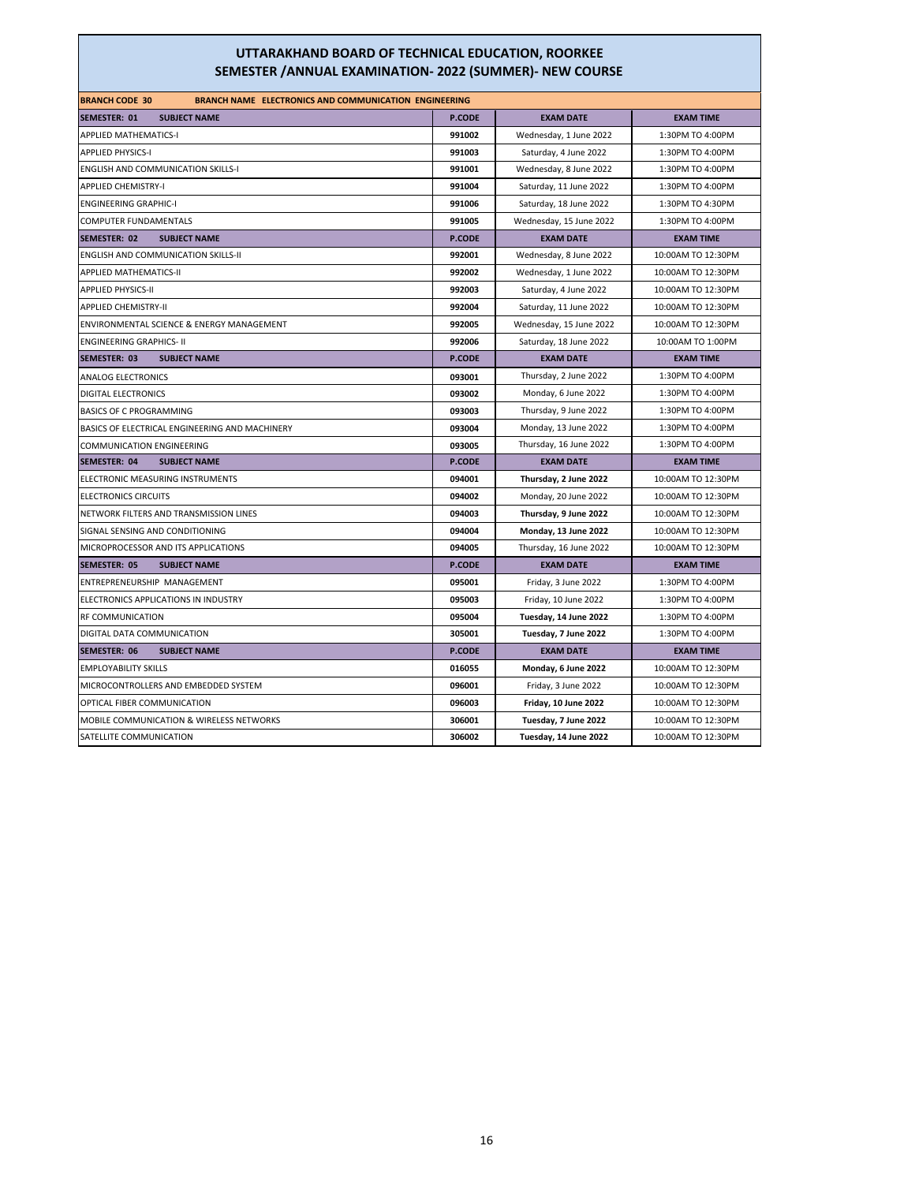| <b>BRANCH CODE 30</b><br><b>BRANCH NAME ELECTRONICS AND COMMUNICATION ENGINEERING</b> |               |                         |                    |
|---------------------------------------------------------------------------------------|---------------|-------------------------|--------------------|
| <b>SEMESTER: 01</b><br><b>SUBJECT NAME</b>                                            | P.CODE        | <b>EXAM DATE</b>        | <b>EXAM TIME</b>   |
| <b>APPLIED MATHEMATICS-I</b>                                                          | 991002        | Wednesday, 1 June 2022  | 1:30PM TO 4:00PM   |
| <b>APPLIED PHYSICS-I</b>                                                              | 991003        | Saturday, 4 June 2022   | 1:30PM TO 4:00PM   |
| <b>ENGLISH AND COMMUNICATION SKILLS-I</b>                                             | 991001        | Wednesday, 8 June 2022  | 1:30PM TO 4:00PM   |
| <b>APPLIED CHEMISTRY-I</b>                                                            | 991004        | Saturday, 11 June 2022  | 1:30PM TO 4:00PM   |
| <b>ENGINEERING GRAPHIC-I</b>                                                          | 991006        | Saturday, 18 June 2022  | 1:30PM TO 4:30PM   |
| COMPUTER FUNDAMENTALS                                                                 | 991005        | Wednesday, 15 June 2022 | 1:30PM TO 4:00PM   |
| <b>SEMESTER: 02</b><br><b>SUBJECT NAME</b>                                            | P.CODE        | <b>EXAM DATE</b>        | <b>EXAM TIME</b>   |
| <b>ENGLISH AND COMMUNICATION SKILLS-II</b>                                            | 992001        | Wednesday, 8 June 2022  | 10:00AM TO 12:30PM |
| <b>APPLIED MATHEMATICS-II</b>                                                         | 992002        | Wednesday, 1 June 2022  | 10:00AM TO 12:30PM |
| <b>APPLIED PHYSICS-II</b>                                                             | 992003        | Saturday, 4 June 2022   | 10:00AM TO 12:30PM |
| <b>APPLIED CHEMISTRY-II</b>                                                           | 992004        | Saturday, 11 June 2022  | 10:00AM TO 12:30PM |
| ENVIRONMENTAL SCIENCE & ENERGY MANAGEMENT                                             | 992005        | Wednesday, 15 June 2022 | 10:00AM TO 12:30PM |
| <b>ENGINEERING GRAPHICS- II</b>                                                       | 992006        | Saturday, 18 June 2022  | 10:00AM TO 1:00PM  |
| <b>SEMESTER: 03</b><br><b>SUBJECT NAME</b>                                            | P.CODE        | <b>EXAM DATE</b>        | <b>EXAM TIME</b>   |
| ANALOG ELECTRONICS                                                                    | 093001        | Thursday, 2 June 2022   | 1:30PM TO 4:00PM   |
| <b>DIGITAL ELECTRONICS</b>                                                            | 093002        | Monday, 6 June 2022     | 1:30PM TO 4:00PM   |
| BASICS OF C PROGRAMMING                                                               | 093003        | Thursday, 9 June 2022   | 1:30PM TO 4:00PM   |
| BASICS OF ELECTRICAL ENGINEERING AND MACHINERY                                        | 093004        | Monday, 13 June 2022    | 1:30PM TO 4:00PM   |
| <b>COMMUNICATION ENGINEERING</b>                                                      | 093005        | Thursday, 16 June 2022  | 1:30PM TO 4:00PM   |
| SEMESTER: 04<br><b>SUBJECT NAME</b>                                                   | <b>P.CODE</b> | <b>EXAM DATE</b>        | <b>EXAM TIME</b>   |
| ELECTRONIC MEASURING INSTRUMENTS                                                      | 094001        | Thursday, 2 June 2022   | 10:00AM TO 12:30PM |
| <b>ELECTRONICS CIRCUITS</b>                                                           | 094002        | Monday, 20 June 2022    | 10:00AM TO 12:30PM |
| NETWORK FILTERS AND TRANSMISSION LINES                                                | 094003        | Thursday, 9 June 2022   | 10:00AM TO 12:30PM |
| SIGNAL SENSING AND CONDITIONING                                                       | 094004        | Monday, 13 June 2022    | 10:00AM TO 12:30PM |
| MICROPROCESSOR AND ITS APPLICATIONS                                                   | 094005        | Thursday, 16 June 2022  | 10:00AM TO 12:30PM |
| SEMESTER: 05<br><b>SUBJECT NAME</b>                                                   | <b>P.CODE</b> | <b>EXAM DATE</b>        | <b>EXAM TIME</b>   |
| ENTREPRENEURSHIP MANAGEMENT                                                           | 095001        | Friday, 3 June 2022     | 1:30PM TO 4:00PM   |
| ELECTRONICS APPLICATIONS IN INDUSTRY                                                  | 095003        | Friday, 10 June 2022    | 1:30PM TO 4:00PM   |
| RF COMMUNICATION                                                                      | 095004        | Tuesday, 14 June 2022   | 1:30PM TO 4:00PM   |
| DIGITAL DATA COMMUNICATION                                                            | 305001        | Tuesday, 7 June 2022    | 1:30PM TO 4:00PM   |
| SEMESTER: 06<br><b>SUBJECT NAME</b>                                                   | <b>P.CODE</b> | <b>EXAM DATE</b>        | <b>EXAM TIME</b>   |
| <b>EMPLOYABILITY SKILLS</b>                                                           | 016055        | Monday, 6 June 2022     | 10:00AM TO 12:30PM |
| MICROCONTROLLERS AND EMBEDDED SYSTEM                                                  | 096001        | Friday, 3 June 2022     | 10:00AM TO 12:30PM |
| OPTICAL FIBER COMMUNICATION                                                           | 096003        | Friday, 10 June 2022    | 10:00AM TO 12:30PM |
| <b>MOBILE COMMUNICATION &amp; WIRELESS NETWORKS</b>                                   | 306001        | Tuesday, 7 June 2022    | 10:00AM TO 12:30PM |
| SATELLITE COMMUNICATION                                                               | 306002        | Tuesday, 14 June 2022   | 10:00AM TO 12:30PM |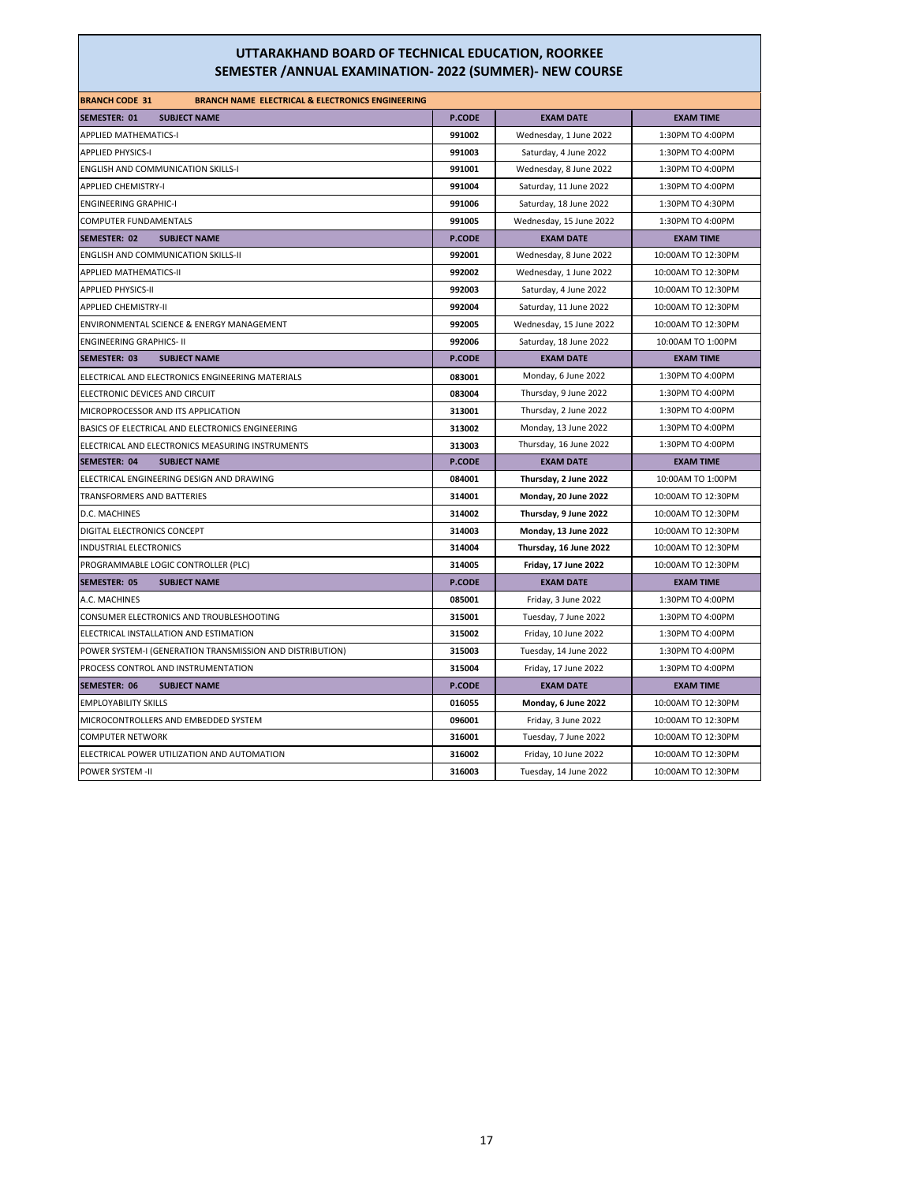| <b>BRANCH CODE 31</b><br><b>BRANCH NAME ELECTRICAL &amp; ELECTRONICS ENGINEERING</b> |               |                         |                    |
|--------------------------------------------------------------------------------------|---------------|-------------------------|--------------------|
| <b>SEMESTER: 01</b><br><b>SUBJECT NAME</b>                                           | <b>P.CODE</b> | <b>EXAM DATE</b>        | <b>EXAM TIME</b>   |
| <b>APPLIED MATHEMATICS-I</b>                                                         | 991002        | Wednesday, 1 June 2022  | 1:30PM TO 4:00PM   |
| <b>APPLIED PHYSICS-I</b>                                                             | 991003        | Saturday, 4 June 2022   | 1:30PM TO 4:00PM   |
| <b>ENGLISH AND COMMUNICATION SKILLS-I</b>                                            | 991001        | Wednesday, 8 June 2022  | 1:30PM TO 4:00PM   |
| <b>APPLIED CHEMISTRY-I</b>                                                           | 991004        | Saturday, 11 June 2022  | 1:30PM TO 4:00PM   |
| <b>ENGINEERING GRAPHIC-I</b>                                                         | 991006        | Saturday, 18 June 2022  | 1:30PM TO 4:30PM   |
| <b>COMPUTER FUNDAMENTALS</b>                                                         | 991005        | Wednesday, 15 June 2022 | 1:30PM TO 4:00PM   |
| SEMESTER: 02<br><b>SUBJECT NAME</b>                                                  | <b>P.CODE</b> | <b>EXAM DATE</b>        | <b>EXAM TIME</b>   |
| <b>ENGLISH AND COMMUNICATION SKILLS-II</b>                                           | 992001        | Wednesday, 8 June 2022  | 10:00AM TO 12:30PM |
| <b>APPLIED MATHEMATICS-II</b>                                                        | 992002        | Wednesday, 1 June 2022  | 10:00AM TO 12:30PM |
| <b>APPLIED PHYSICS-II</b>                                                            | 992003        | Saturday, 4 June 2022   | 10:00AM TO 12:30PM |
| <b>APPLIED CHEMISTRY-II</b>                                                          | 992004        | Saturday, 11 June 2022  | 10:00AM TO 12:30PM |
| ENVIRONMENTAL SCIENCE & ENERGY MANAGEMENT                                            | 992005        | Wednesday, 15 June 2022 | 10:00AM TO 12:30PM |
| <b>ENGINEERING GRAPHICS- II</b>                                                      | 992006        | Saturday, 18 June 2022  | 10:00AM TO 1:00PM  |
| <b>SEMESTER: 03</b><br><b>SUBJECT NAME</b>                                           | <b>P.CODE</b> | <b>EXAM DATE</b>        | <b>EXAM TIME</b>   |
| ELECTRICAL AND ELECTRONICS ENGINEERING MATERIALS                                     | 083001        | Monday, 6 June 2022     | 1:30PM TO 4:00PM   |
| ELECTRONIC DEVICES AND CIRCUIT                                                       | 083004        | Thursday, 9 June 2022   | 1:30PM TO 4:00PM   |
| MICROPROCESSOR AND ITS APPLICATION                                                   | 313001        | Thursday, 2 June 2022   | 1:30PM TO 4:00PM   |
| BASICS OF ELECTRICAL AND ELECTRONICS ENGINEERING                                     | 313002        | Monday, 13 June 2022    | 1:30PM TO 4:00PM   |
| ELECTRICAL AND ELECTRONICS MEASURING INSTRUMENTS                                     | 313003        | Thursday, 16 June 2022  | 1:30PM TO 4:00PM   |
| <b>SEMESTER: 04</b><br><b>SUBJECT NAME</b>                                           | <b>P.CODE</b> | <b>EXAM DATE</b>        | <b>EXAM TIME</b>   |
| ELECTRICAL ENGINEERING DESIGN AND DRAWING                                            | 084001        | Thursday, 2 June 2022   | 10:00AM TO 1:00PM  |
| TRANSFORMERS AND BATTERIES                                                           | 314001        | Monday, 20 June 2022    | 10:00AM TO 12:30PM |
| D.C. MACHINES                                                                        | 314002        | Thursday, 9 June 2022   | 10:00AM TO 12:30PM |
| DIGITAL ELECTRONICS CONCEPT                                                          | 314003        | Monday, 13 June 2022    | 10:00AM TO 12:30PM |
| <b>INDUSTRIAL ELECTRONICS</b>                                                        | 314004        | Thursday, 16 June 2022  | 10:00AM TO 12:30PM |
| PROGRAMMABLE LOGIC CONTROLLER (PLC)                                                  | 314005        | Friday, 17 June 2022    | 10:00AM TO 12:30PM |
| <b>SEMESTER: 05</b><br><b>SUBJECT NAME</b>                                           | P.CODE        | <b>EXAM DATE</b>        | <b>EXAM TIME</b>   |
| A.C. MACHINES                                                                        | 085001        | Friday, 3 June 2022     | 1:30PM TO 4:00PM   |
| CONSUMER ELECTRONICS AND TROUBLESHOOTING                                             | 315001        | Tuesday, 7 June 2022    | 1:30PM TO 4:00PM   |
| ELECTRICAL INSTALLATION AND ESTIMATION                                               | 315002        | Friday, 10 June 2022    | 1:30PM TO 4:00PM   |
| POWER SYSTEM-I (GENERATION TRANSMISSION AND DISTRIBUTION)                            | 315003        | Tuesday, 14 June 2022   | 1:30PM TO 4:00PM   |
| PROCESS CONTROL AND INSTRUMENTATION                                                  | 315004        | Friday, 17 June 2022    | 1:30PM TO 4:00PM   |
| <b>SEMESTER: 06</b><br><b>SUBJECT NAME</b>                                           | <b>P.CODE</b> | <b>EXAM DATE</b>        | <b>EXAM TIME</b>   |
| <b>EMPLOYABILITY SKILLS</b>                                                          | 016055        | Monday, 6 June 2022     | 10:00AM TO 12:30PM |
| MICROCONTROLLERS AND EMBEDDED SYSTEM                                                 | 096001        | Friday, 3 June 2022     | 10:00AM TO 12:30PM |
| <b>COMPUTER NETWORK</b>                                                              | 316001        | Tuesday, 7 June 2022    | 10:00AM TO 12:30PM |
| ELECTRICAL POWER UTILIZATION AND AUTOMATION                                          | 316002        | Friday, 10 June 2022    | 10:00AM TO 12:30PM |
| <b>POWER SYSTEM -II</b>                                                              | 316003        | Tuesday, 14 June 2022   | 10:00AM TO 12:30PM |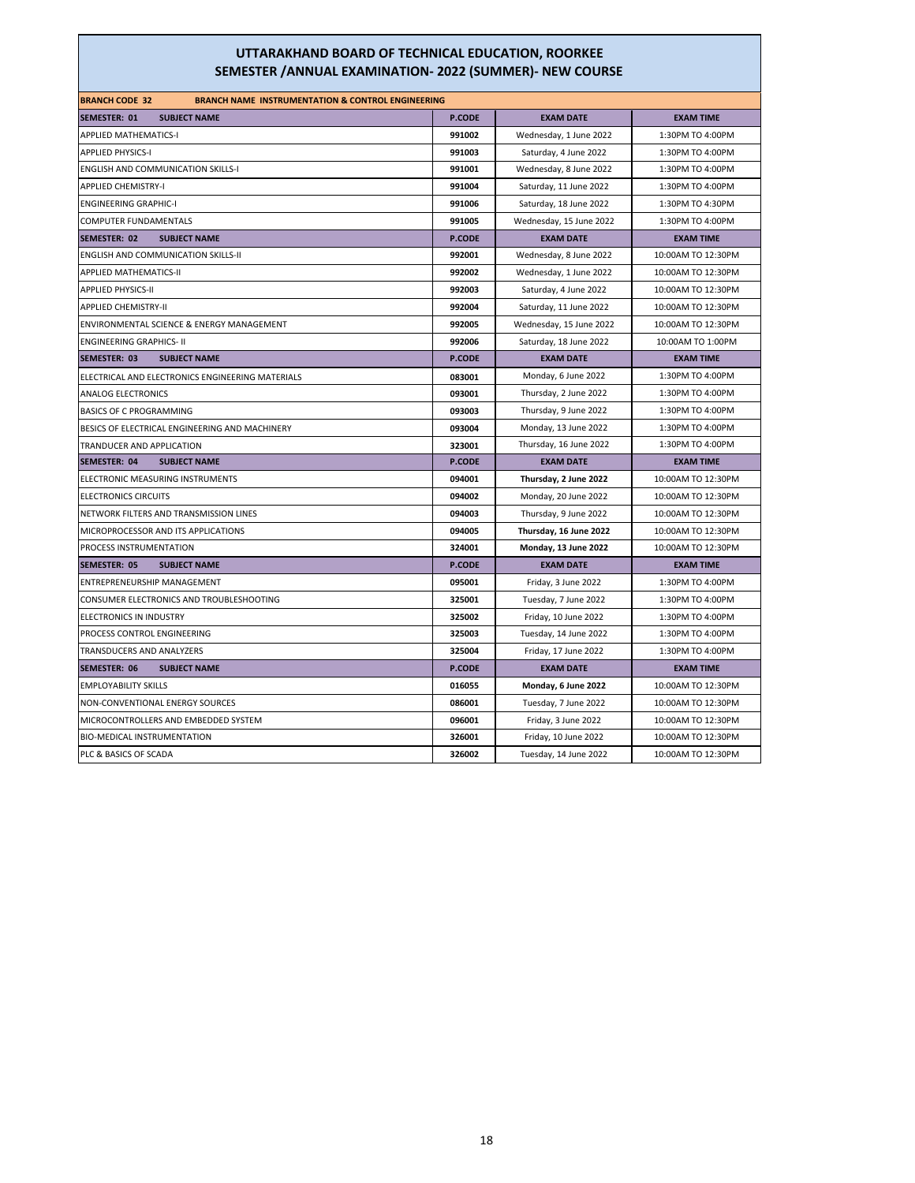| <b>BRANCH CODE 32</b><br><b>BRANCH NAME INSTRUMENTATION &amp; CONTROL ENGINEERING</b> |               |                         |                    |
|---------------------------------------------------------------------------------------|---------------|-------------------------|--------------------|
| SEMESTER: 01<br><b>SUBJECT NAME</b>                                                   | <b>P.CODE</b> | <b>EXAM DATE</b>        | <b>EXAM TIME</b>   |
| <b>APPLIED MATHEMATICS-I</b>                                                          | 991002        | Wednesday, 1 June 2022  | 1:30PM TO 4:00PM   |
| <b>APPLIED PHYSICS-I</b>                                                              | 991003        | Saturday, 4 June 2022   | 1:30PM TO 4:00PM   |
| <b>ENGLISH AND COMMUNICATION SKILLS-I</b>                                             | 991001        | Wednesday, 8 June 2022  | 1:30PM TO 4:00PM   |
| <b>APPLIED CHEMISTRY-I</b>                                                            | 991004        | Saturday, 11 June 2022  | 1:30PM TO 4:00PM   |
| <b>ENGINEERING GRAPHIC-I</b>                                                          | 991006        | Saturday, 18 June 2022  | 1:30PM TO 4:30PM   |
| COMPUTER FUNDAMENTALS                                                                 | 991005        | Wednesday, 15 June 2022 | 1:30PM TO 4:00PM   |
| SEMESTER: 02<br><b>SUBJECT NAME</b>                                                   | <b>P.CODE</b> | <b>EXAM DATE</b>        | <b>EXAM TIME</b>   |
| ENGLISH AND COMMUNICATION SKILLS-II                                                   | 992001        | Wednesday, 8 June 2022  | 10:00AM TO 12:30PM |
| <b>APPLIED MATHEMATICS-II</b>                                                         | 992002        | Wednesday, 1 June 2022  | 10:00AM TO 12:30PM |
| <b>APPLIED PHYSICS-II</b>                                                             | 992003        | Saturday, 4 June 2022   | 10:00AM TO 12:30PM |
| <b>APPLIED CHEMISTRY-II</b>                                                           | 992004        | Saturday, 11 June 2022  | 10:00AM TO 12:30PM |
| ENVIRONMENTAL SCIENCE & ENERGY MANAGEMENT                                             | 992005        | Wednesday, 15 June 2022 | 10:00AM TO 12:30PM |
| <b>ENGINEERING GRAPHICS- II</b>                                                       | 992006        | Saturday, 18 June 2022  | 10:00AM TO 1:00PM  |
| SEMESTER: 03<br><b>SUBJECT NAME</b>                                                   | <b>P.CODE</b> | <b>EXAM DATE</b>        | <b>EXAM TIME</b>   |
| ELECTRICAL AND ELECTRONICS ENGINEERING MATERIALS                                      | 083001        | Monday, 6 June 2022     | 1:30PM TO 4:00PM   |
| <b>ANALOG ELECTRONICS</b>                                                             | 093001        | Thursday, 2 June 2022   | 1:30PM TO 4:00PM   |
| <b>BASICS OF C PROGRAMMING</b>                                                        | 093003        | Thursday, 9 June 2022   | 1:30PM TO 4:00PM   |
| BESICS OF ELECTRICAL ENGINEERING AND MACHINERY                                        | 093004        | Monday, 13 June 2022    | 1:30PM TO 4:00PM   |
| TRANDUCER AND APPLICATION                                                             | 323001        | Thursday, 16 June 2022  | 1:30PM TO 4:00PM   |
| <b>SEMESTER: 04</b><br><b>SUBJECT NAME</b>                                            | P.CODE        | <b>EXAM DATE</b>        | <b>EXAM TIME</b>   |
| ELECTRONIC MEASURING INSTRUMENTS                                                      | 094001        | Thursday, 2 June 2022   | 10:00AM TO 12:30PM |
| <b>ELECTRONICS CIRCUITS</b>                                                           | 094002        | Monday, 20 June 2022    | 10:00AM TO 12:30PM |
| NETWORK FILTERS AND TRANSMISSION LINES                                                | 094003        | Thursday, 9 June 2022   | 10:00AM TO 12:30PM |
| MICROPROCESSOR AND ITS APPLICATIONS                                                   | 094005        | Thursday, 16 June 2022  | 10:00AM TO 12:30PM |
| PROCESS INSTRUMENTATION                                                               | 324001        | Monday, 13 June 2022    | 10:00AM TO 12:30PM |
| <b>SEMESTER: 05</b><br><b>SUBJECT NAME</b>                                            | P.CODE        | <b>EXAM DATE</b>        | <b>EXAM TIME</b>   |
| ENTREPRENEURSHIP MANAGEMENT                                                           | 095001        | Friday, 3 June 2022     | 1:30PM TO 4:00PM   |
| CONSUMER ELECTRONICS AND TROUBLESHOOTING                                              | 325001        | Tuesday, 7 June 2022    | 1:30PM TO 4:00PM   |
| ELECTRONICS IN INDUSTRY                                                               | 325002        | Friday, 10 June 2022    | 1:30PM TO 4:00PM   |
| PROCESS CONTROL ENGINEERING                                                           | 325003        | Tuesday, 14 June 2022   | 1:30PM TO 4:00PM   |
| TRANSDUCERS AND ANALYZERS                                                             | 325004        | Friday, 17 June 2022    | 1:30PM TO 4:00PM   |
| SEMESTER: 06<br><b>SUBJECT NAME</b>                                                   | <b>P.CODE</b> | <b>EXAM DATE</b>        | <b>EXAM TIME</b>   |
| <b>EMPLOYABILITY SKILLS</b>                                                           | 016055        | Monday, 6 June 2022     | 10:00AM TO 12:30PM |
| NON-CONVENTIONAL ENERGY SOURCES                                                       | 086001        | Tuesday, 7 June 2022    | 10:00AM TO 12:30PM |
| MICROCONTROLLERS AND EMBEDDED SYSTEM                                                  | 096001        | Friday, 3 June 2022     | 10:00AM TO 12:30PM |
| <b>BIO-MEDICAL INSTRUMENTATION</b>                                                    | 326001        | Friday, 10 June 2022    | 10:00AM TO 12:30PM |
| PLC & BASICS OF SCADA                                                                 | 326002        | Tuesday, 14 June 2022   | 10:00AM TO 12:30PM |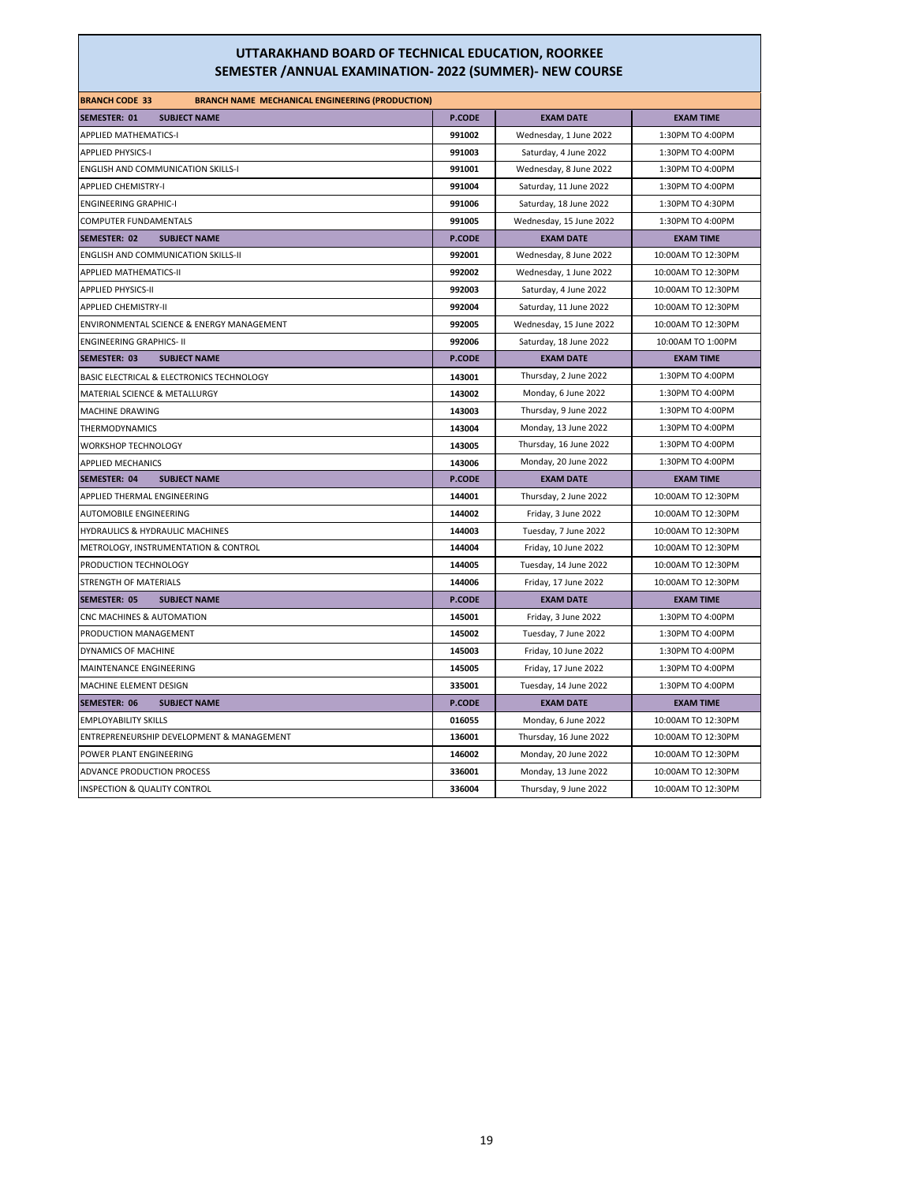| <b>BRANCH CODE 33</b><br><b>BRANCH NAME MECHANICAL ENGINEERING (PRODUCTION)</b> |               |                         |                    |
|---------------------------------------------------------------------------------|---------------|-------------------------|--------------------|
| <b>SEMESTER: 01</b><br><b>SUBJECT NAME</b>                                      | <b>P.CODE</b> | <b>EXAM DATE</b>        | <b>EXAM TIME</b>   |
| <b>APPLIED MATHEMATICS-I</b>                                                    | 991002        | Wednesday, 1 June 2022  | 1:30PM TO 4:00PM   |
| <b>APPLIED PHYSICS-I</b>                                                        | 991003        | Saturday, 4 June 2022   | 1:30PM TO 4:00PM   |
| <b>ENGLISH AND COMMUNICATION SKILLS-I</b>                                       | 991001        | Wednesday, 8 June 2022  | 1:30PM TO 4:00PM   |
| <b>APPLIED CHEMISTRY-I</b>                                                      | 991004        | Saturday, 11 June 2022  | 1:30PM TO 4:00PM   |
| <b>ENGINEERING GRAPHIC-I</b>                                                    | 991006        | Saturday, 18 June 2022  | 1:30PM TO 4:30PM   |
| COMPUTER FUNDAMENTALS                                                           | 991005        | Wednesday, 15 June 2022 | 1:30PM TO 4:00PM   |
| SEMESTER: 02<br><b>SUBJECT NAME</b>                                             | <b>P.CODE</b> | <b>EXAM DATE</b>        | <b>EXAM TIME</b>   |
| ENGLISH AND COMMUNICATION SKILLS-II                                             | 992001        | Wednesday, 8 June 2022  | 10:00AM TO 12:30PM |
| APPLIED MATHEMATICS-II                                                          | 992002        | Wednesday, 1 June 2022  | 10:00AM TO 12:30PM |
| <b>APPLIED PHYSICS-II</b>                                                       | 992003        | Saturday, 4 June 2022   | 10:00AM TO 12:30PM |
| <b>APPLIED CHEMISTRY-II</b>                                                     | 992004        | Saturday, 11 June 2022  | 10:00AM TO 12:30PM |
| ENVIRONMENTAL SCIENCE & ENERGY MANAGEMENT                                       | 992005        | Wednesday, 15 June 2022 | 10:00AM TO 12:30PM |
| <b>ENGINEERING GRAPHICS- II</b>                                                 | 992006        | Saturday, 18 June 2022  | 10:00AM TO 1:00PM  |
| SEMESTER: 03<br><b>SUBJECT NAME</b>                                             | <b>P.CODE</b> | <b>EXAM DATE</b>        | <b>EXAM TIME</b>   |
| BASIC ELECTRICAL & ELECTRONICS TECHNOLOGY                                       | 143001        | Thursday, 2 June 2022   | 1:30PM TO 4:00PM   |
| MATERIAL SCIENCE & METALLURGY                                                   | 143002        | Monday, 6 June 2022     | 1:30PM TO 4:00PM   |
| MACHINE DRAWING                                                                 | 143003        | Thursday, 9 June 2022   | 1:30PM TO 4:00PM   |
| <b>THERMODYNAMICS</b>                                                           | 143004        | Monday, 13 June 2022    | 1:30PM TO 4:00PM   |
| <b>WORKSHOP TECHNOLOGY</b>                                                      | 143005        | Thursday, 16 June 2022  | 1:30PM TO 4:00PM   |
| <b>APPLIED MECHANICS</b>                                                        | 143006        | Monday, 20 June 2022    | 1:30PM TO 4:00PM   |
| SEMESTER: 04<br><b>SUBJECT NAME</b>                                             | <b>P.CODE</b> | <b>EXAM DATE</b>        | <b>EXAM TIME</b>   |
| APPLIED THERMAL ENGINEERING                                                     | 144001        | Thursday, 2 June 2022   | 10:00AM TO 12:30PM |
| <b>AUTOMOBILE ENGINEERING</b>                                                   | 144002        | Friday, 3 June 2022     | 10:00AM TO 12:30PM |
| HYDRAULICS & HYDRAULIC MACHINES                                                 | 144003        | Tuesday, 7 June 2022    | 10:00AM TO 12:30PM |
| METROLOGY, INSTRUMENTATION & CONTROL                                            | 144004        | Friday, 10 June 2022    | 10:00AM TO 12:30PM |
| PRODUCTION TECHNOLOGY                                                           | 144005        | Tuesday, 14 June 2022   | 10:00AM TO 12:30PM |
| STRENGTH OF MATERIALS                                                           | 144006        | Friday, 17 June 2022    | 10:00AM TO 12:30PM |
| SEMESTER: 05<br><b>SUBJECT NAME</b>                                             | <b>P.CODE</b> | <b>EXAM DATE</b>        | <b>EXAM TIME</b>   |
| CNC MACHINES & AUTOMATION                                                       | 145001        | Friday, 3 June 2022     | 1:30PM TO 4:00PM   |
| PRODUCTION MANAGEMENT                                                           | 145002        | Tuesday, 7 June 2022    | 1:30PM TO 4:00PM   |
| DYNAMICS OF MACHINE                                                             | 145003        | Friday, 10 June 2022    | 1:30PM TO 4:00PM   |
| MAINTENANCE ENGINEERING                                                         | 145005        | Friday, 17 June 2022    | 1:30PM TO 4:00PM   |
| MACHINE ELEMENT DESIGN                                                          | 335001        | Tuesday, 14 June 2022   | 1:30PM TO 4:00PM   |
| SEMESTER: 06<br><b>SUBJECT NAME</b>                                             | <b>P.CODE</b> | <b>EXAM DATE</b>        | <b>EXAM TIME</b>   |
| <b>EMPLOYABILITY SKILLS</b>                                                     | 016055        | Monday, 6 June 2022     | 10:00AM TO 12:30PM |
| ENTREPRENEURSHIP DEVELOPMENT & MANAGEMENT                                       | 136001        | Thursday, 16 June 2022  | 10:00AM TO 12:30PM |
| POWER PLANT ENGINEERING                                                         | 146002        | Monday, 20 June 2022    | 10:00AM TO 12:30PM |
| <b>ADVANCE PRODUCTION PROCESS</b>                                               | 336001        | Monday, 13 June 2022    | 10:00AM TO 12:30PM |
| INSPECTION & QUALITY CONTROL                                                    | 336004        | Thursday, 9 June 2022   | 10:00AM TO 12:30PM |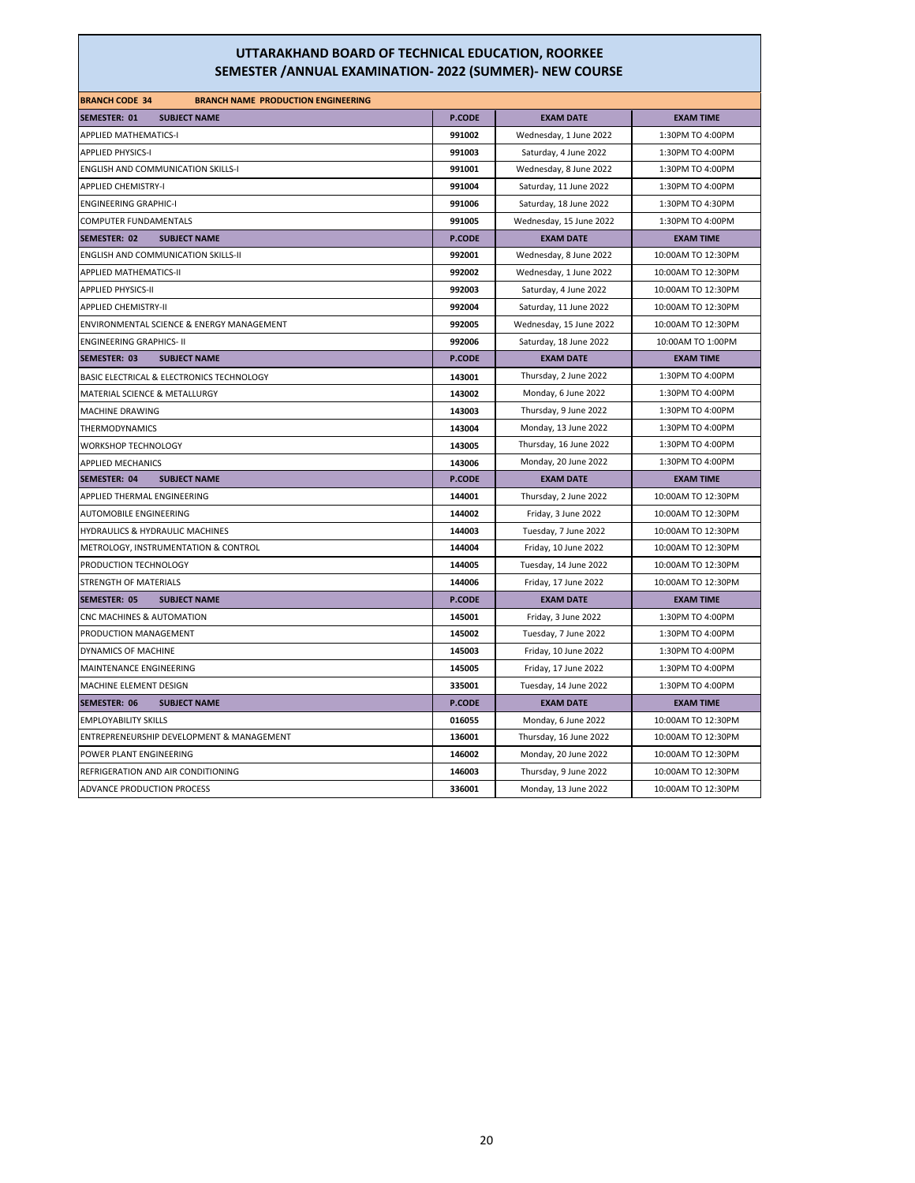| <b>BRANCH CODE 34</b><br><b>BRANCH NAME PRODUCTION ENGINEERING</b> |               |                         |                    |
|--------------------------------------------------------------------|---------------|-------------------------|--------------------|
| <b>SEMESTER: 01</b><br><b>SUBJECT NAME</b>                         | <b>P.CODE</b> | <b>EXAM DATE</b>        | <b>EXAM TIME</b>   |
| <b>APPLIED MATHEMATICS-I</b>                                       | 991002        | Wednesday, 1 June 2022  | 1:30PM TO 4:00PM   |
| <b>APPLIED PHYSICS-I</b>                                           | 991003        | Saturday, 4 June 2022   | 1:30PM TO 4:00PM   |
| <b>ENGLISH AND COMMUNICATION SKILLS-I</b>                          | 991001        | Wednesday, 8 June 2022  | 1:30PM TO 4:00PM   |
| <b>APPLIED CHEMISTRY-I</b>                                         | 991004        | Saturday, 11 June 2022  | 1:30PM TO 4:00PM   |
| <b>ENGINEERING GRAPHIC-I</b>                                       | 991006        | Saturday, 18 June 2022  | 1:30PM TO 4:30PM   |
| COMPUTER FUNDAMENTALS                                              | 991005        | Wednesday, 15 June 2022 | 1:30PM TO 4:00PM   |
| SEMESTER: 02<br><b>SUBJECT NAME</b>                                | <b>P.CODE</b> | <b>EXAM DATE</b>        | <b>EXAM TIME</b>   |
| <b>ENGLISH AND COMMUNICATION SKILLS-II</b>                         | 992001        | Wednesday, 8 June 2022  | 10:00AM TO 12:30PM |
| <b>APPLIED MATHEMATICS-II</b>                                      | 992002        | Wednesday, 1 June 2022  | 10:00AM TO 12:30PM |
| <b>APPLIED PHYSICS-II</b>                                          | 992003        | Saturday, 4 June 2022   | 10:00AM TO 12:30PM |
| <b>APPLIED CHEMISTRY-II</b>                                        | 992004        | Saturday, 11 June 2022  | 10:00AM TO 12:30PM |
| ENVIRONMENTAL SCIENCE & ENERGY MANAGEMENT                          | 992005        | Wednesday, 15 June 2022 | 10:00AM TO 12:30PM |
| <b>ENGINEERING GRAPHICS- II</b>                                    | 992006        | Saturday, 18 June 2022  | 10:00AM TO 1:00PM  |
| SEMESTER: 03<br><b>SUBJECT NAME</b>                                | <b>P.CODE</b> | <b>EXAM DATE</b>        | <b>EXAM TIME</b>   |
| BASIC ELECTRICAL & ELECTRONICS TECHNOLOGY                          | 143001        | Thursday, 2 June 2022   | 1:30PM TO 4:00PM   |
| MATERIAL SCIENCE & METALLURGY                                      | 143002        | Monday, 6 June 2022     | 1:30PM TO 4:00PM   |
| MACHINE DRAWING                                                    | 143003        | Thursday, 9 June 2022   | 1:30PM TO 4:00PM   |
| <b>THERMODYNAMICS</b>                                              | 143004        | Monday, 13 June 2022    | 1:30PM TO 4:00PM   |
| WORKSHOP TECHNOLOGY                                                | 143005        | Thursday, 16 June 2022  | 1:30PM TO 4:00PM   |
| <b>APPLIED MECHANICS</b>                                           | 143006        | Monday, 20 June 2022    | 1:30PM TO 4:00PM   |
| SEMESTER: 04<br><b>SUBJECT NAME</b>                                | <b>P.CODE</b> | <b>EXAM DATE</b>        | <b>EXAM TIME</b>   |
| APPLIED THERMAL ENGINEERING                                        | 144001        | Thursday, 2 June 2022   | 10:00AM TO 12:30PM |
| <b>AUTOMOBILE ENGINEERING</b>                                      | 144002        | Friday, 3 June 2022     | 10:00AM TO 12:30PM |
| HYDRAULICS & HYDRAULIC MACHINES                                    | 144003        | Tuesday, 7 June 2022    | 10:00AM TO 12:30PM |
| METROLOGY, INSTRUMENTATION & CONTROL                               | 144004        | Friday, 10 June 2022    | 10:00AM TO 12:30PM |
| PRODUCTION TECHNOLOGY                                              | 144005        | Tuesday, 14 June 2022   | 10:00AM TO 12:30PM |
| STRENGTH OF MATERIALS                                              | 144006        | Friday, 17 June 2022    | 10:00AM TO 12:30PM |
| <b>SEMESTER: 05</b><br><b>SUBJECT NAME</b>                         | P.CODE        | <b>EXAM DATE</b>        | <b>EXAM TIME</b>   |
| CNC MACHINES & AUTOMATION                                          | 145001        | Friday, 3 June 2022     | 1:30PM TO 4:00PM   |
| PRODUCTION MANAGEMENT                                              | 145002        | Tuesday, 7 June 2022    | 1:30PM TO 4:00PM   |
| DYNAMICS OF MACHINE                                                | 145003        | Friday, 10 June 2022    | 1:30PM TO 4:00PM   |
| MAINTENANCE ENGINEERING                                            | 145005        | Friday, 17 June 2022    | 1:30PM TO 4:00PM   |
| MACHINE ELEMENT DESIGN                                             | 335001        | Tuesday, 14 June 2022   | 1:30PM TO 4:00PM   |
| <b>SUBJECT NAME</b><br>SEMESTER: 06                                | <b>P.CODE</b> | <b>EXAM DATE</b>        | <b>EXAM TIME</b>   |
| <b>EMPLOYABILITY SKILLS</b>                                        | 016055        | Monday, 6 June 2022     | 10:00AM TO 12:30PM |
| ENTREPRENEURSHIP DEVELOPMENT & MANAGEMENT                          | 136001        | Thursday, 16 June 2022  | 10:00AM TO 12:30PM |
| POWER PLANT ENGINEERING                                            | 146002        | Monday, 20 June 2022    | 10:00AM TO 12:30PM |
| REFRIGERATION AND AIR CONDITIONING                                 | 146003        | Thursday, 9 June 2022   | 10:00AM TO 12:30PM |
| ADVANCE PRODUCTION PROCESS                                         | 336001        | Monday, 13 June 2022    | 10:00AM TO 12:30PM |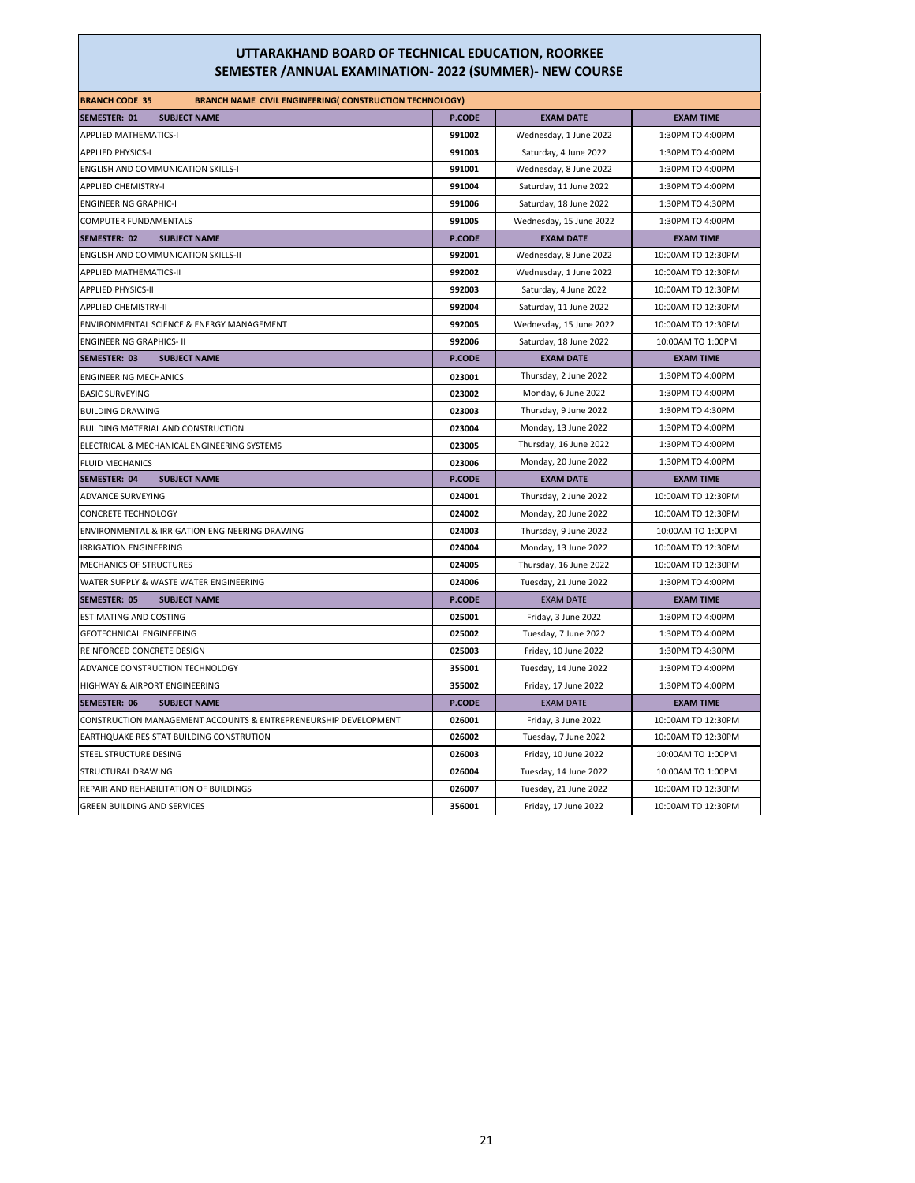| <b>BRANCH CODE 35</b><br><b>BRANCH NAME CIVIL ENGINEERING( CONSTRUCTION TECHNOLOGY)</b> |               |                         |                    |
|-----------------------------------------------------------------------------------------|---------------|-------------------------|--------------------|
| <b>SEMESTER: 01</b><br><b>SUBJECT NAME</b>                                              | <b>P.CODE</b> | <b>EXAM DATE</b>        | <b>EXAM TIME</b>   |
| <b>APPLIED MATHEMATICS-I</b>                                                            | 991002        | Wednesday, 1 June 2022  | 1:30PM TO 4:00PM   |
| <b>APPLIED PHYSICS-I</b>                                                                | 991003        | Saturday, 4 June 2022   | 1:30PM TO 4:00PM   |
| <b>ENGLISH AND COMMUNICATION SKILLS-I</b>                                               | 991001        | Wednesday, 8 June 2022  | 1:30PM TO 4:00PM   |
| <b>APPLIED CHEMISTRY-I</b>                                                              | 991004        | Saturday, 11 June 2022  | 1:30PM TO 4:00PM   |
| <b>ENGINEERING GRAPHIC-I</b>                                                            | 991006        | Saturday, 18 June 2022  | 1:30PM TO 4:30PM   |
| COMPUTER FUNDAMENTALS                                                                   | 991005        | Wednesday, 15 June 2022 | 1:30PM TO 4:00PM   |
| <b>SEMESTER: 02</b><br><b>SUBJECT NAME</b>                                              | P.CODE        | <b>EXAM DATE</b>        | <b>EXAM TIME</b>   |
| ENGLISH AND COMMUNICATION SKILLS-II                                                     | 992001        | Wednesday, 8 June 2022  | 10:00AM TO 12:30PM |
| <b>APPLIED MATHEMATICS-II</b>                                                           | 992002        | Wednesday, 1 June 2022  | 10:00AM TO 12:30PM |
| <b>APPLIED PHYSICS-II</b>                                                               | 992003        | Saturday, 4 June 2022   | 10:00AM TO 12:30PM |
| <b>APPLIED CHEMISTRY-II</b>                                                             | 992004        | Saturday, 11 June 2022  | 10:00AM TO 12:30PM |
| ENVIRONMENTAL SCIENCE & ENERGY MANAGEMENT                                               | 992005        | Wednesday, 15 June 2022 | 10:00AM TO 12:30PM |
| <b>ENGINEERING GRAPHICS- II</b>                                                         | 992006        | Saturday, 18 June 2022  | 10:00AM TO 1:00PM  |
| <b>SUBJECT NAME</b><br>SEMESTER: 03                                                     | <b>P.CODE</b> | <b>EXAM DATE</b>        | <b>EXAM TIME</b>   |
| <b>ENGINEERING MECHANICS</b>                                                            | 023001        | Thursday, 2 June 2022   | 1:30PM TO 4:00PM   |
| <b>BASIC SURVEYING</b>                                                                  | 023002        | Monday, 6 June 2022     | 1:30PM TO 4:00PM   |
| <b>BUILDING DRAWING</b>                                                                 | 023003        | Thursday, 9 June 2022   | 1:30PM TO 4:30PM   |
| BUILDING MATERIAL AND CONSTRUCTION                                                      | 023004        | Monday, 13 June 2022    | 1:30PM TO 4:00PM   |
| ELECTRICAL & MECHANICAL ENGINEERING SYSTEMS                                             | 023005        | Thursday, 16 June 2022  | 1:30PM TO 4:00PM   |
| <b>FLUID MECHANICS</b>                                                                  | 023006        | Monday, 20 June 2022    | 1:30PM TO 4:00PM   |
| <b>SEMESTER: 04</b><br><b>SUBJECT NAME</b>                                              | <b>P.CODE</b> | <b>EXAM DATE</b>        | <b>EXAM TIME</b>   |
| <b>ADVANCE SURVEYING</b>                                                                | 024001        | Thursday, 2 June 2022   | 10:00AM TO 12:30PM |
| <b>CONCRETE TECHNOLOGY</b>                                                              | 024002        | Monday, 20 June 2022    | 10:00AM TO 12:30PM |
| ENVIRONMENTAL & IRRIGATION ENGINEERING DRAWING                                          | 024003        | Thursday, 9 June 2022   | 10:00AM TO 1:00PM  |
| <b>IRRIGATION ENGINEERING</b>                                                           | 024004        | Monday, 13 June 2022    | 10:00AM TO 12:30PM |
| <b>MECHANICS OF STRUCTURES</b>                                                          | 024005        | Thursday, 16 June 2022  | 10:00AM TO 12:30PM |
| WATER SUPPLY & WASTE WATER ENGINEERING                                                  | 024006        | Tuesday, 21 June 2022   | 1:30PM TO 4:00PM   |
| <b>SEMESTER: 05</b><br><b>SUBJECT NAME</b>                                              | <b>P.CODE</b> | <b>EXAM DATE</b>        | <b>EXAM TIME</b>   |
| <b>ESTIMATING AND COSTING</b>                                                           | 025001        | Friday, 3 June 2022     | 1:30PM TO 4:00PM   |
| <b>GEOTECHNICAL ENGINEERING</b>                                                         | 025002        | Tuesday, 7 June 2022    | 1:30PM TO 4:00PM   |
| REINFORCED CONCRETE DESIGN                                                              | 025003        | Friday, 10 June 2022    | 1:30PM TO 4:30PM   |
| ADVANCE CONSTRUCTION TECHNOLOGY                                                         | 355001        | Tuesday, 14 June 2022   | 1:30PM TO 4:00PM   |
| HIGHWAY & AIRPORT ENGINEERING                                                           | 355002        | Friday, 17 June 2022    | 1:30PM TO 4:00PM   |
| <b>SEMESTER: 06</b><br><b>SUBJECT NAME</b>                                              | <b>P.CODE</b> | <b>EXAM DATE</b>        | <b>EXAM TIME</b>   |
| CONSTRUCTION MANAGEMENT ACCOUNTS & ENTREPRENEURSHIP DEVELOPMENT                         | 026001        | Friday, 3 June 2022     | 10:00AM TO 12:30PM |
| EARTHQUAKE RESISTAT BUILDING CONSTRUTION                                                | 026002        | Tuesday, 7 June 2022    | 10:00AM TO 12:30PM |
| STEEL STRUCTURE DESING                                                                  | 026003        | Friday, 10 June 2022    | 10:00AM TO 1:00PM  |
| STRUCTURAL DRAWING                                                                      | 026004        | Tuesday, 14 June 2022   | 10:00AM TO 1:00PM  |
| REPAIR AND REHABILITATION OF BUILDINGS                                                  | 026007        | Tuesday, 21 June 2022   | 10:00AM TO 12:30PM |
| <b>GREEN BUILDING AND SERVICES</b>                                                      | 356001        | Friday, 17 June 2022    | 10:00AM TO 12:30PM |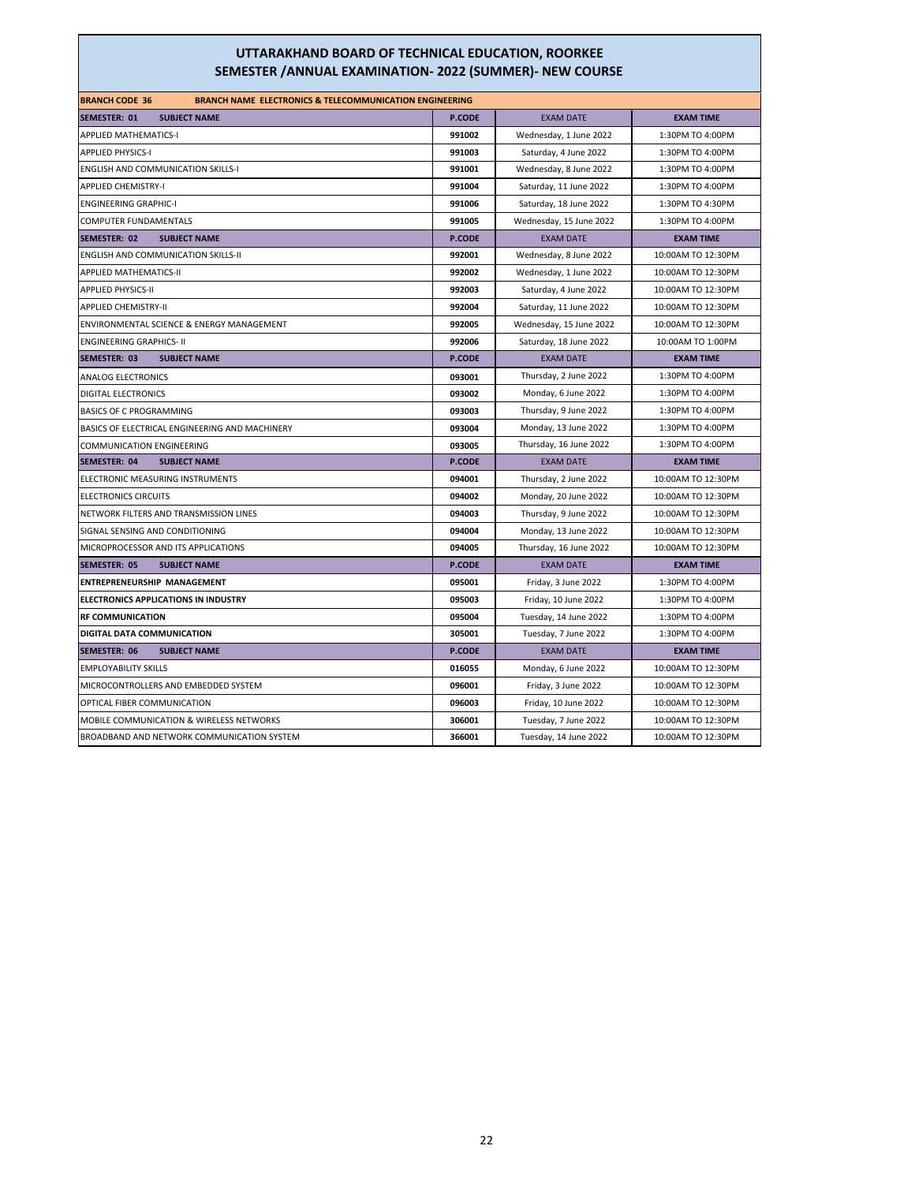| <b>BRANCH CODE 36</b><br><b>BRANCH NAME ELECTRONICS &amp; TELECOMMUNICATION ENGINEERING</b> |               |                         |                    |
|---------------------------------------------------------------------------------------------|---------------|-------------------------|--------------------|
| <b>SEMESTER: 01</b><br><b>SUBJECT NAME</b>                                                  | P.CODE        | <b>EXAM DATE</b>        | <b>EXAM TIME</b>   |
| <b>APPLIED MATHEMATICS-I</b>                                                                | 991002        | Wednesday, 1 June 2022  | 1:30PM TO 4:00PM   |
| <b>APPLIED PHYSICS-I</b>                                                                    | 991003        | Saturday, 4 June 2022   | 1:30PM TO 4:00PM   |
| <b>ENGLISH AND COMMUNICATION SKILLS-I</b>                                                   | 991001        | Wednesday, 8 June 2022  | 1:30PM TO 4:00PM   |
| <b>APPLIED CHEMISTRY-I</b>                                                                  | 991004        | Saturday, 11 June 2022  | 1:30PM TO 4:00PM   |
| <b>ENGINEERING GRAPHIC-I</b>                                                                | 991006        | Saturday, 18 June 2022  | 1:30PM TO 4:30PM   |
| COMPUTER FUNDAMENTALS                                                                       | 991005        | Wednesday, 15 June 2022 | 1:30PM TO 4:00PM   |
| <b>SEMESTER: 02</b><br><b>SUBJECT NAME</b>                                                  | P.CODE        | <b>EXAM DATE</b>        | <b>EXAM TIME</b>   |
| <b>ENGLISH AND COMMUNICATION SKILLS-II</b>                                                  | 992001        | Wednesday, 8 June 2022  | 10:00AM TO 12:30PM |
| <b>APPLIED MATHEMATICS-II</b>                                                               | 992002        | Wednesday, 1 June 2022  | 10:00AM TO 12:30PM |
| <b>APPLIED PHYSICS-II</b>                                                                   | 992003        | Saturday, 4 June 2022   | 10:00AM TO 12:30PM |
| <b>APPLIED CHEMISTRY-II</b>                                                                 | 992004        | Saturday, 11 June 2022  | 10:00AM TO 12:30PM |
| ENVIRONMENTAL SCIENCE & ENERGY MANAGEMENT                                                   | 992005        | Wednesday, 15 June 2022 | 10:00AM TO 12:30PM |
| <b>ENGINEERING GRAPHICS- II</b>                                                             | 992006        | Saturday, 18 June 2022  | 10:00AM TO 1:00PM  |
| <b>SEMESTER: 03</b><br><b>SUBJECT NAME</b>                                                  | P.CODE        | <b>EXAM DATE</b>        | <b>EXAM TIME</b>   |
| <b>ANALOG ELECTRONICS</b>                                                                   | 093001        | Thursday, 2 June 2022   | 1:30PM TO 4:00PM   |
| <b>DIGITAL ELECTRONICS</b>                                                                  | 093002        | Monday, 6 June 2022     | 1:30PM TO 4:00PM   |
| BASICS OF C PROGRAMMING                                                                     | 093003        | Thursday, 9 June 2022   | 1:30PM TO 4:00PM   |
| BASICS OF ELECTRICAL ENGINEERING AND MACHINERY                                              | 093004        | Monday, 13 June 2022    | 1:30PM TO 4:00PM   |
| <b>COMMUNICATION ENGINEERING</b>                                                            | 093005        | Thursday, 16 June 2022  | 1:30PM TO 4:00PM   |
| SEMESTER: 04<br><b>SUBJECT NAME</b>                                                         | <b>P.CODE</b> | <b>EXAM DATE</b>        | <b>EXAM TIME</b>   |
| ELECTRONIC MEASURING INSTRUMENTS                                                            | 094001        | Thursday, 2 June 2022   | 10:00AM TO 12:30PM |
| <b>ELECTRONICS CIRCUITS</b>                                                                 | 094002        | Monday, 20 June 2022    | 10:00AM TO 12:30PM |
| NETWORK FILTERS AND TRANSMISSION LINES                                                      | 094003        | Thursday, 9 June 2022   | 10:00AM TO 12:30PM |
| SIGNAL SENSING AND CONDITIONING                                                             | 094004        | Monday, 13 June 2022    | 10:00AM TO 12:30PM |
| MICROPROCESSOR AND ITS APPLICATIONS                                                         | 094005        | Thursday, 16 June 2022  | 10:00AM TO 12:30PM |
| SEMESTER: 05<br><b>SUBJECT NAME</b>                                                         | <b>P.CODE</b> | <b>EXAM DATE</b>        | <b>EXAM TIME</b>   |
| ENTREPRENEURSHIP MANAGEMENT                                                                 | 095001        | Friday, 3 June 2022     | 1:30PM TO 4:00PM   |
| <b>ELECTRONICS APPLICATIONS IN INDUSTRY</b>                                                 | 095003        | Friday, 10 June 2022    | 1:30PM TO 4:00PM   |
| <b>RF COMMUNICATION</b>                                                                     | 095004        | Tuesday, 14 June 2022   | 1:30PM TO 4:00PM   |
| DIGITAL DATA COMMUNICATION                                                                  | 305001        | Tuesday, 7 June 2022    | 1:30PM TO 4:00PM   |
| SEMESTER: 06<br><b>SUBJECT NAME</b>                                                         | <b>P.CODE</b> | <b>EXAM DATE</b>        | <b>EXAM TIME</b>   |
| <b>EMPLOYABILITY SKILLS</b>                                                                 | 016055        | Monday, 6 June 2022     | 10:00AM TO 12:30PM |
| MICROCONTROLLERS AND EMBEDDED SYSTEM                                                        | 096001        | Friday, 3 June 2022     | 10:00AM TO 12:30PM |
| OPTICAL FIBER COMMUNICATION                                                                 | 096003        | Friday, 10 June 2022    | 10:00AM TO 12:30PM |
| <b>MOBILE COMMUNICATION &amp; WIRELESS NETWORKS</b>                                         | 306001        | Tuesday, 7 June 2022    | 10:00AM TO 12:30PM |
| BROADBAND AND NETWORK COMMUNICATION SYSTEM                                                  | 366001        | Tuesday, 14 June 2022   | 10:00AM TO 12:30PM |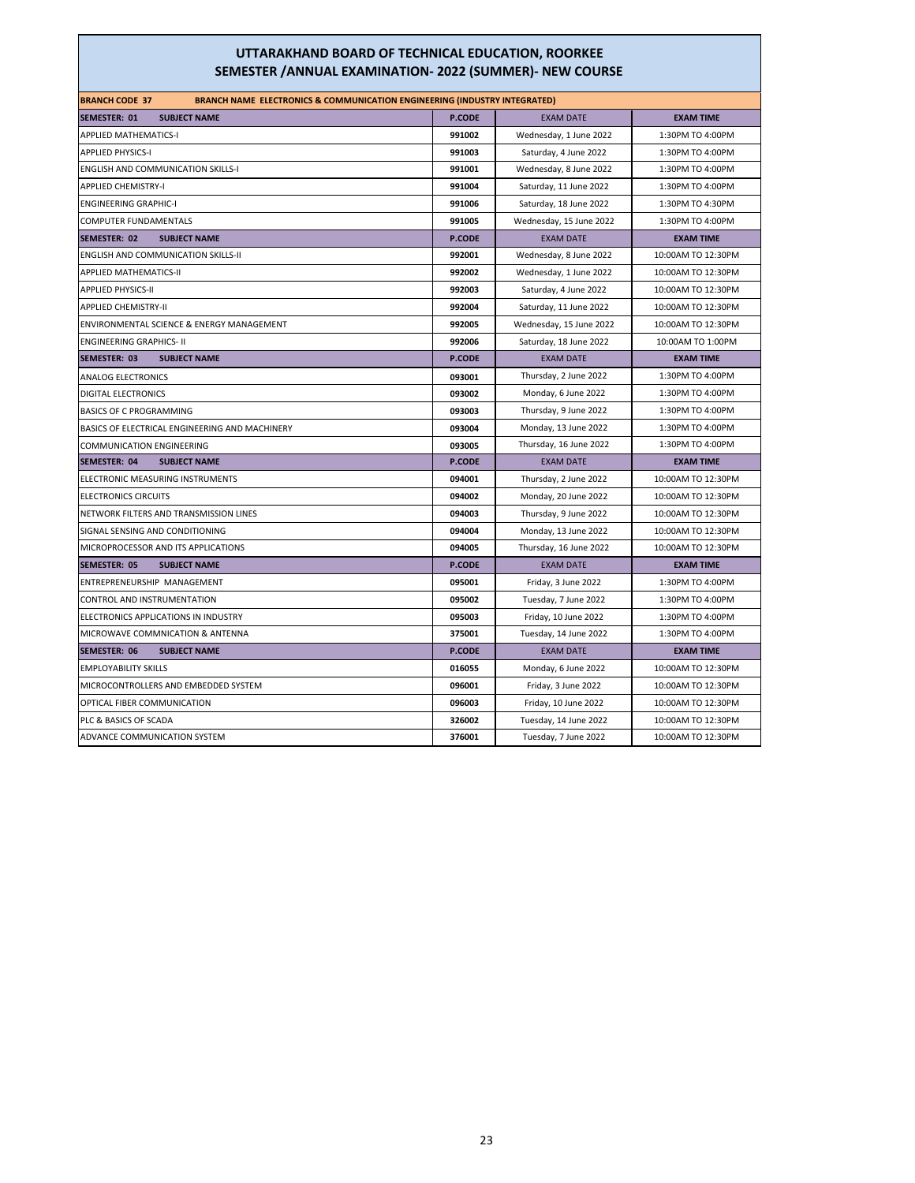| <b>BRANCH CODE 37</b><br><b>BRANCH NAME ELECTRONICS &amp; COMMUNICATION ENGINEERING (INDUSTRY INTEGRATED)</b> |               |                         |                    |
|---------------------------------------------------------------------------------------------------------------|---------------|-------------------------|--------------------|
| <b>SEMESTER: 01</b><br><b>SUBJECT NAME</b>                                                                    | P.CODE        | <b>EXAM DATE</b>        | <b>EXAM TIME</b>   |
| <b>APPLIED MATHEMATICS-I</b>                                                                                  | 991002        | Wednesday, 1 June 2022  | 1:30PM TO 4:00PM   |
| <b>APPLIED PHYSICS-I</b>                                                                                      | 991003        | Saturday, 4 June 2022   | 1:30PM TO 4:00PM   |
| <b>ENGLISH AND COMMUNICATION SKILLS-I</b>                                                                     | 991001        | Wednesday, 8 June 2022  | 1:30PM TO 4:00PM   |
| <b>APPLIED CHEMISTRY-I</b>                                                                                    | 991004        | Saturday, 11 June 2022  | 1:30PM TO 4:00PM   |
| <b>ENGINEERING GRAPHIC-I</b>                                                                                  | 991006        | Saturday, 18 June 2022  | 1:30PM TO 4:30PM   |
| COMPUTER FUNDAMENTALS                                                                                         | 991005        | Wednesday, 15 June 2022 | 1:30PM TO 4:00PM   |
| SEMESTER: 02<br><b>SUBJECT NAME</b>                                                                           | <b>P.CODE</b> | <b>EXAM DATE</b>        | <b>EXAM TIME</b>   |
| <b>ENGLISH AND COMMUNICATION SKILLS-II</b>                                                                    | 992001        | Wednesday, 8 June 2022  | 10:00AM TO 12:30PM |
| <b>APPLIED MATHEMATICS-II</b>                                                                                 | 992002        | Wednesday, 1 June 2022  | 10:00AM TO 12:30PM |
| <b>APPLIED PHYSICS-II</b>                                                                                     | 992003        | Saturday, 4 June 2022   | 10:00AM TO 12:30PM |
| <b>APPLIED CHEMISTRY-II</b>                                                                                   | 992004        | Saturday, 11 June 2022  | 10:00AM TO 12:30PM |
| ENVIRONMENTAL SCIENCE & ENERGY MANAGEMENT                                                                     | 992005        | Wednesday, 15 June 2022 | 10:00AM TO 12:30PM |
| <b>ENGINEERING GRAPHICS- II</b>                                                                               | 992006        | Saturday, 18 June 2022  | 10:00AM TO 1:00PM  |
| SEMESTER: 03<br><b>SUBJECT NAME</b>                                                                           | <b>P.CODE</b> | <b>EXAM DATE</b>        | <b>EXAM TIME</b>   |
| <b>ANALOG ELECTRONICS</b>                                                                                     | 093001        | Thursday, 2 June 2022   | 1:30PM TO 4:00PM   |
| <b>DIGITAL ELECTRONICS</b>                                                                                    | 093002        | Monday, 6 June 2022     | 1:30PM TO 4:00PM   |
| BASICS OF C PROGRAMMING                                                                                       | 093003        | Thursday, 9 June 2022   | 1:30PM TO 4:00PM   |
| BASICS OF ELECTRICAL ENGINEERING AND MACHINERY                                                                | 093004        | Monday, 13 June 2022    | 1:30PM TO 4:00PM   |
| <b>COMMUNICATION ENGINEERING</b>                                                                              | 093005        | Thursday, 16 June 2022  | 1:30PM TO 4:00PM   |
| <b>SUBJECT NAME</b><br>SEMESTER: 04                                                                           | <b>P.CODE</b> | <b>EXAM DATE</b>        | <b>EXAM TIME</b>   |
| ELECTRONIC MEASURING INSTRUMENTS                                                                              | 094001        | Thursday, 2 June 2022   | 10:00AM TO 12:30PM |
| <b>ELECTRONICS CIRCUITS</b>                                                                                   | 094002        | Monday, 20 June 2022    | 10:00AM TO 12:30PM |
| NETWORK FILTERS AND TRANSMISSION LINES                                                                        | 094003        | Thursday, 9 June 2022   | 10:00AM TO 12:30PM |
| SIGNAL SENSING AND CONDITIONING                                                                               | 094004        | Monday, 13 June 2022    | 10:00AM TO 12:30PM |
| MICROPROCESSOR AND ITS APPLICATIONS                                                                           | 094005        | Thursday, 16 June 2022  | 10:00AM TO 12:30PM |
| SEMESTER: 05<br><b>SUBJECT NAME</b>                                                                           | <b>P.CODE</b> | <b>EXAM DATE</b>        | <b>EXAM TIME</b>   |
| ENTREPRENEURSHIP MANAGEMENT                                                                                   | 095001        | Friday, 3 June 2022     | 1:30PM TO 4:00PM   |
| CONTROL AND INSTRUMENTATION                                                                                   | 095002        | Tuesday, 7 June 2022    | 1:30PM TO 4:00PM   |
| ELECTRONICS APPLICATIONS IN INDUSTRY                                                                          | 095003        | Friday, 10 June 2022    | 1:30PM TO 4:00PM   |
| MICROWAVE COMMNICATION & ANTENNA                                                                              | 375001        | Tuesday, 14 June 2022   | 1:30PM TO 4:00PM   |
| SEMESTER: 06<br><b>SUBJECT NAME</b>                                                                           | <b>P.CODE</b> | <b>EXAM DATE</b>        | <b>EXAM TIME</b>   |
| <b>EMPLOYABILITY SKILLS</b>                                                                                   | 016055        | Monday, 6 June 2022     | 10:00AM TO 12:30PM |
| MICROCONTROLLERS AND EMBEDDED SYSTEM                                                                          | 096001        | Friday, 3 June 2022     | 10:00AM TO 12:30PM |
| OPTICAL FIBER COMMUNICATION                                                                                   | 096003        | Friday, 10 June 2022    | 10:00AM TO 12:30PM |
| PLC & BASICS OF SCADA                                                                                         | 326002        | Tuesday, 14 June 2022   | 10:00AM TO 12:30PM |
| ADVANCE COMMUNICATION SYSTEM                                                                                  | 376001        | Tuesday, 7 June 2022    | 10:00AM TO 12:30PM |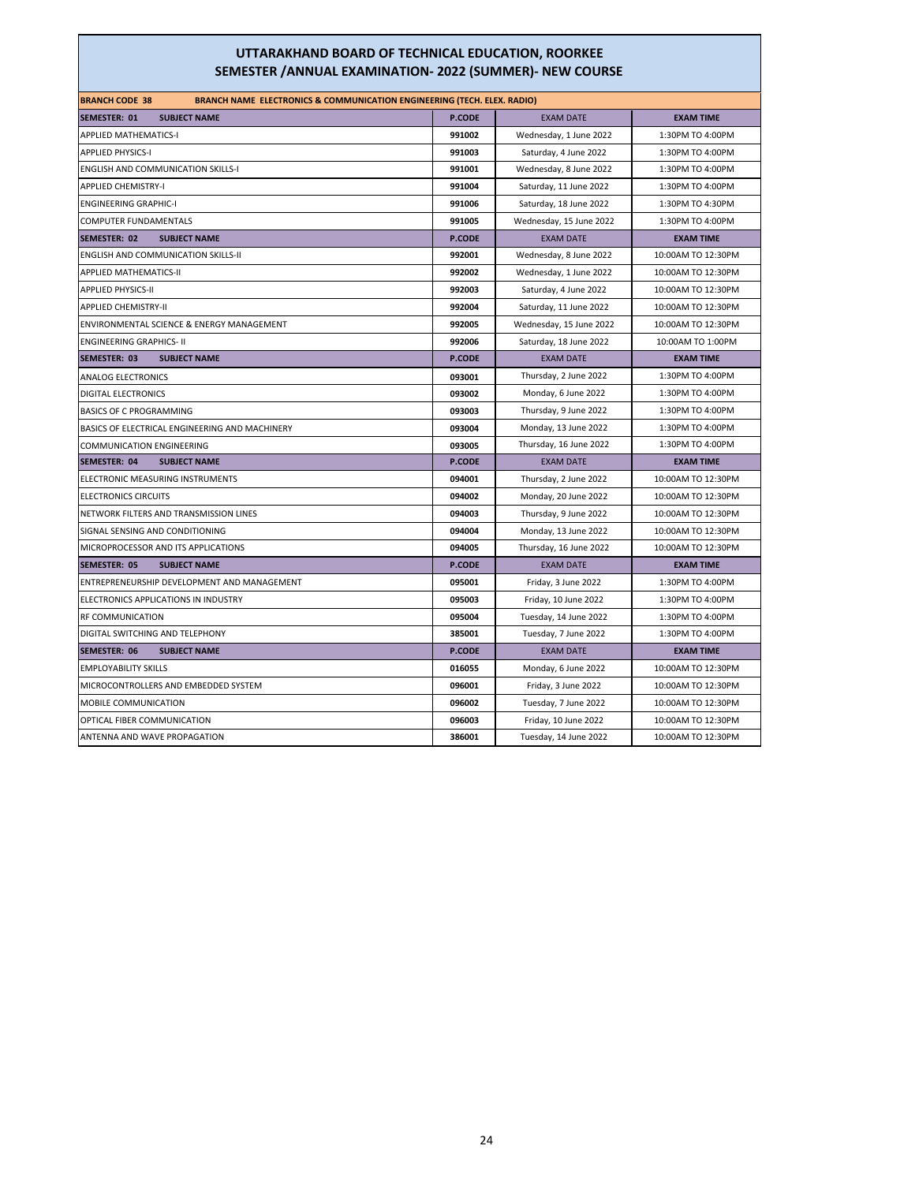| <b>BRANCH CODE 38</b><br><b>BRANCH NAME ELECTRONICS &amp; COMMUNICATION ENGINEERING (TECH. ELEX. RADIO)</b> |               |                         |                    |
|-------------------------------------------------------------------------------------------------------------|---------------|-------------------------|--------------------|
| SEMESTER: 01<br><b>SUBJECT NAME</b>                                                                         | <b>P.CODE</b> | <b>EXAM DATE</b>        | <b>EXAM TIME</b>   |
| <b>APPLIED MATHEMATICS-I</b>                                                                                | 991002        | Wednesday, 1 June 2022  | 1:30PM TO 4:00PM   |
| <b>APPLIED PHYSICS-I</b>                                                                                    | 991003        | Saturday, 4 June 2022   | 1:30PM TO 4:00PM   |
| <b>ENGLISH AND COMMUNICATION SKILLS-I</b>                                                                   | 991001        | Wednesday, 8 June 2022  | 1:30PM TO 4:00PM   |
| <b>APPLIED CHEMISTRY-I</b>                                                                                  | 991004        | Saturday, 11 June 2022  | 1:30PM TO 4:00PM   |
| <b>ENGINEERING GRAPHIC-I</b>                                                                                | 991006        | Saturday, 18 June 2022  | 1:30PM TO 4:30PM   |
| COMPUTER FUNDAMENTALS                                                                                       | 991005        | Wednesday, 15 June 2022 | 1:30PM TO 4:00PM   |
| SEMESTER: 02<br><b>SUBJECT NAME</b>                                                                         | <b>P.CODE</b> | <b>EXAM DATE</b>        | <b>EXAM TIME</b>   |
| <b>ENGLISH AND COMMUNICATION SKILLS-II</b>                                                                  | 992001        | Wednesday, 8 June 2022  | 10:00AM TO 12:30PM |
| <b>APPLIED MATHEMATICS-II</b>                                                                               | 992002        | Wednesday, 1 June 2022  | 10:00AM TO 12:30PM |
| <b>APPLIED PHYSICS-II</b>                                                                                   | 992003        | Saturday, 4 June 2022   | 10:00AM TO 12:30PM |
| <b>APPLIED CHEMISTRY-II</b>                                                                                 | 992004        | Saturday, 11 June 2022  | 10:00AM TO 12:30PM |
| ENVIRONMENTAL SCIENCE & ENERGY MANAGEMENT                                                                   | 992005        | Wednesday, 15 June 2022 | 10:00AM TO 12:30PM |
| <b>ENGINEERING GRAPHICS- II</b>                                                                             | 992006        | Saturday, 18 June 2022  | 10:00AM TO 1:00PM  |
| SEMESTER: 03<br><b>SUBJECT NAME</b>                                                                         | <b>P.CODE</b> | <b>EXAM DATE</b>        | <b>EXAM TIME</b>   |
| ANALOG ELECTRONICS                                                                                          | 093001        | Thursday, 2 June 2022   | 1:30PM TO 4:00PM   |
| <b>DIGITAL ELECTRONICS</b>                                                                                  | 093002        | Monday, 6 June 2022     | 1:30PM TO 4:00PM   |
| BASICS OF C PROGRAMMING                                                                                     | 093003        | Thursday, 9 June 2022   | 1:30PM TO 4:00PM   |
| BASICS OF ELECTRICAL ENGINEERING AND MACHINERY                                                              | 093004        | Monday, 13 June 2022    | 1:30PM TO 4:00PM   |
| <b>COMMUNICATION ENGINEERING</b>                                                                            | 093005        | Thursday, 16 June 2022  | 1:30PM TO 4:00PM   |
| <b>SUBJECT NAME</b><br>SEMESTER: 04                                                                         | <b>P.CODE</b> | <b>EXAM DATE</b>        | <b>EXAM TIME</b>   |
| ELECTRONIC MEASURING INSTRUMENTS                                                                            | 094001        | Thursday, 2 June 2022   | 10:00AM TO 12:30PM |
| <b>ELECTRONICS CIRCUITS</b>                                                                                 | 094002        | Monday, 20 June 2022    | 10:00AM TO 12:30PM |
| NETWORK FILTERS AND TRANSMISSION LINES                                                                      | 094003        | Thursday, 9 June 2022   | 10:00AM TO 12:30PM |
| SIGNAL SENSING AND CONDITIONING                                                                             | 094004        | Monday, 13 June 2022    | 10:00AM TO 12:30PM |
| MICROPROCESSOR AND ITS APPLICATIONS                                                                         | 094005        | Thursday, 16 June 2022  | 10:00AM TO 12:30PM |
| <b>SEMESTER: 05</b><br><b>SUBJECT NAME</b>                                                                  | <b>P.CODE</b> | <b>EXAM DATE</b>        | <b>EXAM TIME</b>   |
| ENTREPRENEURSHIP DEVELOPMENT AND MANAGEMENT                                                                 | 095001        | Friday, 3 June 2022     | 1:30PM TO 4:00PM   |
| ELECTRONICS APPLICATIONS IN INDUSTRY                                                                        | 095003        | Friday, 10 June 2022    | 1:30PM TO 4:00PM   |
| RF COMMUNICATION                                                                                            | 095004        | Tuesday, 14 June 2022   | 1:30PM TO 4:00PM   |
| DIGITAL SWITCHING AND TELEPHONY                                                                             | 385001        | Tuesday, 7 June 2022    | 1:30PM TO 4:00PM   |
| SEMESTER: 06<br><b>SUBJECT NAME</b>                                                                         | <b>P.CODE</b> | <b>EXAM DATE</b>        | <b>EXAM TIME</b>   |
| <b>EMPLOYABILITY SKILLS</b>                                                                                 | 016055        | Monday, 6 June 2022     | 10:00AM TO 12:30PM |
| MICROCONTROLLERS AND EMBEDDED SYSTEM                                                                        | 096001        | Friday, 3 June 2022     | 10:00AM TO 12:30PM |
| MOBILE COMMUNICATION                                                                                        | 096002        | Tuesday, 7 June 2022    | 10:00AM TO 12:30PM |
| OPTICAL FIBER COMMUNICATION                                                                                 | 096003        | Friday, 10 June 2022    | 10:00AM TO 12:30PM |
| ANTENNA AND WAVE PROPAGATION                                                                                | 386001        | Tuesday, 14 June 2022   | 10:00AM TO 12:30PM |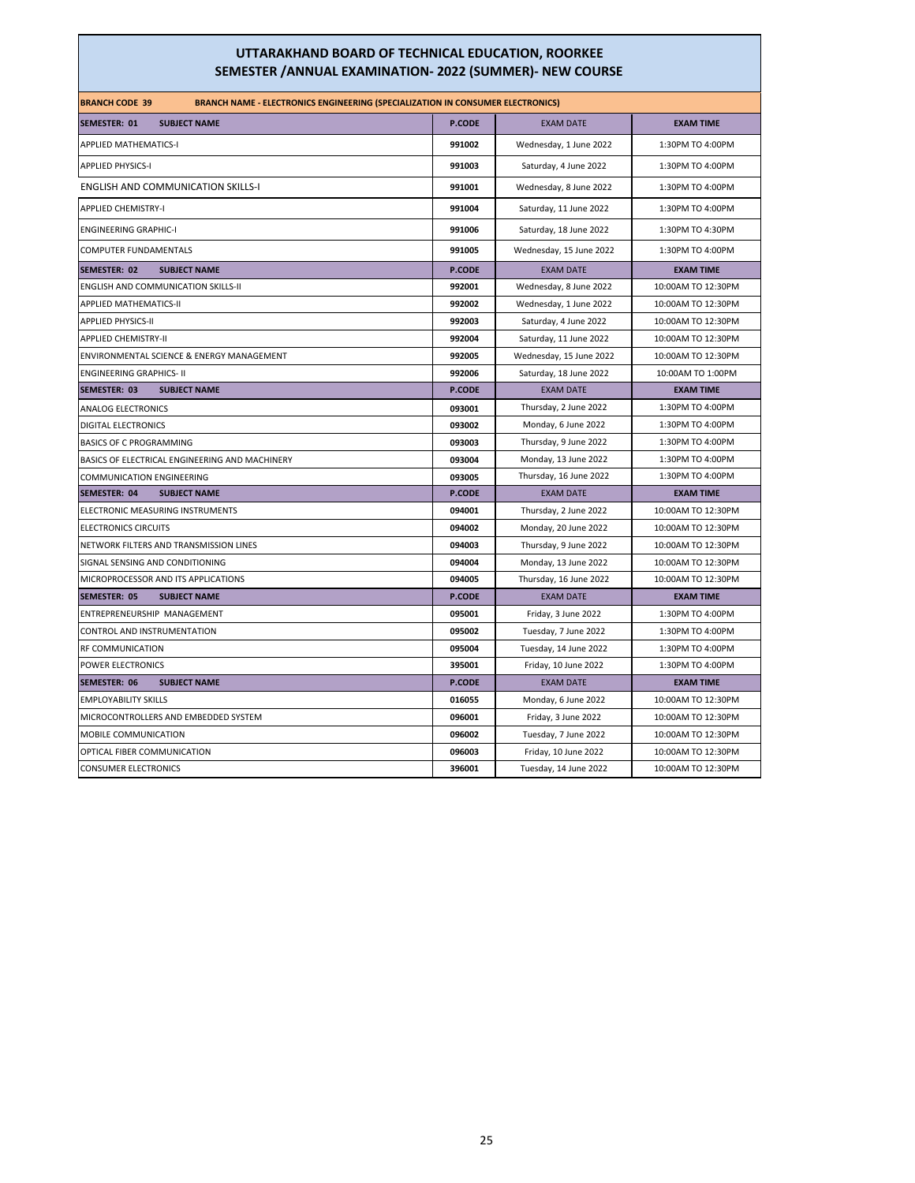| <b>BRANCH CODE 39</b><br><b>BRANCH NAME - ELECTRONICS ENGINEERING (SPECIALIZATION IN CONSUMER ELECTRONICS)</b> |               |                         |                    |  |  |
|----------------------------------------------------------------------------------------------------------------|---------------|-------------------------|--------------------|--|--|
| <b>SUBJECT NAME</b><br>SEMESTER: 01                                                                            | P.CODE        | <b>EXAM DATE</b>        | <b>EXAM TIME</b>   |  |  |
| <b>APPLIED MATHEMATICS-I</b>                                                                                   | 991002        | Wednesday, 1 June 2022  | 1:30PM TO 4:00PM   |  |  |
| <b>APPLIED PHYSICS-I</b>                                                                                       | 991003        | Saturday, 4 June 2022   | 1:30PM TO 4:00PM   |  |  |
| <b>ENGLISH AND COMMUNICATION SKILLS-I</b>                                                                      | 991001        | Wednesday, 8 June 2022  | 1:30PM TO 4:00PM   |  |  |
| <b>APPLIED CHEMISTRY-I</b>                                                                                     | 991004        | Saturday, 11 June 2022  | 1:30PM TO 4:00PM   |  |  |
| <b>ENGINEERING GRAPHIC-I</b>                                                                                   | 991006        | Saturday, 18 June 2022  | 1:30PM TO 4:30PM   |  |  |
| COMPUTER FUNDAMENTALS                                                                                          | 991005        | Wednesday, 15 June 2022 | 1:30PM TO 4:00PM   |  |  |
| <b>SUBJECT NAME</b><br><b>SEMESTER: 02</b>                                                                     | <b>P.CODE</b> | <b>EXAM DATE</b>        | <b>EXAM TIME</b>   |  |  |
| ENGLISH AND COMMUNICATION SKILLS-II                                                                            | 992001        | Wednesday, 8 June 2022  | 10:00AM TO 12:30PM |  |  |
| <b>APPLIED MATHEMATICS-II</b>                                                                                  | 992002        | Wednesday, 1 June 2022  | 10:00AM TO 12:30PM |  |  |
| <b>APPLIED PHYSICS-II</b>                                                                                      | 992003        | Saturday, 4 June 2022   | 10:00AM TO 12:30PM |  |  |
| <b>APPLIED CHEMISTRY-II</b>                                                                                    | 992004        | Saturday, 11 June 2022  | 10:00AM TO 12:30PM |  |  |
| ENVIRONMENTAL SCIENCE & ENERGY MANAGEMENT                                                                      | 992005        | Wednesday, 15 June 2022 | 10:00AM TO 12:30PM |  |  |
| <b>ENGINEERING GRAPHICS- II</b>                                                                                | 992006        | Saturday, 18 June 2022  | 10:00AM TO 1:00PM  |  |  |
| SEMESTER: 03<br><b>SUBJECT NAME</b>                                                                            | <b>P.CODE</b> | <b>EXAM DATE</b>        | <b>EXAM TIME</b>   |  |  |
| ANALOG ELECTRONICS                                                                                             | 093001        | Thursday, 2 June 2022   | 1:30PM TO 4:00PM   |  |  |
| DIGITAL ELECTRONICS                                                                                            | 093002        | Monday, 6 June 2022     | 1:30PM TO 4:00PM   |  |  |
| <b>BASICS OF C PROGRAMMING</b>                                                                                 | 093003        | Thursday, 9 June 2022   | 1:30PM TO 4:00PM   |  |  |
| BASICS OF ELECTRICAL ENGINEERING AND MACHINERY                                                                 | 093004        | Monday, 13 June 2022    | 1:30PM TO 4:00PM   |  |  |
| <b>COMMUNICATION ENGINEERING</b>                                                                               | 093005        | Thursday, 16 June 2022  | 1:30PM TO 4:00PM   |  |  |
| SEMESTER: 04<br><b>SUBJECT NAME</b>                                                                            | <b>P.CODE</b> | <b>EXAM DATE</b>        | <b>EXAM TIME</b>   |  |  |
| ELECTRONIC MEASURING INSTRUMENTS                                                                               | 094001        | Thursday, 2 June 2022   | 10:00AM TO 12:30PM |  |  |
| <b>ELECTRONICS CIRCUITS</b>                                                                                    | 094002        | Monday, 20 June 2022    | 10:00AM TO 12:30PM |  |  |
| NETWORK FILTERS AND TRANSMISSION LINES                                                                         | 094003        | Thursday, 9 June 2022   | 10:00AM TO 12:30PM |  |  |
| SIGNAL SENSING AND CONDITIONING                                                                                | 094004        | Monday, 13 June 2022    | 10:00AM TO 12:30PM |  |  |
| MICROPROCESSOR AND ITS APPLICATIONS                                                                            | 094005        | Thursday, 16 June 2022  | 10:00AM TO 12:30PM |  |  |
| <b>SEMESTER: 05</b><br><b>SUBJECT NAME</b>                                                                     | <b>P.CODE</b> | <b>EXAM DATE</b>        | <b>EXAM TIME</b>   |  |  |
| ENTREPRENEURSHIP MANAGEMENT                                                                                    | 095001        | Friday, 3 June 2022     | 1:30PM TO 4:00PM   |  |  |
| CONTROL AND INSTRUMENTATION                                                                                    | 095002        | Tuesday, 7 June 2022    | 1:30PM TO 4:00PM   |  |  |
| RF COMMUNICATION                                                                                               | 095004        | Tuesday, 14 June 2022   | 1:30PM TO 4:00PM   |  |  |
| POWER ELECTRONICS                                                                                              | 395001        | Friday, 10 June 2022    | 1:30PM TO 4:00PM   |  |  |
| SEMESTER: 06<br><b>SUBJECT NAME</b>                                                                            | <b>P.CODE</b> | <b>EXAM DATE</b>        | <b>EXAM TIME</b>   |  |  |
| <b>EMPLOYABILITY SKILLS</b>                                                                                    | 016055        | Monday, 6 June 2022     | 10:00AM TO 12:30PM |  |  |
| MICROCONTROLLERS AND EMBEDDED SYSTEM                                                                           | 096001        | Friday, 3 June 2022     | 10:00AM TO 12:30PM |  |  |
| MOBILE COMMUNICATION                                                                                           | 096002        | Tuesday, 7 June 2022    | 10:00AM TO 12:30PM |  |  |
| OPTICAL FIBER COMMUNICATION                                                                                    | 096003        | Friday, 10 June 2022    | 10:00AM TO 12:30PM |  |  |
| <b>CONSUMER ELECTRONICS</b>                                                                                    | 396001        | Tuesday, 14 June 2022   | 10:00AM TO 12:30PM |  |  |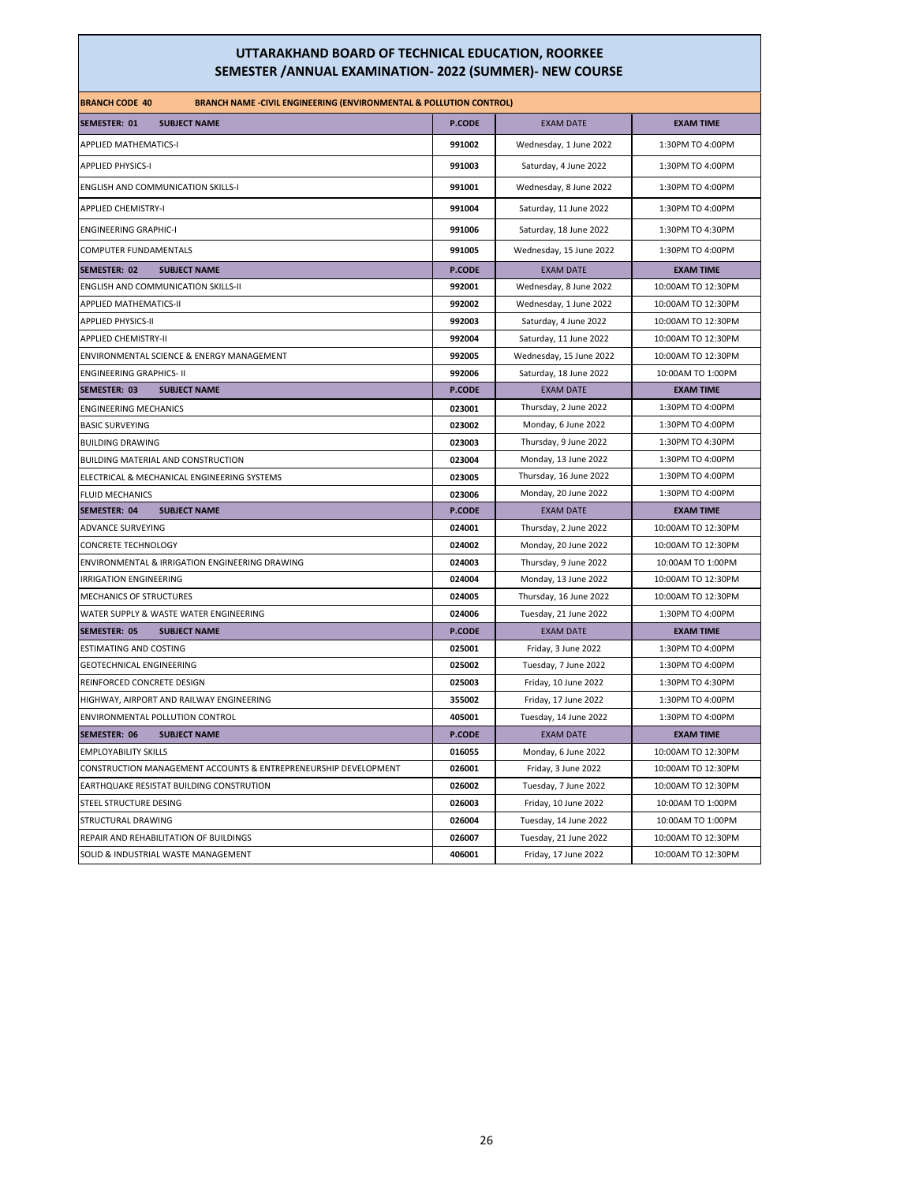| <b>BRANCH CODE 40</b><br><b>BRANCH NAME -CIVIL ENGINEERING (ENVIRONMENTAL &amp; POLLUTION CONTROL)</b> |                  |                                                 |                                       |
|--------------------------------------------------------------------------------------------------------|------------------|-------------------------------------------------|---------------------------------------|
| SEMESTER: 01<br><b>SUBJECT NAME</b>                                                                    | <b>P.CODE</b>    | <b>EXAM DATE</b>                                | <b>EXAM TIME</b>                      |
| <b>APPLIED MATHEMATICS-I</b>                                                                           | 991002           | Wednesday, 1 June 2022                          | 1:30PM TO 4:00PM                      |
| <b>APPLIED PHYSICS-I</b>                                                                               | 991003           | Saturday, 4 June 2022                           | 1:30PM TO 4:00PM                      |
| <b>ENGLISH AND COMMUNICATION SKILLS-I</b>                                                              | 991001           | Wednesday, 8 June 2022                          | 1:30PM TO 4:00PM                      |
| <b>APPLIED CHEMISTRY-I</b>                                                                             | 991004           | Saturday, 11 June 2022                          | 1:30PM TO 4:00PM                      |
| <b>ENGINEERING GRAPHIC-I</b>                                                                           | 991006           | Saturday, 18 June 2022                          | 1:30PM TO 4:30PM                      |
| COMPUTER FUNDAMENTALS                                                                                  | 991005           | Wednesday, 15 June 2022                         | 1:30PM TO 4:00PM                      |
| <b>SEMESTER: 02</b><br><b>SUBJECT NAME</b>                                                             | P.CODE           | <b>EXAM DATE</b>                                | <b>EXAM TIME</b>                      |
| <b>ENGLISH AND COMMUNICATION SKILLS-II</b>                                                             | 992001           | Wednesday, 8 June 2022                          | 10:00AM TO 12:30PM                    |
| <b>APPLIED MATHEMATICS-II</b>                                                                          | 992002           | Wednesday, 1 June 2022                          | 10:00AM TO 12:30PM                    |
| APPLIED PHYSICS-II                                                                                     | 992003           |                                                 | 10:00AM TO 12:30PM                    |
| <b>APPLIED CHEMISTRY-II</b>                                                                            | 992004           | Saturday, 4 June 2022<br>Saturday, 11 June 2022 | 10:00AM TO 12:30PM                    |
|                                                                                                        | 992005           |                                                 |                                       |
| ENVIRONMENTAL SCIENCE & ENERGY MANAGEMENT<br><b>ENGINEERING GRAPHICS- II</b>                           | 992006           | Wednesday, 15 June 2022                         | 10:00AM TO 12:30PM                    |
| SEMESTER: 03<br><b>SUBJECT NAME</b>                                                                    | <b>P.CODE</b>    | Saturday, 18 June 2022<br><b>EXAM DATE</b>      | 10:00AM TO 1:00PM<br><b>EXAM TIME</b> |
| <b>ENGINEERING MECHANICS</b>                                                                           | 023001           | Thursday, 2 June 2022                           | 1:30PM TO 4:00PM                      |
| <b>BASIC SURVEYING</b>                                                                                 | 023002           | Monday, 6 June 2022                             | 1:30PM TO 4:00PM                      |
| <b>BUILDING DRAWING</b>                                                                                | 023003           | Thursday, 9 June 2022                           | 1:30PM TO 4:30PM                      |
| BUILDING MATERIAL AND CONSTRUCTION                                                                     | 023004           | Monday, 13 June 2022                            | 1:30PM TO 4:00PM                      |
|                                                                                                        |                  | Thursday, 16 June 2022                          | 1:30PM TO 4:00PM                      |
| ELECTRICAL & MECHANICAL ENGINEERING SYSTEMS<br><b>FLUID MECHANICS</b>                                  | 023005<br>023006 | Monday, 20 June 2022                            | 1:30PM TO 4:00PM                      |
| <b>SUBJECT NAME</b><br>SEMESTER: 04                                                                    | <b>P.CODE</b>    | <b>EXAM DATE</b>                                | <b>EXAM TIME</b>                      |
| ADVANCE SURVEYING                                                                                      | 024001           | Thursday, 2 June 2022                           | 10:00AM TO 12:30PM                    |
| <b>CONCRETE TECHNOLOGY</b>                                                                             | 024002           | Monday, 20 June 2022                            | 10:00AM TO 12:30PM                    |
| ENVIRONMENTAL & IRRIGATION ENGINEERING DRAWING                                                         | 024003           | Thursday, 9 June 2022                           | 10:00AM TO 1:00PM                     |
| <b>IRRIGATION ENGINEERING</b>                                                                          | 024004           | Monday, 13 June 2022                            | 10:00AM TO 12:30PM                    |
| <b>MECHANICS OF STRUCTURES</b>                                                                         | 024005           | Thursday, 16 June 2022                          | 10:00AM TO 12:30PM                    |
| WATER SUPPLY & WASTE WATER ENGINEERING                                                                 | 024006           | Tuesday, 21 June 2022                           | 1:30PM TO 4:00PM                      |
| <b>SEMESTER: 05</b><br><b>SUBJECT NAME</b>                                                             | P.CODE           | <b>EXAM DATE</b>                                | <b>EXAM TIME</b>                      |
| <b>ESTIMATING AND COSTING</b>                                                                          | 025001           | Friday, 3 June 2022                             | 1:30PM TO 4:00PM                      |
| <b>GEOTECHNICAL ENGINEERING</b>                                                                        | 025002           | Tuesday, 7 June 2022                            | 1:30PM TO 4:00PM                      |
| REINFORCED CONCRETE DESIGN                                                                             | 025003           | Friday, 10 June 2022                            | 1:30PM TO 4:30PM                      |
| HIGHWAY, AIRPORT AND RAILWAY ENGINEERING                                                               | 355002           | Friday, 17 June 2022                            | 1:30PM TO 4:00PM                      |
| ENVIRONMENTAL POLLUTION CONTROL                                                                        | 405001           | Tuesday, 14 June 2022                           | 1:30PM TO 4:00PM                      |
| SEMESTER: 06<br><b>SUBJECT NAME</b>                                                                    | <b>P.CODE</b>    | <b>EXAM DATE</b>                                | <b>EXAM TIME</b>                      |
| <b>EMPLOYABILITY SKILLS</b>                                                                            | 016055           | Monday, 6 June 2022                             | 10:00AM TO 12:30PM                    |
| CONSTRUCTION MANAGEMENT ACCOUNTS & ENTREPRENEURSHIP DEVELOPMENT                                        | 026001           | Friday, 3 June 2022                             | 10:00AM TO 12:30PM                    |
| EARTHQUAKE RESISTAT BUILDING CONSTRUTION                                                               | 026002           | Tuesday, 7 June 2022                            | 10:00AM TO 12:30PM                    |
| STEEL STRUCTURE DESING                                                                                 | 026003           | Friday, 10 June 2022                            | 10:00AM TO 1:00PM                     |
| STRUCTURAL DRAWING                                                                                     | 026004           | Tuesday, 14 June 2022                           | 10:00AM TO 1:00PM                     |
| REPAIR AND REHABILITATION OF BUILDINGS                                                                 | 026007           | Tuesday, 21 June 2022                           | 10:00AM TO 12:30PM                    |
| SOLID & INDUSTRIAL WASTE MANAGEMENT                                                                    | 406001           | Friday, 17 June 2022                            | 10:00AM TO 12:30PM                    |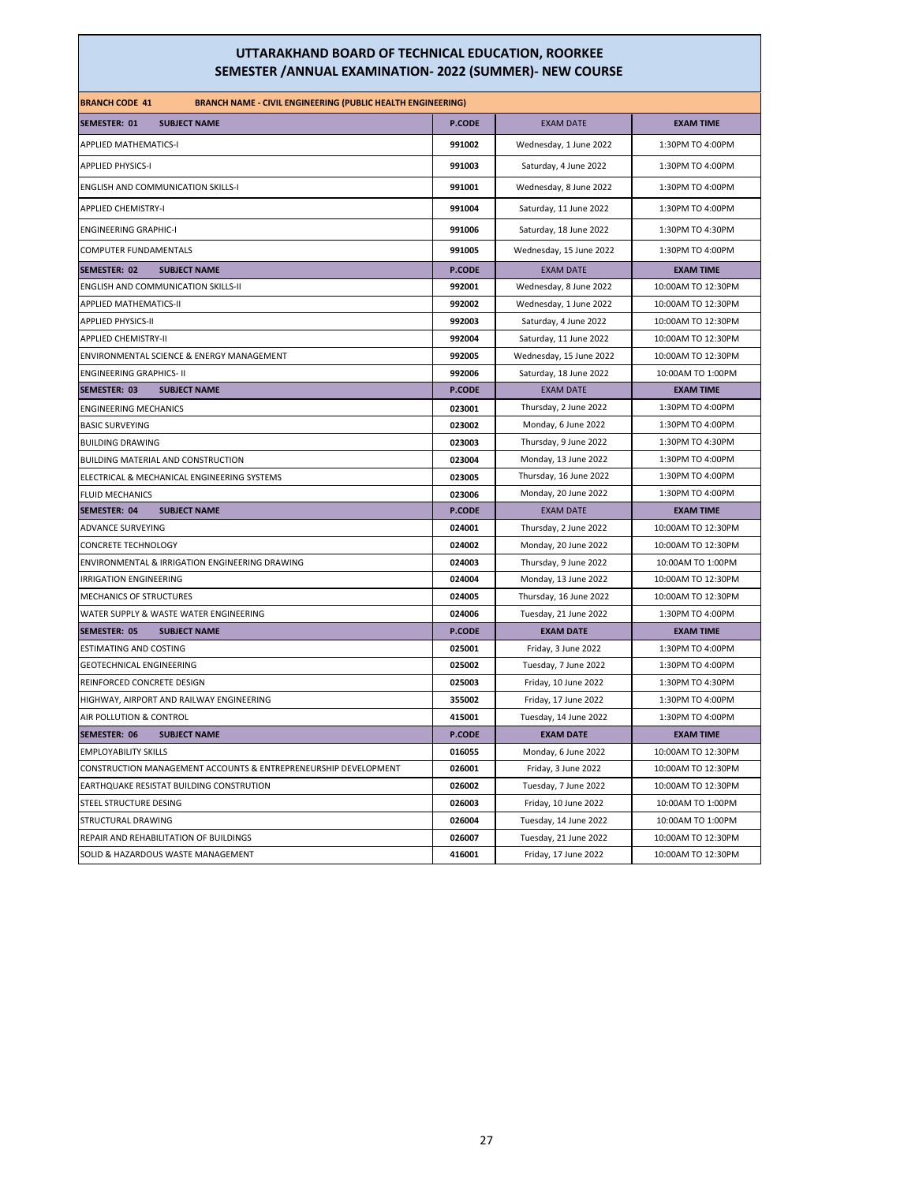| <b>BRANCH CODE 41</b><br><b>BRANCH NAME - CIVIL ENGINEERING (PUBLIC HEALTH ENGINEERING)</b> |               |                         |                    |
|---------------------------------------------------------------------------------------------|---------------|-------------------------|--------------------|
| SEMESTER: 01<br><b>SUBJECT NAME</b>                                                         | P.CODE        | <b>EXAM DATE</b>        | <b>EXAM TIME</b>   |
| <b>APPLIED MATHEMATICS-I</b>                                                                | 991002        | Wednesday, 1 June 2022  | 1:30PM TO 4:00PM   |
| <b>APPLIED PHYSICS-I</b>                                                                    | 991003        | Saturday, 4 June 2022   | 1:30PM TO 4:00PM   |
| <b>ENGLISH AND COMMUNICATION SKILLS-I</b>                                                   | 991001        | Wednesday, 8 June 2022  | 1:30PM TO 4:00PM   |
| <b>APPLIED CHEMISTRY-I</b>                                                                  | 991004        | Saturday, 11 June 2022  | 1:30PM TO 4:00PM   |
| <b>ENGINEERING GRAPHIC-I</b>                                                                | 991006        | Saturday, 18 June 2022  | 1:30PM TO 4:30PM   |
| COMPUTER FUNDAMENTALS                                                                       | 991005        | Wednesday, 15 June 2022 | 1:30PM TO 4:00PM   |
| SEMESTER: 02<br><b>SUBJECT NAME</b>                                                         | <b>P.CODE</b> | <b>EXAM DATE</b>        | <b>EXAM TIME</b>   |
| ENGLISH AND COMMUNICATION SKILLS-II                                                         | 992001        | Wednesday, 8 June 2022  | 10:00AM TO 12:30PM |
| APPLIED MATHEMATICS-II                                                                      | 992002        | Wednesday, 1 June 2022  | 10:00AM TO 12:30PM |
| <b>APPLIED PHYSICS-II</b>                                                                   | 992003        | Saturday, 4 June 2022   | 10:00AM TO 12:30PM |
| <b>APPLIED CHEMISTRY-II</b>                                                                 | 992004        | Saturday, 11 June 2022  | 10:00AM TO 12:30PM |
| ENVIRONMENTAL SCIENCE & ENERGY MANAGEMENT                                                   | 992005        | Wednesday, 15 June 2022 | 10:00AM TO 12:30PM |
| <b>ENGINEERING GRAPHICS- II</b>                                                             | 992006        | Saturday, 18 June 2022  | 10:00AM TO 1:00PM  |
| SEMESTER: 03<br><b>SUBJECT NAME</b>                                                         | <b>P.CODE</b> | <b>EXAM DATE</b>        | <b>EXAM TIME</b>   |
| <b>ENGINEERING MECHANICS</b>                                                                | 023001        | Thursday, 2 June 2022   | 1:30PM TO 4:00PM   |
| <b>BASIC SURVEYING</b>                                                                      | 023002        | Monday, 6 June 2022     | 1:30PM TO 4:00PM   |
| <b>BUILDING DRAWING</b>                                                                     | 023003        | Thursday, 9 June 2022   | 1:30PM TO 4:30PM   |
| BUILDING MATERIAL AND CONSTRUCTION                                                          | 023004        | Monday, 13 June 2022    | 1:30PM TO 4:00PM   |
| ELECTRICAL & MECHANICAL ENGINEERING SYSTEMS                                                 | 023005        | Thursday, 16 June 2022  | 1:30PM TO 4:00PM   |
| <b>FLUID MECHANICS</b>                                                                      | 023006        | Monday, 20 June 2022    | 1:30PM TO 4:00PM   |
| <b>SUBJECT NAME</b><br>SEMESTER: 04                                                         | P.CODE        | <b>EXAM DATE</b>        | <b>EXAM TIME</b>   |
| ADVANCE SURVEYING                                                                           | 024001        | Thursday, 2 June 2022   | 10:00AM TO 12:30PM |
| <b>CONCRETE TECHNOLOGY</b>                                                                  | 024002        | Monday, 20 June 2022    | 10:00AM TO 12:30PM |
| ENVIRONMENTAL & IRRIGATION ENGINEERING DRAWING                                              | 024003        | Thursday, 9 June 2022   | 10:00AM TO 1:00PM  |
| <b>IRRIGATION ENGINEERING</b>                                                               | 024004        | Monday, 13 June 2022    | 10:00AM TO 12:30PM |
| <b>MECHANICS OF STRUCTURES</b>                                                              | 024005        | Thursday, 16 June 2022  | 10:00AM TO 12:30PM |
| WATER SUPPLY & WASTE WATER ENGINEERING                                                      | 024006        | Tuesday, 21 June 2022   | 1:30PM TO 4:00PM   |
| <b>SEMESTER: 05</b><br><b>SUBJECT NAME</b>                                                  | P.CODE        | <b>EXAM DATE</b>        | <b>EXAM TIME</b>   |
| <b>ESTIMATING AND COSTING</b>                                                               | 025001        | Friday, 3 June 2022     | 1:30PM TO 4:00PM   |
| <b>GEOTECHNICAL ENGINEERING</b>                                                             | 025002        | Tuesday, 7 June 2022    | 1:30PM TO 4:00PM   |
| REINFORCED CONCRETE DESIGN                                                                  | 025003        | Friday, 10 June 2022    | 1:30PM TO 4:30PM   |
| HIGHWAY, AIRPORT AND RAILWAY ENGINEERING                                                    | 355002        | Friday, 17 June 2022    | 1:30PM TO 4:00PM   |
| AIR POLLUTION & CONTROL                                                                     | 415001        | Tuesday, 14 June 2022   | 1:30PM TO 4:00PM   |
| SEMESTER: 06<br><b>SUBJECT NAME</b>                                                         | <b>P.CODE</b> | <b>EXAM DATE</b>        | <b>EXAM TIME</b>   |
| <b>EMPLOYABILITY SKILLS</b>                                                                 | 016055        | Monday, 6 June 2022     | 10:00AM TO 12:30PM |
| CONSTRUCTION MANAGEMENT ACCOUNTS & ENTREPRENEURSHIP DEVELOPMENT                             | 026001        | Friday, 3 June 2022     | 10:00AM TO 12:30PM |
| EARTHQUAKE RESISTAT BUILDING CONSTRUTION                                                    | 026002        | Tuesday, 7 June 2022    | 10:00AM TO 12:30PM |
| STEEL STRUCTURE DESING                                                                      | 026003        | Friday, 10 June 2022    | 10:00AM TO 1:00PM  |
| STRUCTURAL DRAWING                                                                          | 026004        | Tuesday, 14 June 2022   | 10:00AM TO 1:00PM  |
| REPAIR AND REHABILITATION OF BUILDINGS                                                      | 026007        | Tuesday, 21 June 2022   | 10:00AM TO 12:30PM |
| SOLID & HAZARDOUS WASTE MANAGEMENT                                                          | 416001        | Friday, 17 June 2022    | 10:00AM TO 12:30PM |